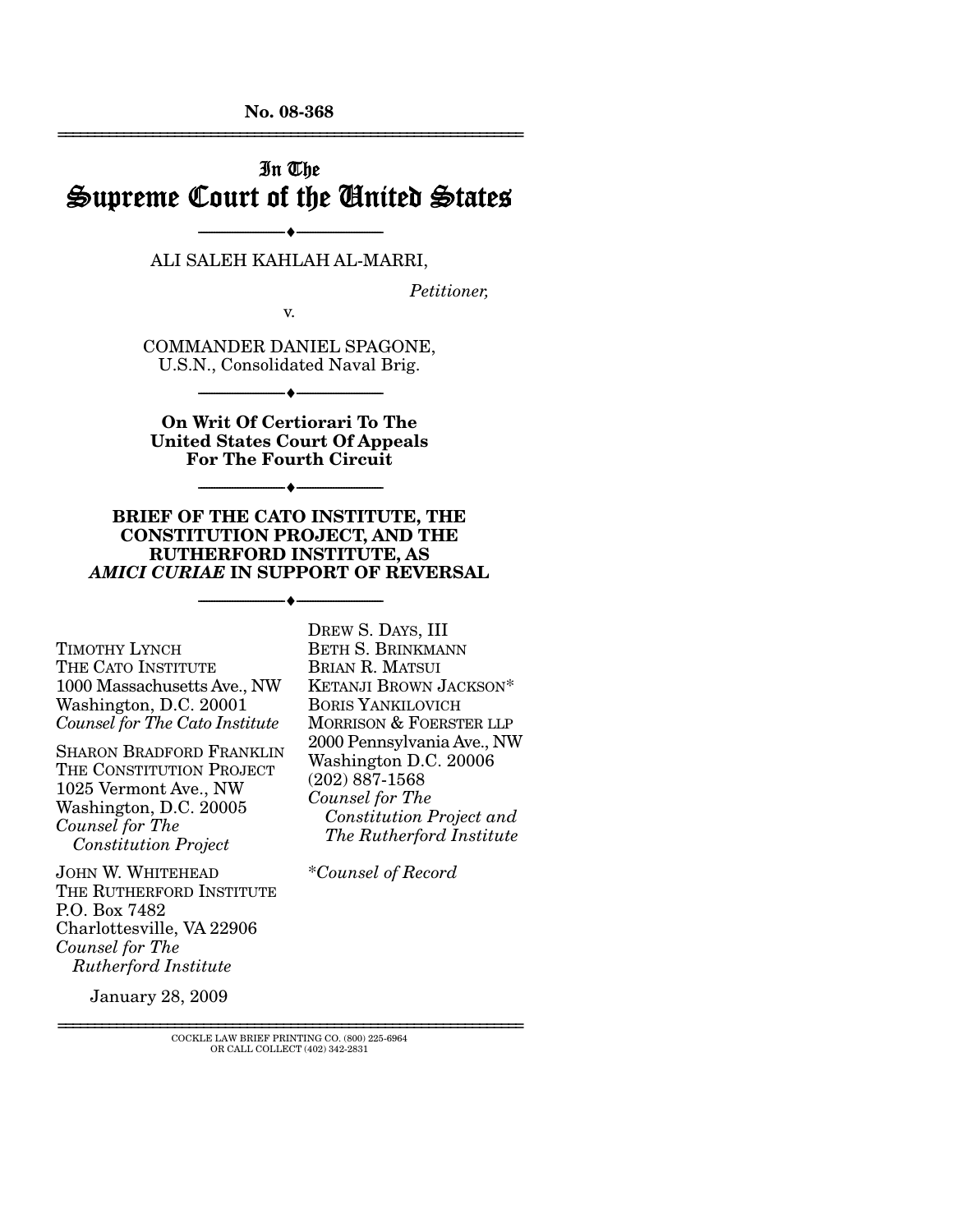**No. 08-368**  ================================================================

## In The Supreme Court of the United States

--------------------------------- ♦ --------------------------------- ALI SALEH KAHLAH AL-MARRI,

*Petitioner,* 

v.

COMMANDER DANIEL SPAGONE, U.S.N., Consolidated Naval Brig.

--------------------------------- ♦ ---------------------------------

**On Writ Of Certiorari To The United States Court Of Appeals For The Fourth Circuit** 

--------------------------------- ♦ ---------------------------------

**BRIEF OF THE CATO INSTITUTE, THE CONSTITUTION PROJECT, AND THE RUTHERFORD INSTITUTE, AS**  *AMICI CURIAE* **IN SUPPORT OF REVERSAL** 

--------------------------------- ♦ ---------------------------------

TIMOTHY LYNCH THE CATO INSTITUTE 1000 Massachusetts Ave., NW Washington, D.C. 20001 *Counsel for The Cato Institute*

SHARON BRADFORD FRANKLIN THE CONSTITUTION PROJECT 1025 Vermont Ave., NW Washington, D.C. 20005 *Counsel for The Constitution Project*

JOHN W. WHITEHEAD THE RUTHERFORD INSTITUTE P.O. Box 7482 Charlottesville, VA 22906 *Counsel for The Rutherford Institute*

DREW S. DAYS, III BETH S. BRINKMANN BRIAN R. MATSUI KETANJI BROWN JACKSON\* BORIS YANKILOVICH MORRISON & FOERSTER LLP 2000 Pennsylvania Ave., NW Washington D.C. 20006 (202) 887-1568 *Counsel for The Constitution Project and The Rutherford Institute*

\**Counsel of Record* 

January 28, 2009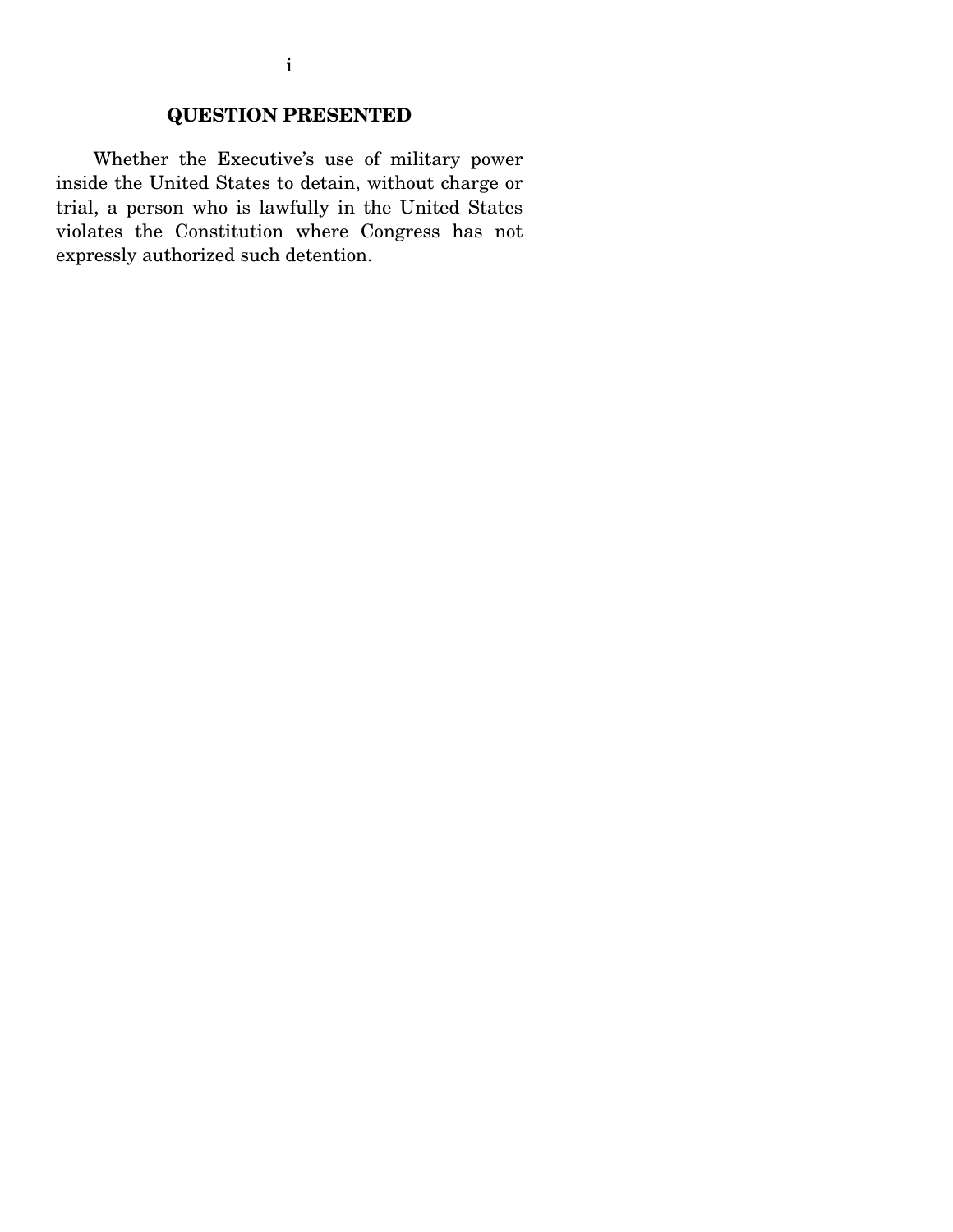## **QUESTION PRESENTED**

 Whether the Executive's use of military power inside the United States to detain, without charge or trial, a person who is lawfully in the United States violates the Constitution where Congress has not expressly authorized such detention.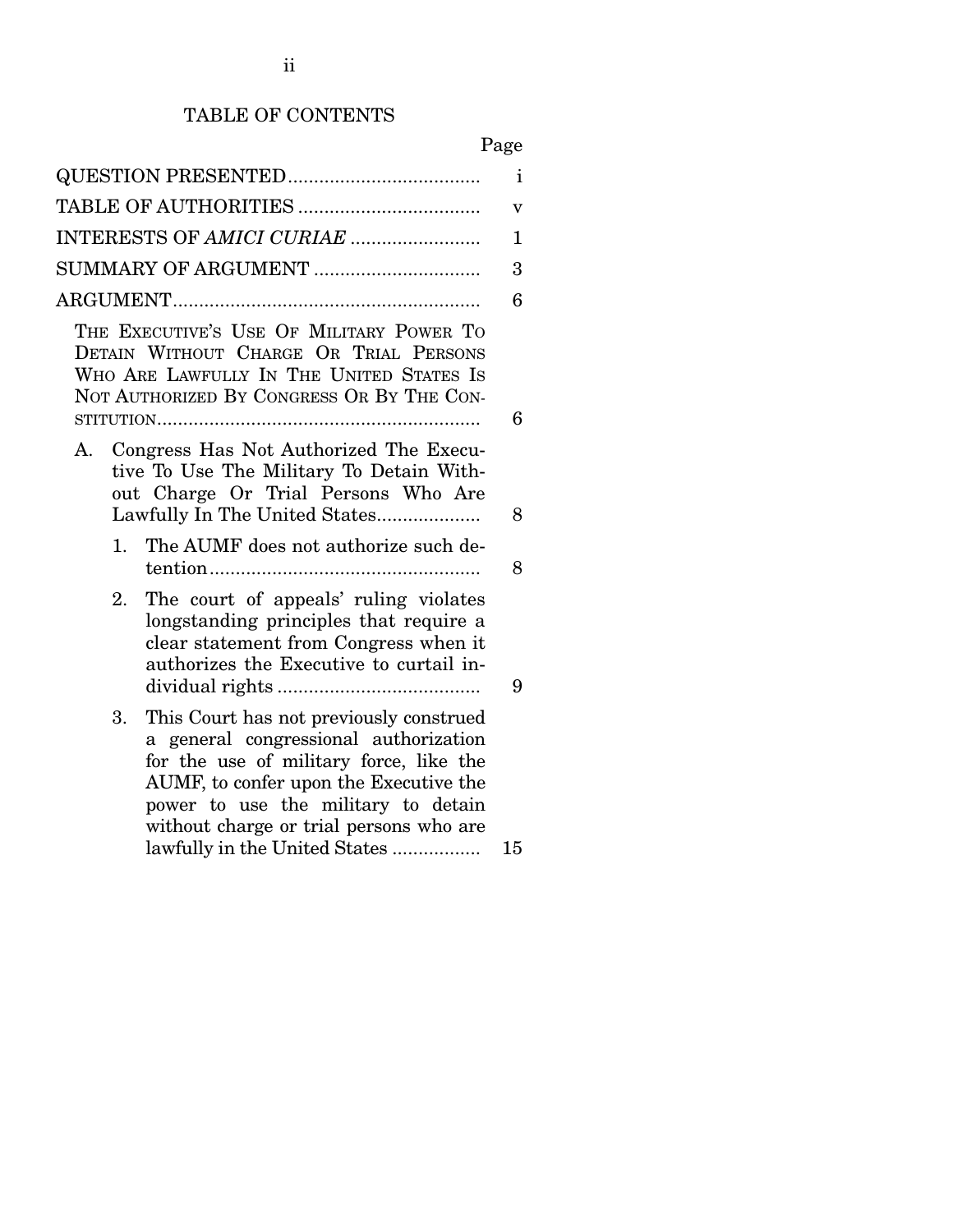## TABLE OF CONTENTS

|                                                                                                                                                                                                                                                                                                | $\mathbf{i}$ |  |  |  |
|------------------------------------------------------------------------------------------------------------------------------------------------------------------------------------------------------------------------------------------------------------------------------------------------|--------------|--|--|--|
|                                                                                                                                                                                                                                                                                                |              |  |  |  |
| INTERESTS OF AMICI CURIAE                                                                                                                                                                                                                                                                      | 1            |  |  |  |
|                                                                                                                                                                                                                                                                                                | 3            |  |  |  |
|                                                                                                                                                                                                                                                                                                | 6            |  |  |  |
| THE EXECUTIVE'S USE OF MILITARY POWER TO<br>DETAIN WITHOUT CHARGE OR TRIAL PERSONS<br>WHO ARE LAWFULLY IN THE UNITED STATES IS<br>NOT AUTHORIZED BY CONGRESS OR BY THE CON-                                                                                                                    | 6            |  |  |  |
| Congress Has Not Authorized The Execu-<br>А.<br>tive To Use The Military To Detain With-<br>out Charge Or Trial Persons Who Are<br>Lawfully In The United States                                                                                                                               | 8            |  |  |  |
| 1.<br>The AUMF does not authorize such de-                                                                                                                                                                                                                                                     | 8            |  |  |  |
| The court of appeals' ruling violates<br>2.<br>longstanding principles that require a<br>clear statement from Congress when it<br>authorizes the Executive to curtail in-                                                                                                                      | 9            |  |  |  |
| This Court has not previously construed<br>3.<br>a general congressional authorization<br>for the use of military force, like the<br>AUMF, to confer upon the Executive the<br>power to use the military to detain<br>without charge or trial persons who are<br>lawfully in the United States | 15           |  |  |  |
|                                                                                                                                                                                                                                                                                                |              |  |  |  |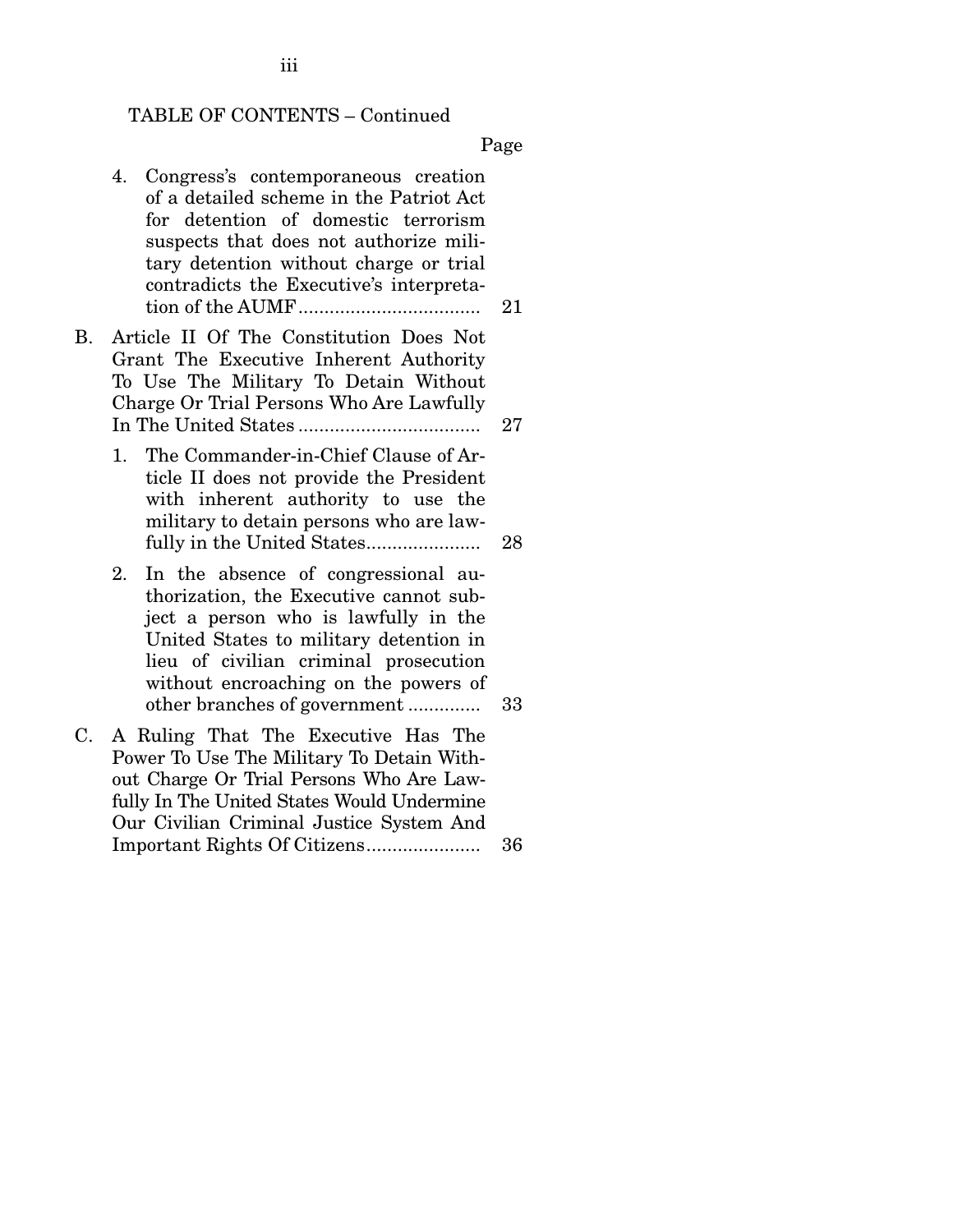#### TABLE OF CONTENTS – Continued

Page

- 4. Congress's contemporaneous creation of a detailed scheme in the Patriot Act for detention of domestic terrorism suspects that does not authorize military detention without charge or trial contradicts the Executive's interpretation of the AUMF................................... 21
- B. Article II Of The Constitution Does Not Grant The Executive Inherent Authority To Use The Military To Detain Without Charge Or Trial Persons Who Are Lawfully In The United States ................................... 27
	- 1. The Commander-in-Chief Clause of Article II does not provide the President with inherent authority to use the military to detain persons who are lawfully in the United States...................... 28
	- 2. In the absence of congressional authorization, the Executive cannot subject a person who is lawfully in the United States to military detention in lieu of civilian criminal prosecution without encroaching on the powers of other branches of government .............. 33
- C. A Ruling That The Executive Has The Power To Use The Military To Detain Without Charge Or Trial Persons Who Are Lawfully In The United States Would Undermine Our Civilian Criminal Justice System And Important Rights Of Citizens...................... 36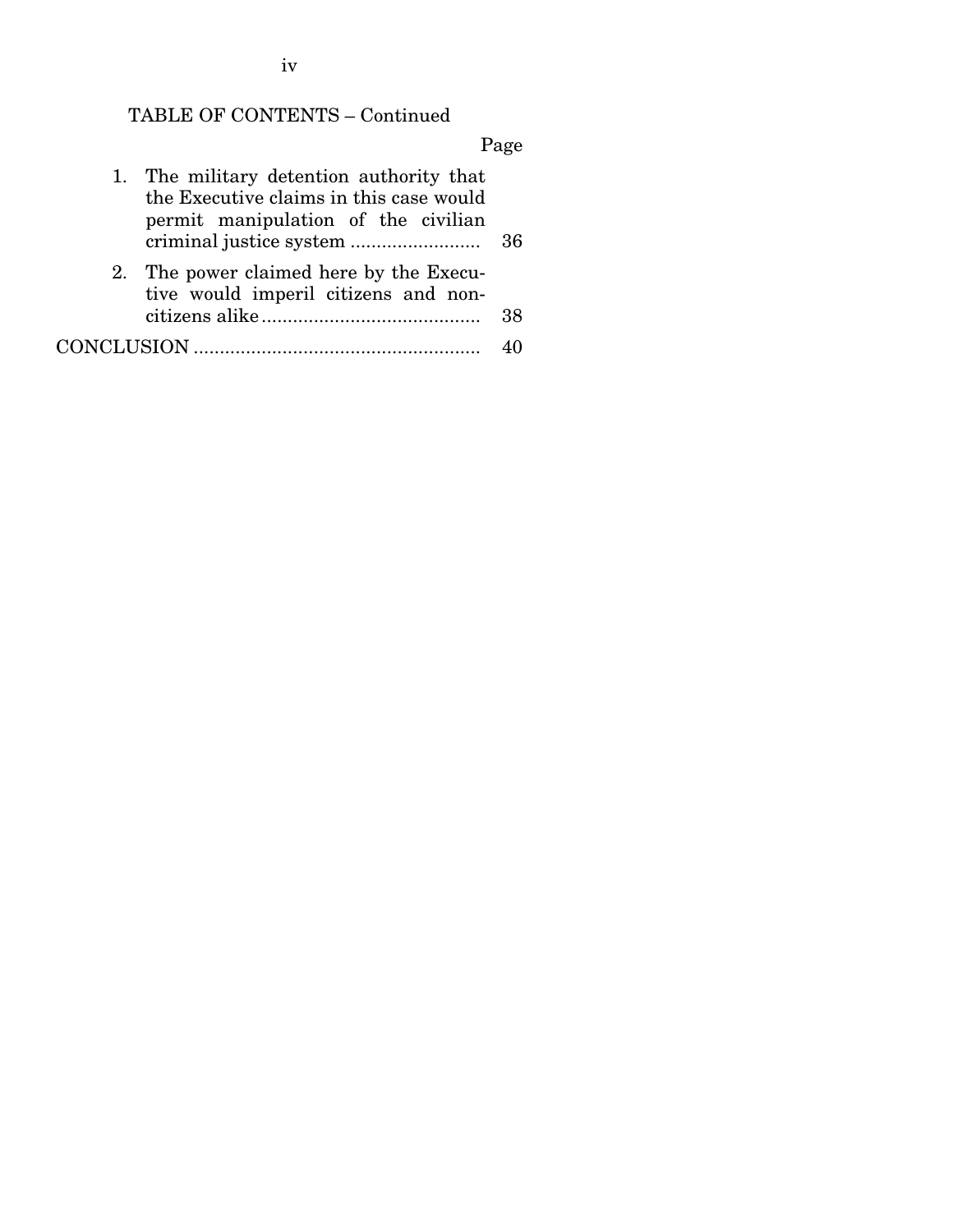iv

# TABLE OF CONTENTS – Continued

Page

| 1. The military detention authority that<br>the Executive claims in this case would<br>permit manipulation of the civilian |                                                                                 |    |  |  |
|----------------------------------------------------------------------------------------------------------------------------|---------------------------------------------------------------------------------|----|--|--|
|                                                                                                                            | 2. The power claimed here by the Execu-<br>tive would imperil citizens and non- | 38 |  |  |
|                                                                                                                            |                                                                                 |    |  |  |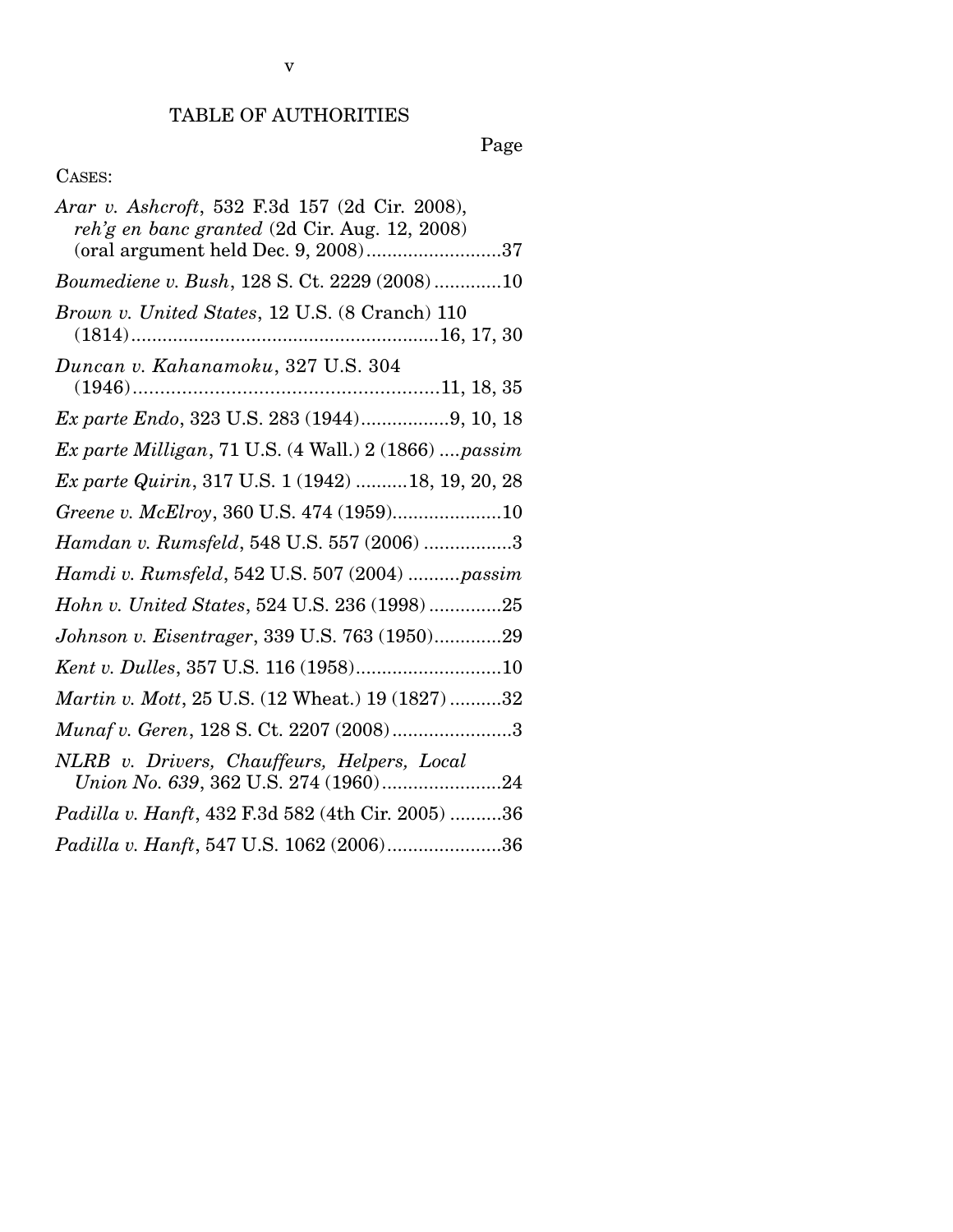Page

## CASES:

| Arar v. Ashcroft, 532 F.3d 157 (2d Cir. 2008),<br>reh'g en banc granted (2d Cir. Aug. 12, 2008) |
|-------------------------------------------------------------------------------------------------|
| (oral argument held Dec. 9, 2008)37                                                             |
| Boumediene v. Bush, 128 S. Ct. 2229 (2008)10                                                    |
| Brown v. United States, 12 U.S. (8 Cranch) 110                                                  |
| Duncan v. Kahanamoku, 327 U.S. 304                                                              |
|                                                                                                 |
| Ex parte Endo, 323 U.S. 283 (1944)9, 10, 18                                                     |
| Ex parte Milligan, 71 U.S. (4 Wall.) 2 (1866) passim                                            |
| Ex parte Quirin, 317 U.S. 1 (1942)  18, 19, 20, 28                                              |
| Greene v. McElroy, 360 U.S. 474 (1959)10                                                        |
| Hamdan v. Rumsfeld, 548 U.S. 557 (2006) 3                                                       |
| Hamdi v. Rumsfeld, 542 U.S. 507 (2004) passim                                                   |
| Hohn v. United States, 524 U.S. 236 (1998) 25                                                   |
| Johnson v. Eisentrager, 339 U.S. 763 (1950)29                                                   |
| Kent v. Dulles, 357 U.S. 116 (1958)10                                                           |
| Martin v. Mott, 25 U.S. (12 Wheat.) 19 (1827) 32                                                |
| Munaf v. Geren, 128 S. Ct. 2207 (2008)3                                                         |
| NLRB v. Drivers, Chauffeurs, Helpers, Local<br>Union No. 639, 362 U.S. 274 (1960)24             |
| <i>Padilla v. Hanft</i> , 432 F.3d 582 (4th Cir. 2005) 36                                       |
| Padilla v. Hanft, 547 U.S. 1062 (2006)36                                                        |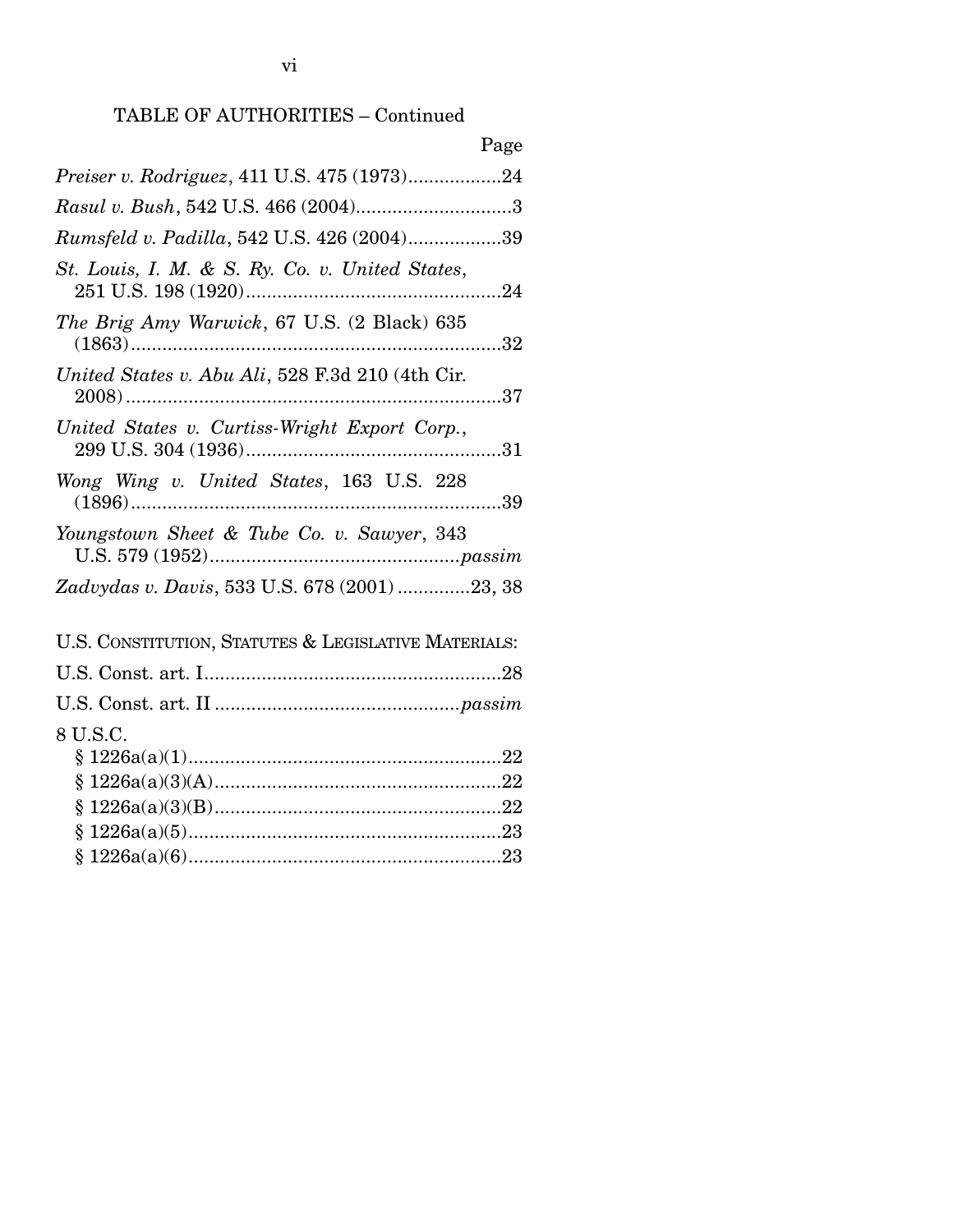## TABLE OF AUTHORITIES – Continued

| Page                                                 |
|------------------------------------------------------|
| Preiser v. Rodriguez, 411 U.S. 475 (1973)24          |
|                                                      |
| Rumsfeld v. Padilla, 542 U.S. 426 (2004)39           |
| St. Louis, I. M. & S. Ry. Co. v. United States,      |
| The Brig Amy Warwick, 67 U.S. (2 Black) 635          |
| United States v. Abu Ali, 528 F.3d 210 (4th Cir.     |
| United States v. Curtiss-Wright Export Corp.,        |
| Wong Wing v. United States, 163 U.S. 228             |
| Youngstown Sheet & Tube Co. v. Sawyer, 343           |
| Zadvydas v. Davis, 533 U.S. 678 (2001) 23, 38        |
| U.S. CONSTITUTION, STATUTES & LEGISLATIVE MATERIALS: |
|                                                      |
|                                                      |
| 8 U.S.C.                                             |
|                                                      |
|                                                      |
|                                                      |
|                                                      |
|                                                      |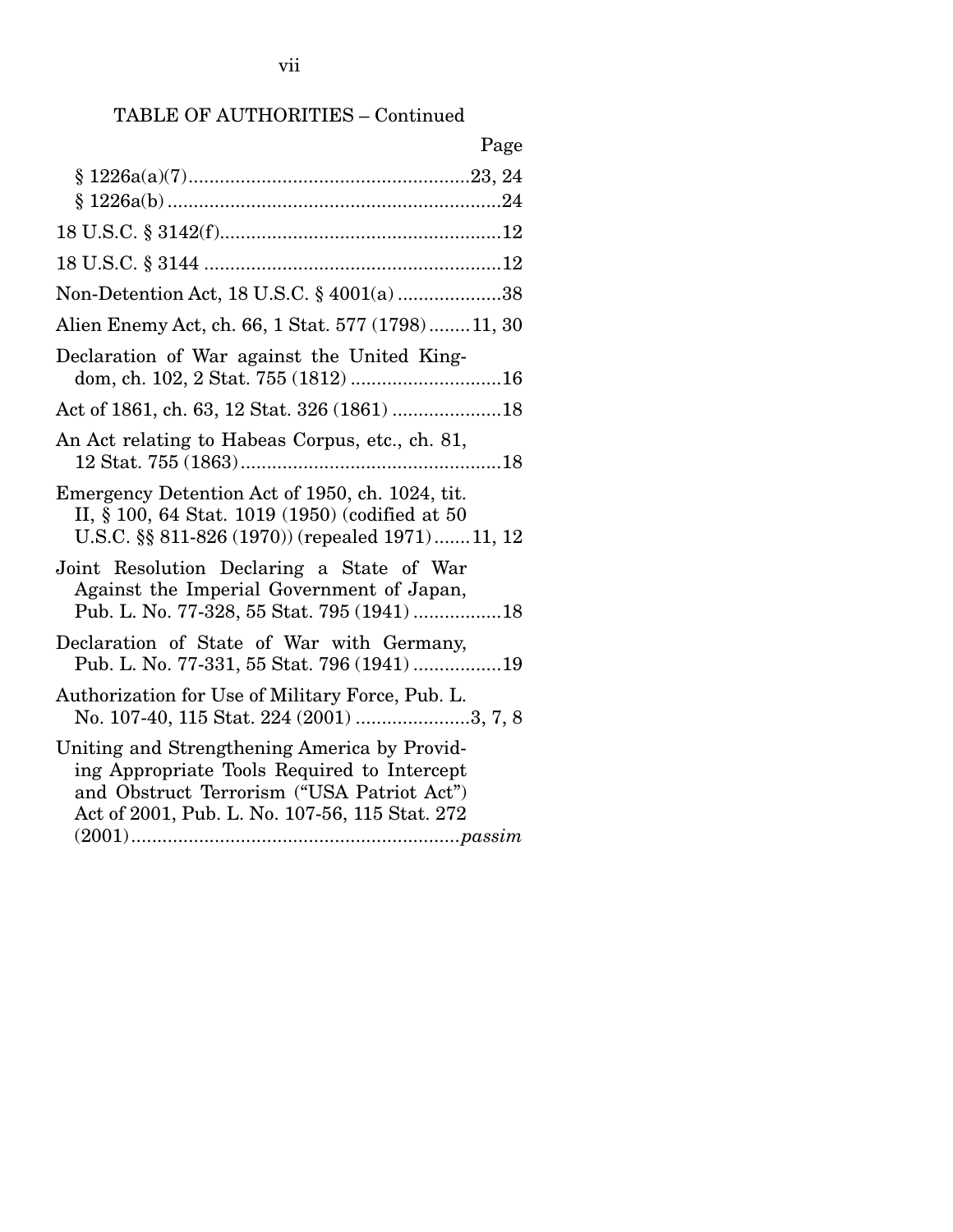## TABLE OF AUTHORITIES – Continued

| Page                                                                                                                                                                                        |
|---------------------------------------------------------------------------------------------------------------------------------------------------------------------------------------------|
|                                                                                                                                                                                             |
|                                                                                                                                                                                             |
|                                                                                                                                                                                             |
|                                                                                                                                                                                             |
| Non-Detention Act, 18 U.S.C. § 4001(a) 38                                                                                                                                                   |
| Alien Enemy Act, ch. 66, 1 Stat. 577 (1798) 11, 30                                                                                                                                          |
| Declaration of War against the United King-<br>dom, ch. 102, 2 Stat. 755 (1812) 16                                                                                                          |
|                                                                                                                                                                                             |
| An Act relating to Habeas Corpus, etc., ch. 81,                                                                                                                                             |
| Emergency Detention Act of 1950, ch. 1024, tit.<br>II, § 100, 64 Stat. 1019 (1950) (codified at 50<br>U.S.C. §§ 811-826 (1970)) (repealed 1971)11, 12                                       |
| Joint Resolution Declaring a State of War<br>Against the Imperial Government of Japan,<br>Pub. L. No. 77-328, 55 Stat. 795 (1941) 18                                                        |
| Declaration of State of War with Germany,<br>Pub. L. No. 77-331, 55 Stat. 796 (1941) 19                                                                                                     |
| Authorization for Use of Military Force, Pub. L.<br>No. 107-40, 115 Stat. 224 (2001) 3, 7, 8                                                                                                |
| Uniting and Strengthening America by Provid-<br>ing Appropriate Tools Required to Intercept<br>and Obstruct Terrorism ("USA Patriot Act")<br>Act of 2001, Pub. L. No. 107-56, 115 Stat. 272 |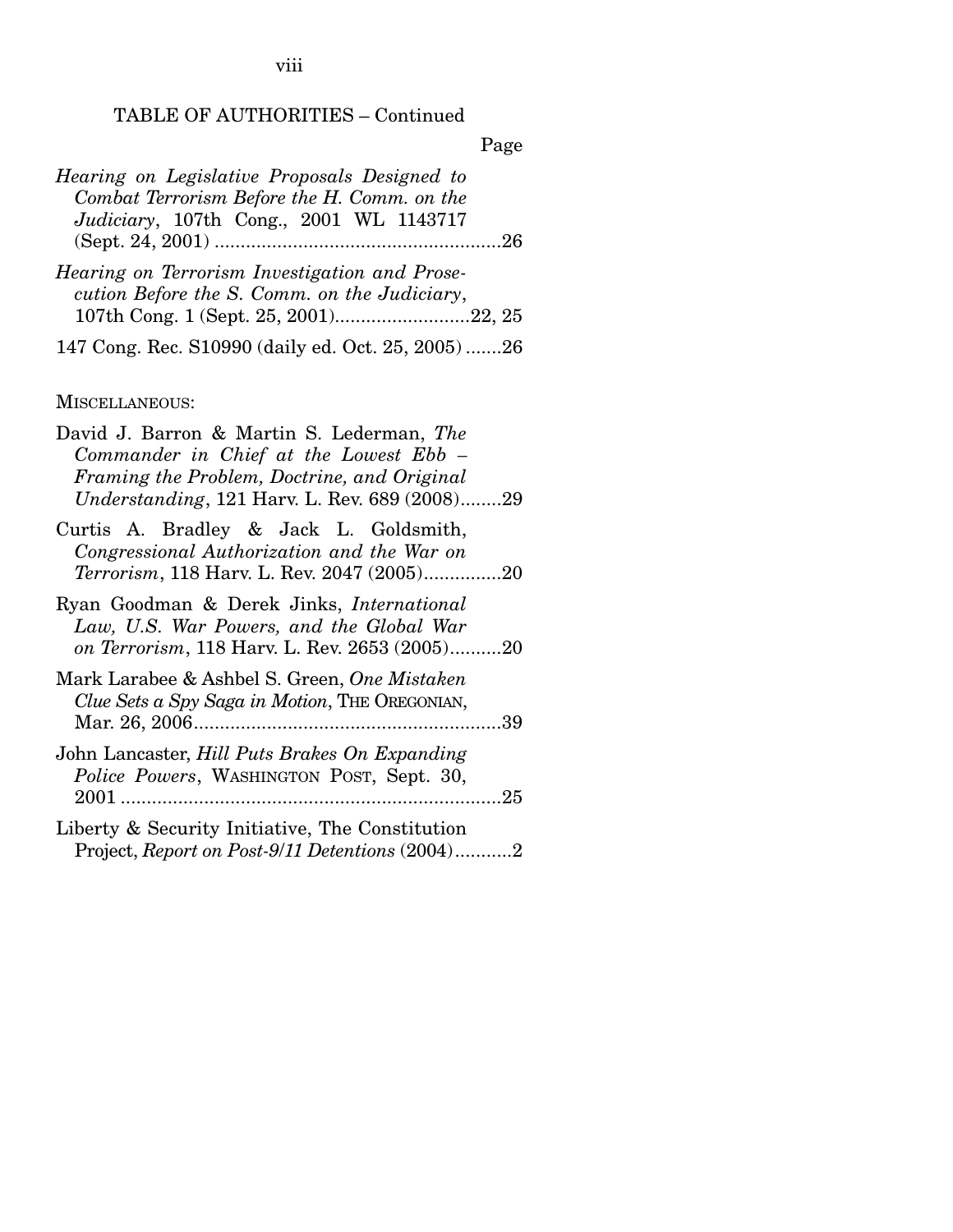viii

## TABLE OF AUTHORITIES – Continued

Page

| Hearing on Legislative Proposals Designed to                                                  |  |  |  |  |
|-----------------------------------------------------------------------------------------------|--|--|--|--|
| Combat Terrorism Before the H. Comm. on the                                                   |  |  |  |  |
| Judiciary, 107th Cong., 2001 WL 1143717                                                       |  |  |  |  |
| -26                                                                                           |  |  |  |  |
| Hearing on Terrorism Investigation and Prose-<br>cution Before the S. Comm. on the Judiciary, |  |  |  |  |
|                                                                                               |  |  |  |  |

147 Cong. Rec. S10990 (daily ed. Oct. 25, 2005) .......26

### MISCELLANEOUS:

| David J. Barron & Martin S. Lederman, The<br>Commander in Chief at the Lowest Ebb –<br>Framing the Problem, Doctrine, and Original<br>Understanding, 121 Harv. L. Rev. 689 (2008)29 |
|-------------------------------------------------------------------------------------------------------------------------------------------------------------------------------------|
| Curtis A. Bradley & Jack L. Goldsmith,<br>Congressional Authorization and the War on<br><i>Terrorism</i> , 118 Harv. L. Rev. 2047 (2005)20                                          |
| Ryan Goodman & Derek Jinks, <i>International</i><br>Law, U.S. War Powers, and the Global War<br>on Terrorism, 118 Harv. L. Rev. 2653 (2005)20                                       |
| Mark Larabee & Ashbel S. Green, One Mistaken<br>Clue Sets a Spy Saga in Motion, THE OREGONIAN,                                                                                      |
| John Lancaster, Hill Puts Brakes On Expanding<br>Police Powers, WASHINGTON POST, Sept. 30,                                                                                          |
| Liberty & Security Initiative, The Constitution<br>Project, Report on Post-9/11 Detentions (2004)2                                                                                  |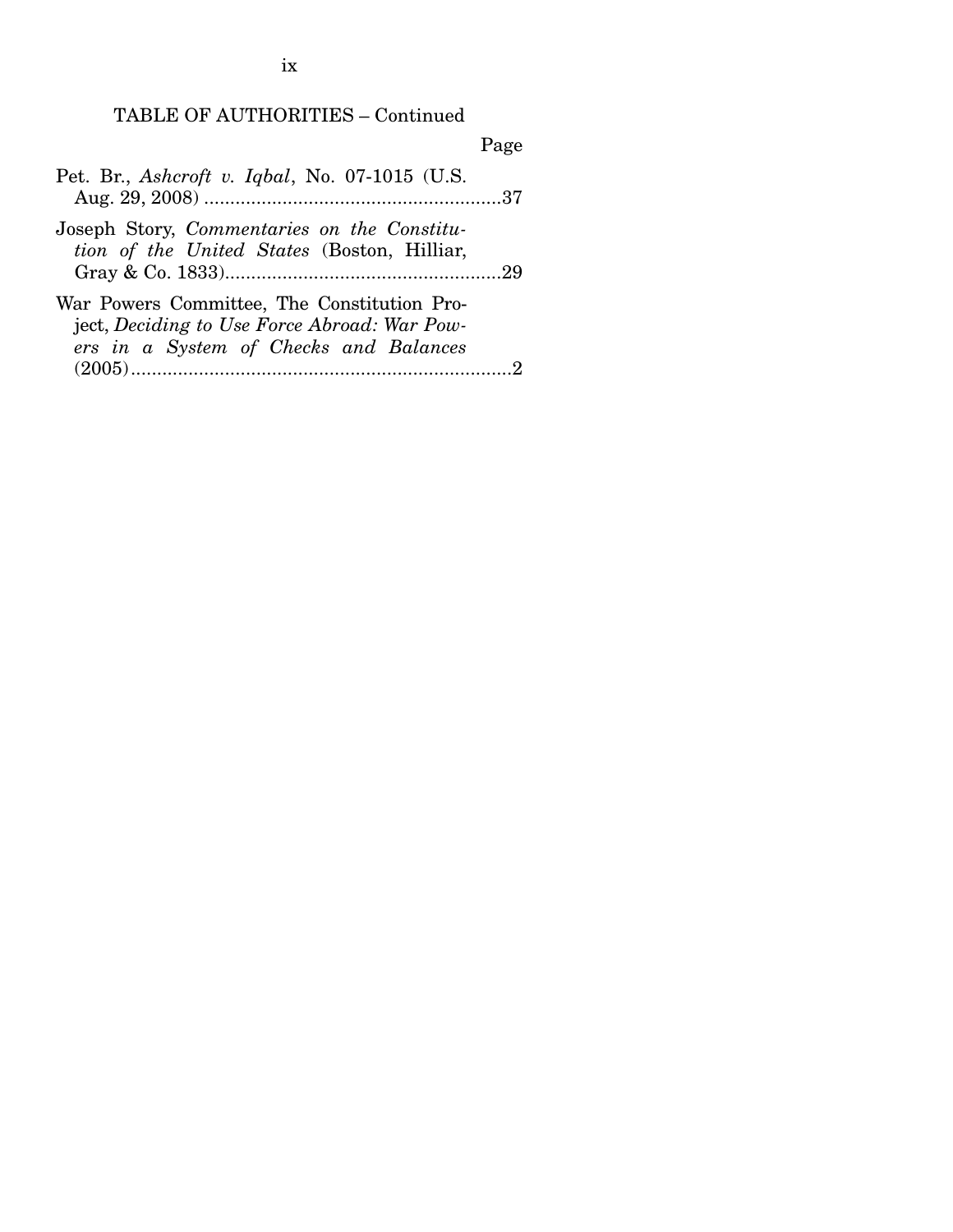TABLE OF AUTHORITIES – Continued

Page

|  | Pet. Br., Ashcroft v. Iqbal, No. 07-1015 (U.S. |  |  |  |
|--|------------------------------------------------|--|--|--|
|  |                                                |  |  |  |

Joseph Story, *Commentaries on the Constitution of the United States* (Boston, Hilliar, Gray & Co. 1833).....................................................29

| War Powers Committee, The Constitution Pro-  |  |
|----------------------------------------------|--|
| ject, Deciding to Use Force Abroad: War Pow- |  |
| ers in a System of Checks and Balances       |  |
|                                              |  |

ix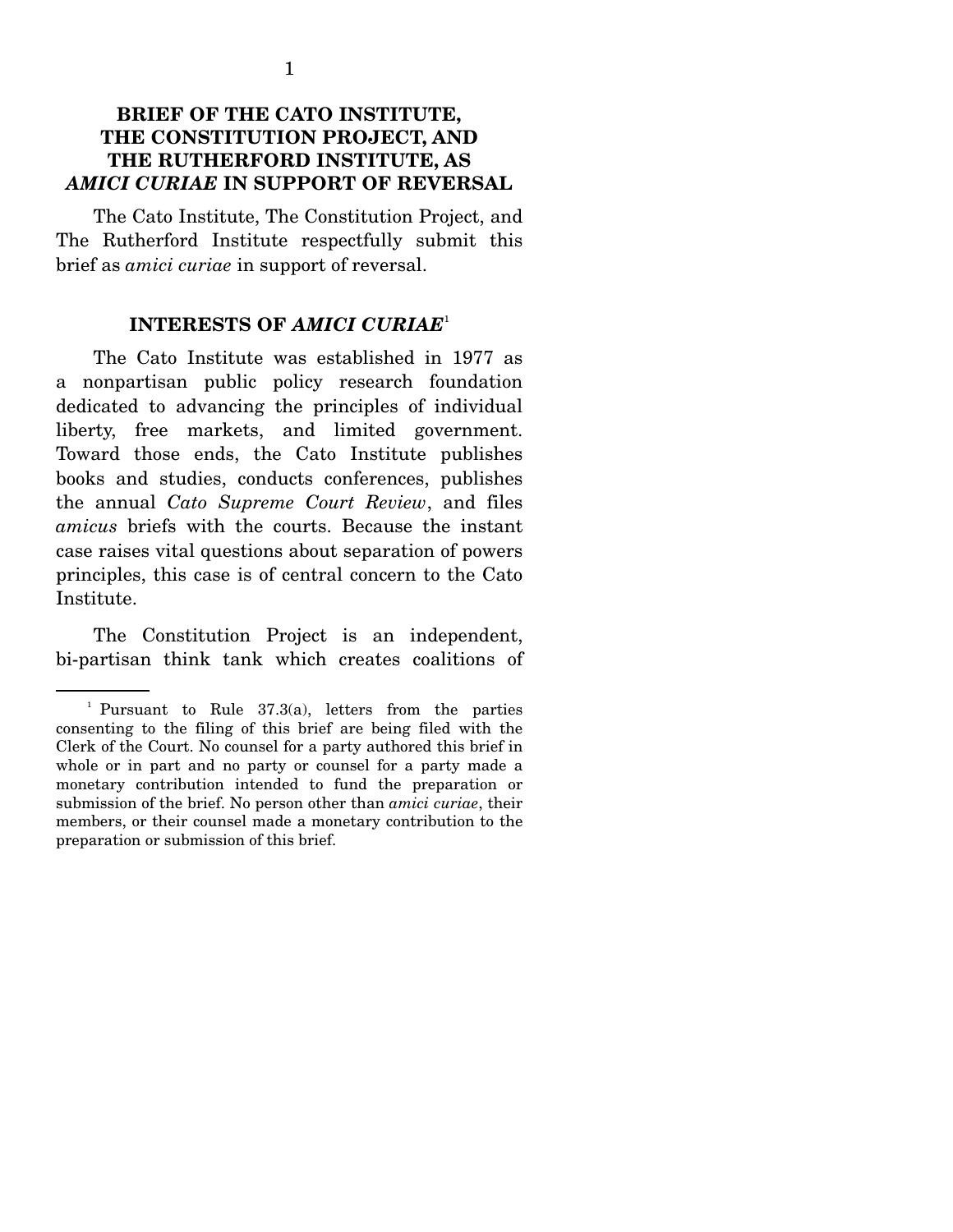### **BRIEF OF THE CATO INSTITUTE, THE CONSTITUTION PROJECT, AND THE RUTHERFORD INSTITUTE, AS**  *AMICI CURIAE* **IN SUPPORT OF REVERSAL**

 The Cato Institute, The Constitution Project, and The Rutherford Institute respectfully submit this brief as *amici curiae* in support of reversal.

#### **INTERESTS OF** *AMICI CURIAE*<sup>1</sup>

 The Cato Institute was established in 1977 as a nonpartisan public policy research foundation dedicated to advancing the principles of individual liberty, free markets, and limited government. Toward those ends, the Cato Institute publishes books and studies, conducts conferences, publishes the annual *Cato Supreme Court Review*, and files *amicus* briefs with the courts. Because the instant case raises vital questions about separation of powers principles, this case is of central concern to the Cato Institute.

 The Constitution Project is an independent, bi-partisan think tank which creates coalitions of

<sup>&</sup>lt;sup>1</sup> Pursuant to Rule 37.3(a), letters from the parties consenting to the filing of this brief are being filed with the Clerk of the Court. No counsel for a party authored this brief in whole or in part and no party or counsel for a party made a monetary contribution intended to fund the preparation or submission of the brief. No person other than *amici curiae*, their members, or their counsel made a monetary contribution to the preparation or submission of this brief.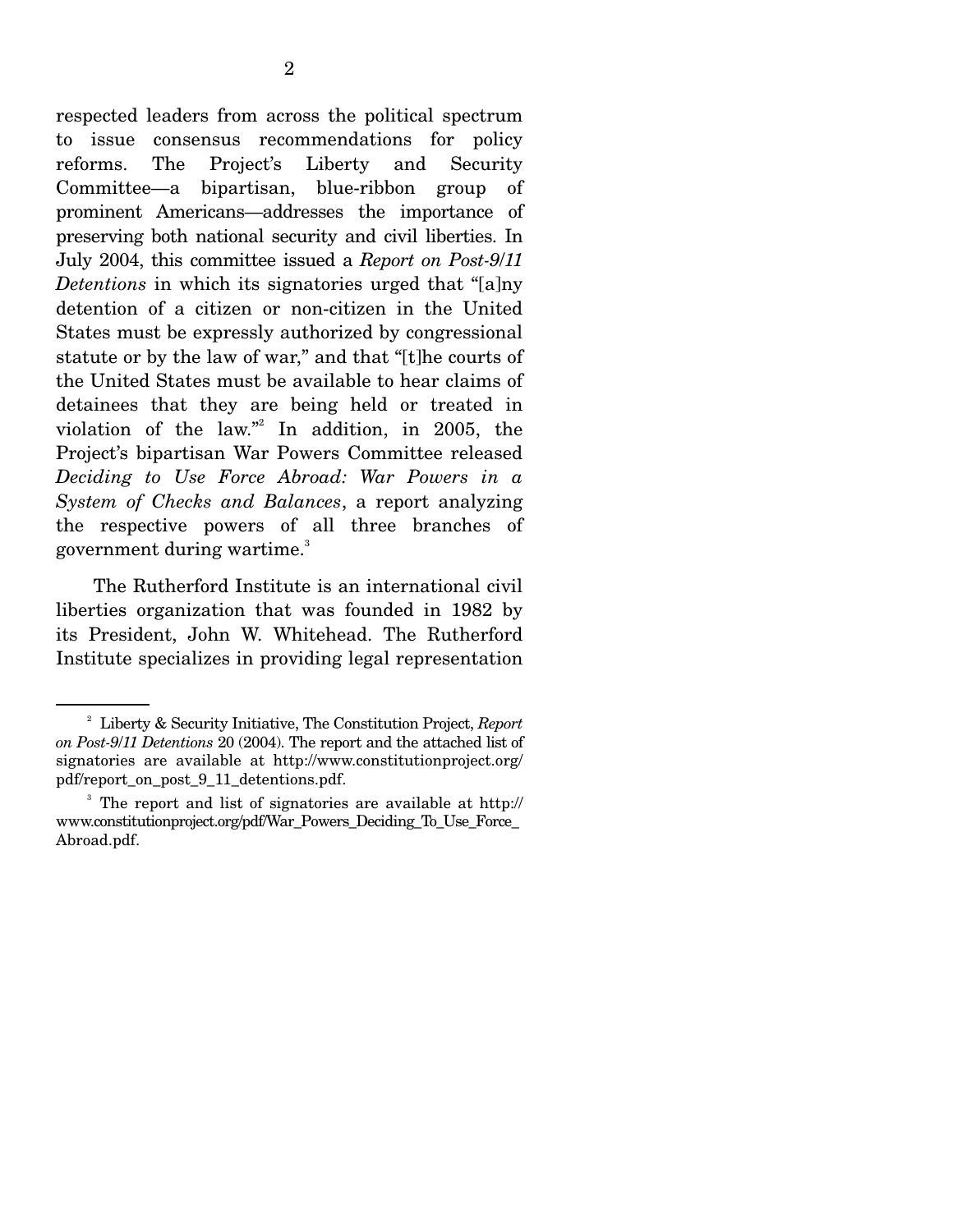respected leaders from across the political spectrum to issue consensus recommendations for policy reforms. The Project's Liberty and Security Committee—a bipartisan, blue-ribbon group of prominent Americans—addresses the importance of preserving both national security and civil liberties. In July 2004, this committee issued a *Report on Post-9*/*11 Detentions* in which its signatories urged that "[a]ny detention of a citizen or non-citizen in the United States must be expressly authorized by congressional statute or by the law of war," and that "[t]he courts of the United States must be available to hear claims of detainees that they are being held or treated in violation of the law."<sup>2</sup> In addition, in 2005, the Project's bipartisan War Powers Committee released *Deciding to Use Force Abroad: War Powers in a System of Checks and Balances*, a report analyzing the respective powers of all three branches of government during wartime.<sup>3</sup>

 The Rutherford Institute is an international civil liberties organization that was founded in 1982 by its President, John W. Whitehead. The Rutherford Institute specializes in providing legal representation

<sup>2</sup> Liberty & Security Initiative, The Constitution Project, *Report on Post-9*/*11 Detentions* 20 (2004). The report and the attached list of signatories are available at http://www.constitutionproject.org/ pdf/report\_on\_post\_9\_11\_detentions.pdf.

<sup>&</sup>lt;sup>3</sup> The report and list of signatories are available at http:// www.constitutionproject.org/pdf/War\_Powers\_Deciding\_To\_Use\_Force\_ Abroad.pdf.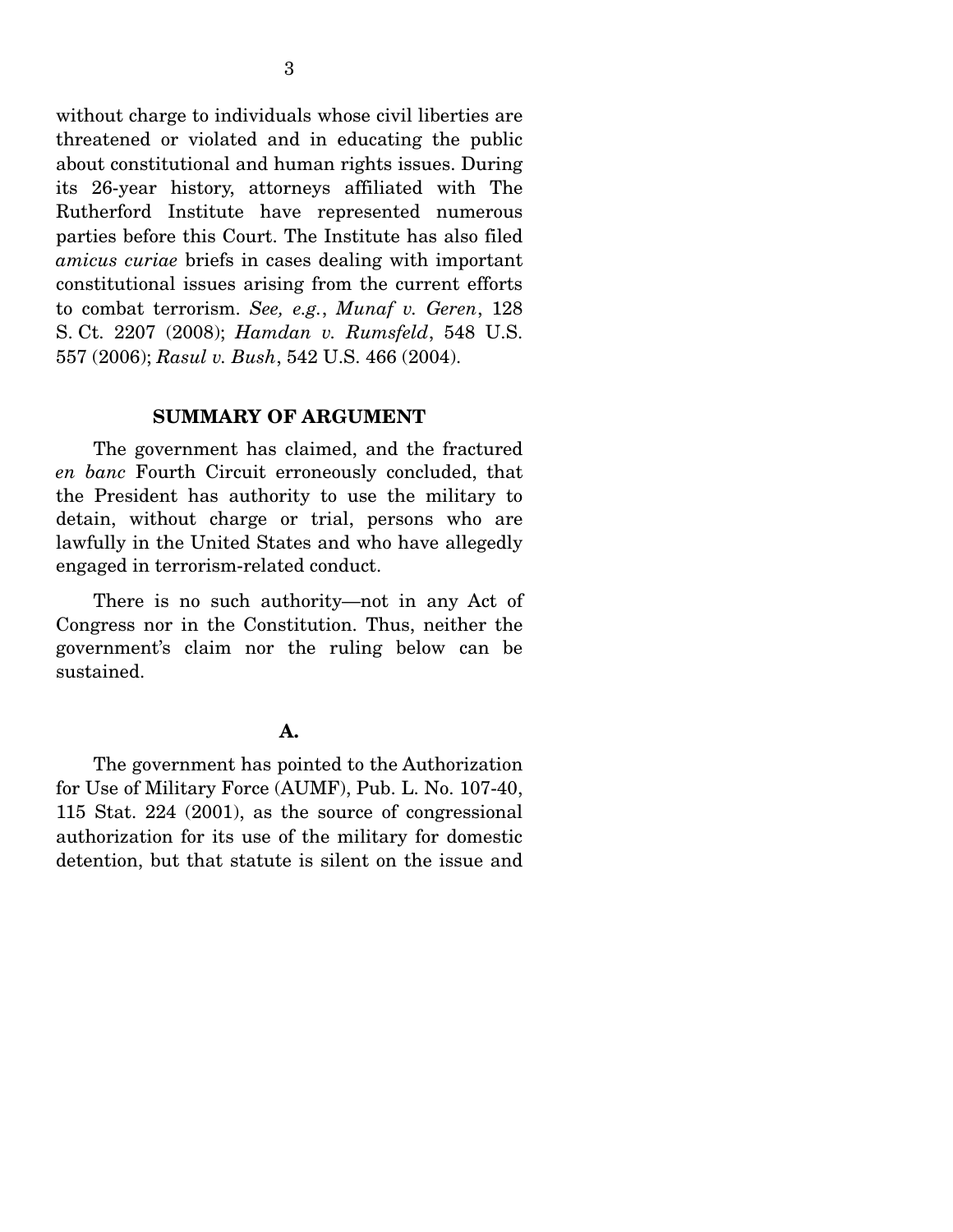without charge to individuals whose civil liberties are threatened or violated and in educating the public about constitutional and human rights issues. During its 26-year history, attorneys affiliated with The Rutherford Institute have represented numerous parties before this Court. The Institute has also filed *amicus curiae* briefs in cases dealing with important constitutional issues arising from the current efforts to combat terrorism. *See, e.g.*, *Munaf v. Geren*, 128 S. Ct. 2207 (2008); *Hamdan v. Rumsfeld*, 548 U.S. 557 (2006); *Rasul v. Bush*, 542 U.S. 466 (2004).

#### **SUMMARY OF ARGUMENT**

 The government has claimed, and the fractured *en banc* Fourth Circuit erroneously concluded, that the President has authority to use the military to detain, without charge or trial, persons who are lawfully in the United States and who have allegedly engaged in terrorism-related conduct.

 There is no such authority—not in any Act of Congress nor in the Constitution. Thus, neither the government's claim nor the ruling below can be sustained.

#### **A.**

 The government has pointed to the Authorization for Use of Military Force (AUMF), Pub. L. No. 107-40, 115 Stat. 224 (2001), as the source of congressional authorization for its use of the military for domestic detention, but that statute is silent on the issue and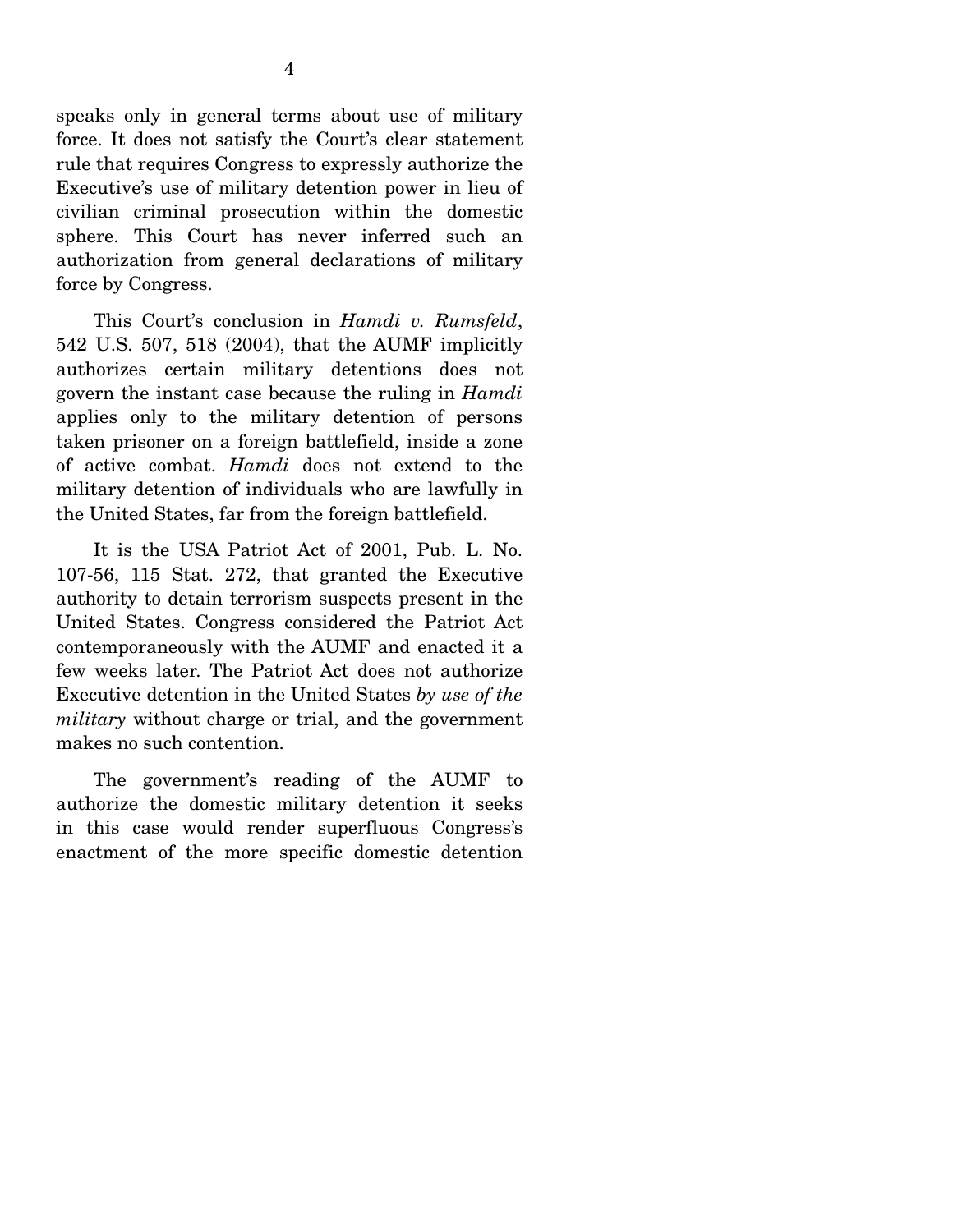speaks only in general terms about use of military force. It does not satisfy the Court's clear statement rule that requires Congress to expressly authorize the Executive's use of military detention power in lieu of civilian criminal prosecution within the domestic sphere. This Court has never inferred such an authorization from general declarations of military force by Congress.

 This Court's conclusion in *Hamdi v. Rumsfeld*, 542 U.S. 507, 518 (2004), that the AUMF implicitly authorizes certain military detentions does not govern the instant case because the ruling in *Hamdi* applies only to the military detention of persons taken prisoner on a foreign battlefield, inside a zone of active combat. *Hamdi* does not extend to the military detention of individuals who are lawfully in the United States, far from the foreign battlefield.

 It is the USA Patriot Act of 2001, Pub. L. No. 107-56, 115 Stat. 272, that granted the Executive authority to detain terrorism suspects present in the United States. Congress considered the Patriot Act contemporaneously with the AUMF and enacted it a few weeks later. The Patriot Act does not authorize Executive detention in the United States *by use of the military* without charge or trial, and the government makes no such contention.

 The government's reading of the AUMF to authorize the domestic military detention it seeks in this case would render superfluous Congress's enactment of the more specific domestic detention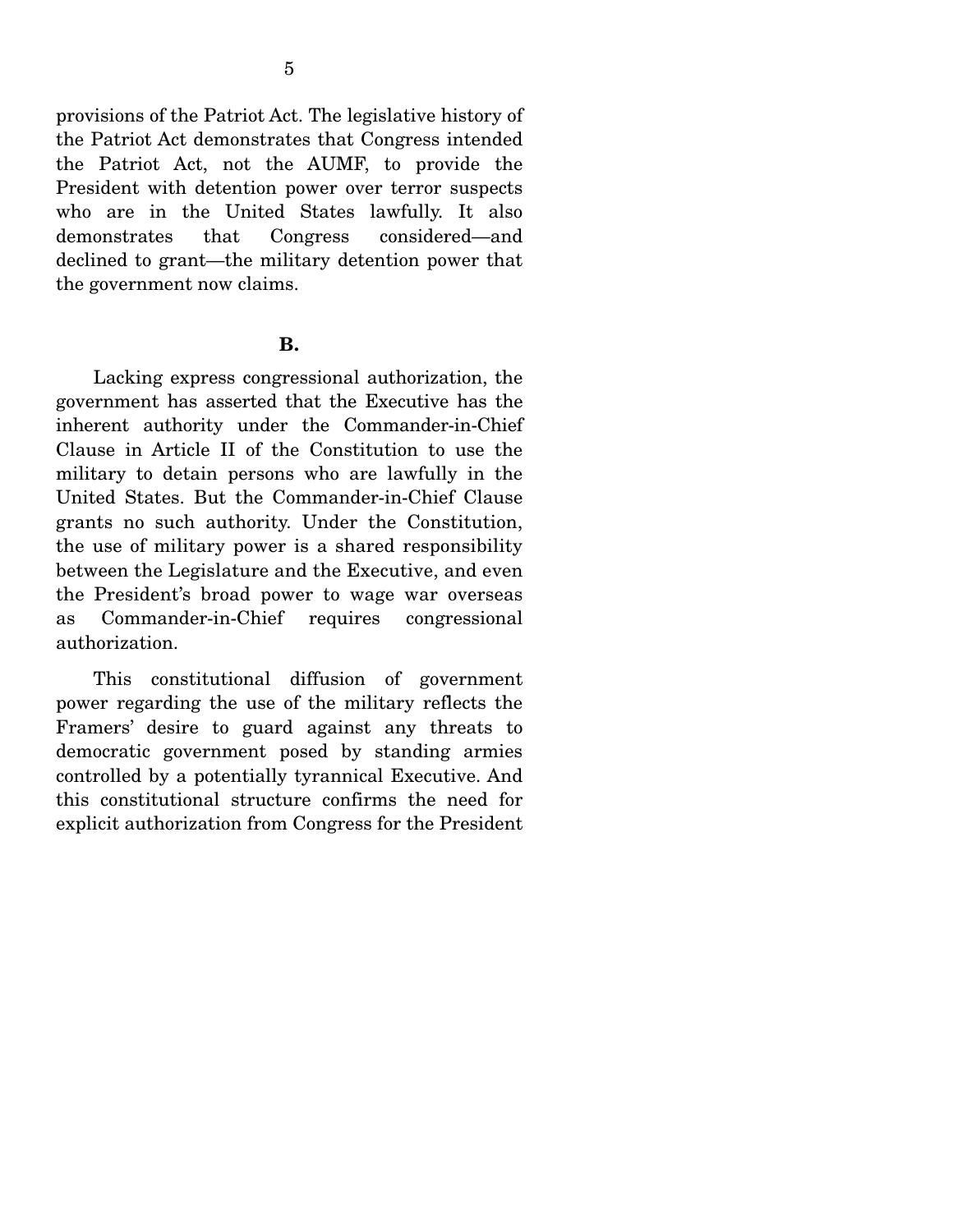provisions of the Patriot Act. The legislative history of the Patriot Act demonstrates that Congress intended the Patriot Act, not the AUMF, to provide the President with detention power over terror suspects who are in the United States lawfully. It also demonstrates that Congress considered—and declined to grant—the military detention power that the government now claims.

#### **B.**

 Lacking express congressional authorization, the government has asserted that the Executive has the inherent authority under the Commander-in-Chief Clause in Article II of the Constitution to use the military to detain persons who are lawfully in the United States. But the Commander-in-Chief Clause grants no such authority. Under the Constitution, the use of military power is a shared responsibility between the Legislature and the Executive, and even the President's broad power to wage war overseas as Commander-in-Chief requires congressional authorization.

 This constitutional diffusion of government power regarding the use of the military reflects the Framers' desire to guard against any threats to democratic government posed by standing armies controlled by a potentially tyrannical Executive. And this constitutional structure confirms the need for explicit authorization from Congress for the President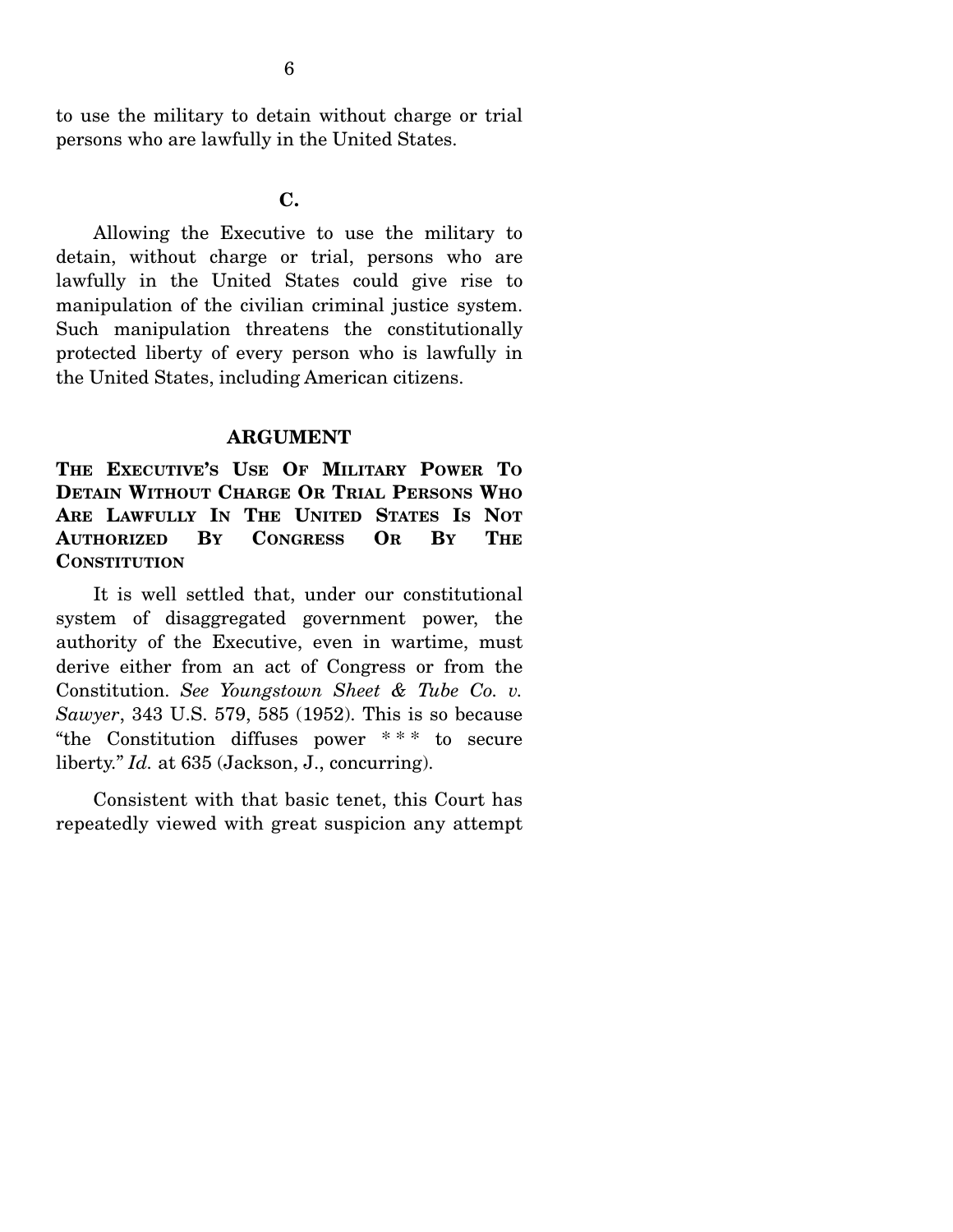to use the military to detain without charge or trial persons who are lawfully in the United States.

**C.** 

 Allowing the Executive to use the military to detain, without charge or trial, persons who are lawfully in the United States could give rise to manipulation of the civilian criminal justice system. Such manipulation threatens the constitutionally protected liberty of every person who is lawfully in the United States, including American citizens.

#### **ARGUMENT**

**THE EXECUTIVE'S USE OF MILITARY POWER TO DETAIN WITHOUT CHARGE OR TRIAL PERSONS WHO ARE LAWFULLY IN THE UNITED STATES IS NOT AUTHORIZED BY CONGRESS OR BY THE CONSTITUTION**

 It is well settled that, under our constitutional system of disaggregated government power, the authority of the Executive, even in wartime, must derive either from an act of Congress or from the Constitution. *See Youngstown Sheet & Tube Co. v. Sawyer*, 343 U.S. 579, 585 (1952). This is so because "the Constitution diffuses power \* \* \* to secure liberty." *Id.* at 635 (Jackson, J., concurring).

 Consistent with that basic tenet, this Court has repeatedly viewed with great suspicion any attempt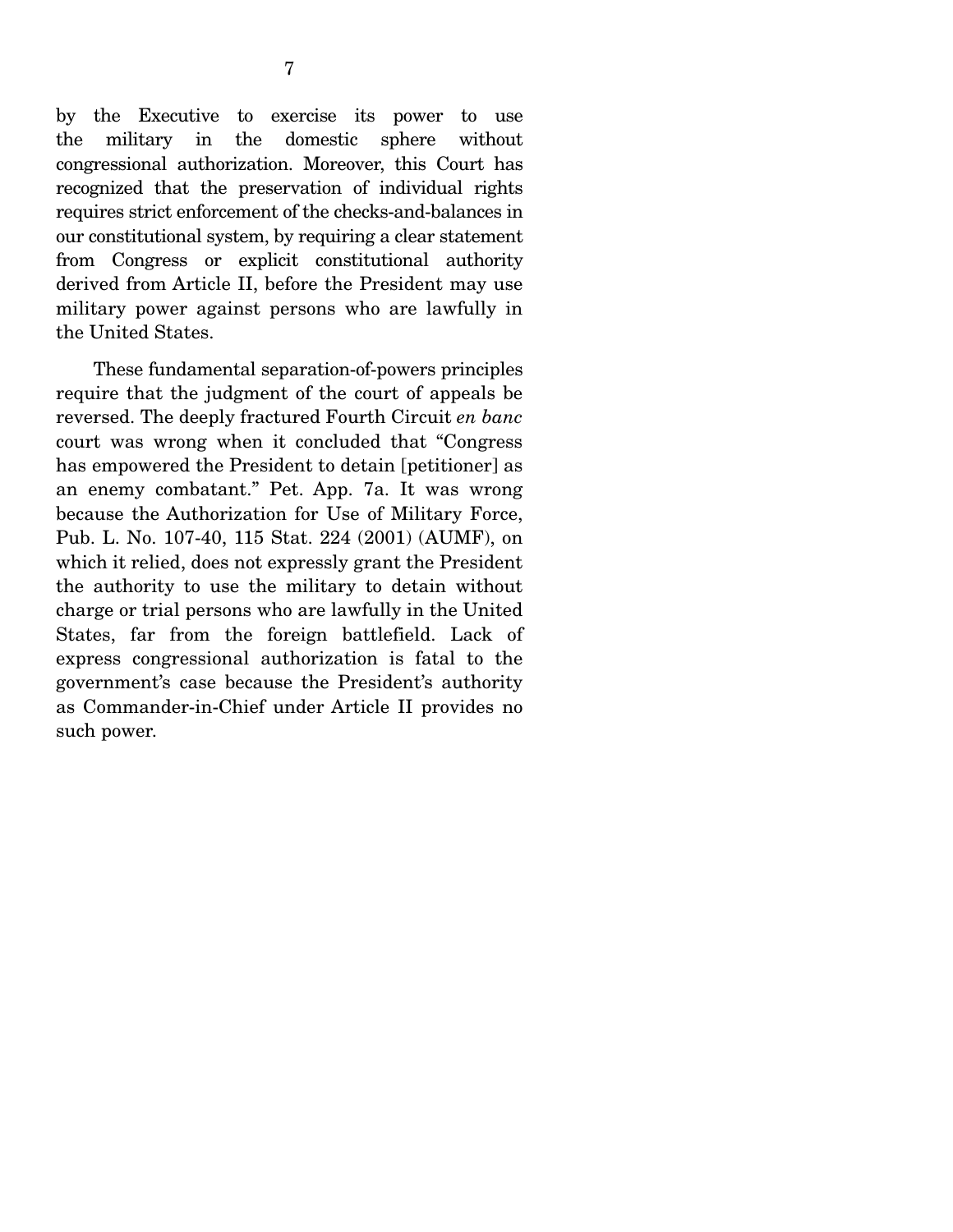by the Executive to exercise its power to use the military in the domestic sphere without congressional authorization. Moreover, this Court has recognized that the preservation of individual rights requires strict enforcement of the checks-and-balances in our constitutional system, by requiring a clear statement from Congress or explicit constitutional authority derived from Article II, before the President may use military power against persons who are lawfully in the United States.

 These fundamental separation-of-powers principles require that the judgment of the court of appeals be reversed. The deeply fractured Fourth Circuit *en banc* court was wrong when it concluded that "Congress has empowered the President to detain [petitioner] as an enemy combatant." Pet. App. 7a. It was wrong because the Authorization for Use of Military Force, Pub. L. No. 107-40, 115 Stat. 224 (2001) (AUMF), on which it relied, does not expressly grant the President the authority to use the military to detain without charge or trial persons who are lawfully in the United States, far from the foreign battlefield. Lack of express congressional authorization is fatal to the government's case because the President's authority as Commander-in-Chief under Article II provides no such power.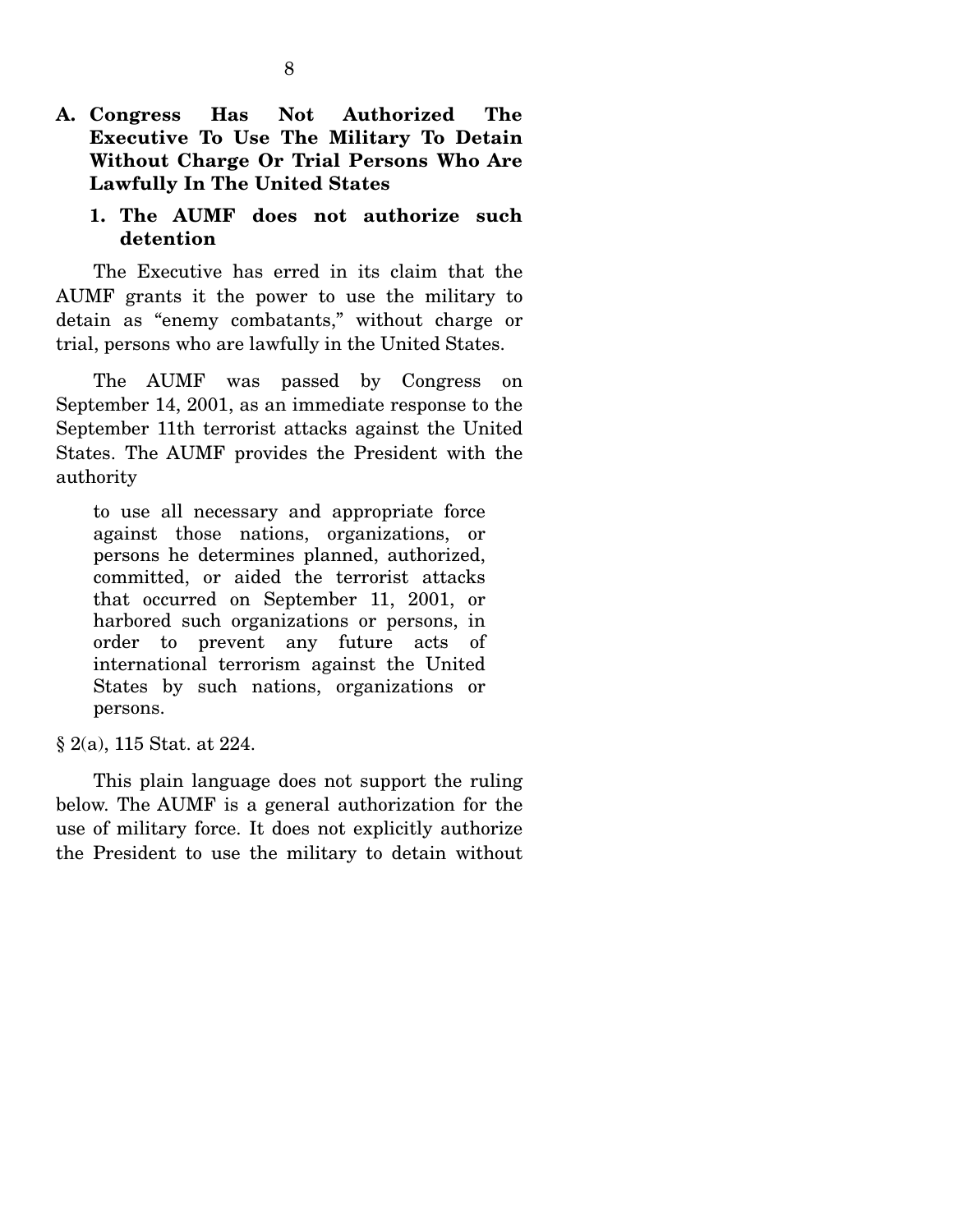**A. Congress Has Not Authorized The Executive To Use The Military To Detain Without Charge Or Trial Persons Who Are Lawfully In The United States** 

### **1. The AUMF does not authorize such detention**

 The Executive has erred in its claim that the AUMF grants it the power to use the military to detain as "enemy combatants," without charge or trial, persons who are lawfully in the United States.

 The AUMF was passed by Congress on September 14, 2001, as an immediate response to the September 11th terrorist attacks against the United States. The AUMF provides the President with the authority

to use all necessary and appropriate force against those nations, organizations, or persons he determines planned, authorized, committed, or aided the terrorist attacks that occurred on September 11, 2001, or harbored such organizations or persons, in order to prevent any future acts of international terrorism against the United States by such nations, organizations or persons.

§ 2(a), 115 Stat. at 224.

 This plain language does not support the ruling below. The AUMF is a general authorization for the use of military force. It does not explicitly authorize the President to use the military to detain without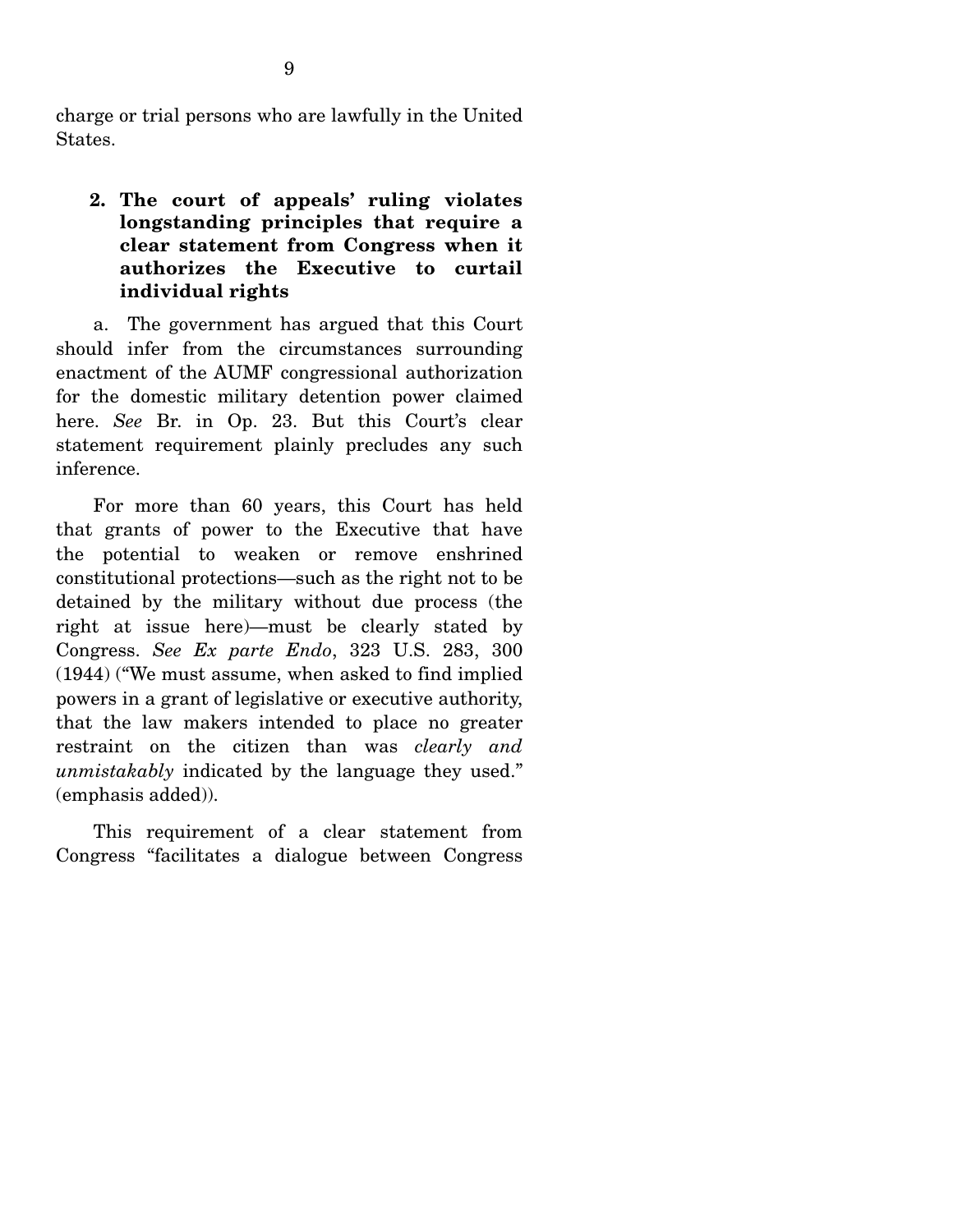charge or trial persons who are lawfully in the United States.

## **2. The court of appeals' ruling violates longstanding principles that require a clear statement from Congress when it authorizes the Executive to curtail individual rights**

 a. The government has argued that this Court should infer from the circumstances surrounding enactment of the AUMF congressional authorization for the domestic military detention power claimed here. *See* Br. in Op. 23. But this Court's clear statement requirement plainly precludes any such inference.

 For more than 60 years, this Court has held that grants of power to the Executive that have the potential to weaken or remove enshrined constitutional protections—such as the right not to be detained by the military without due process (the right at issue here)—must be clearly stated by Congress. *See Ex parte Endo*, 323 U.S. 283, 300 (1944) ("We must assume, when asked to find implied powers in a grant of legislative or executive authority, that the law makers intended to place no greater restraint on the citizen than was *clearly and unmistakably* indicated by the language they used." (emphasis added)).

 This requirement of a clear statement from Congress "facilitates a dialogue between Congress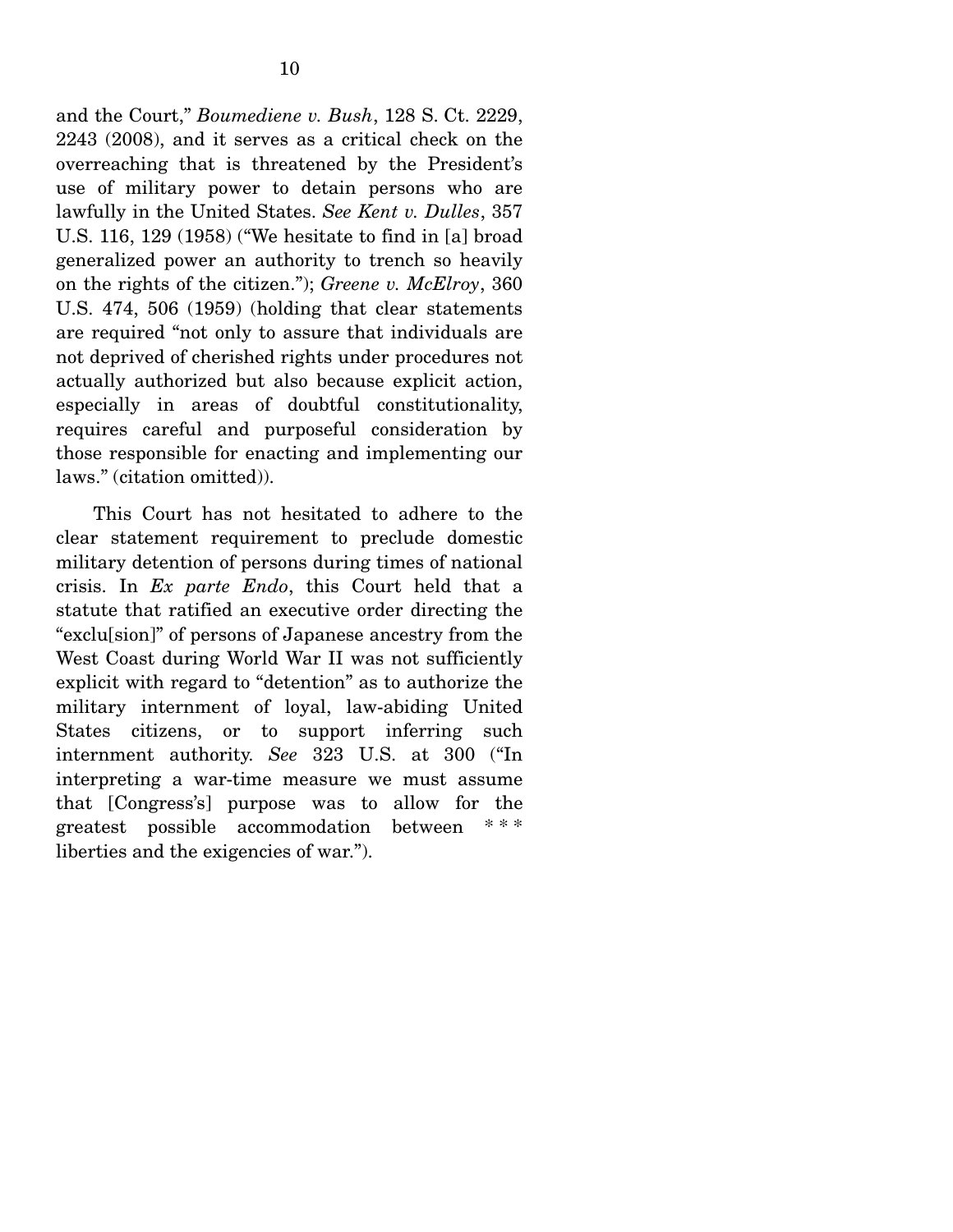and the Court," *Boumediene v. Bush*, 128 S. Ct. 2229, 2243 (2008), and it serves as a critical check on the overreaching that is threatened by the President's use of military power to detain persons who are lawfully in the United States. *See Kent v. Dulles*, 357 U.S. 116, 129 (1958) ("We hesitate to find in [a] broad generalized power an authority to trench so heavily on the rights of the citizen."); *Greene v. McElroy*, 360 U.S. 474, 506 (1959) (holding that clear statements are required "not only to assure that individuals are not deprived of cherished rights under procedures not actually authorized but also because explicit action, especially in areas of doubtful constitutionality, requires careful and purposeful consideration by those responsible for enacting and implementing our laws." (citation omitted)).

 This Court has not hesitated to adhere to the clear statement requirement to preclude domestic military detention of persons during times of national crisis. In *Ex parte Endo*, this Court held that a statute that ratified an executive order directing the "exclu[sion]" of persons of Japanese ancestry from the West Coast during World War II was not sufficiently explicit with regard to "detention" as to authorize the military internment of loyal, law-abiding United States citizens, or to support inferring such internment authority. *See* 323 U.S. at 300 ("In interpreting a war-time measure we must assume that [Congress's] purpose was to allow for the greatest possible accommodation between \* \* \* liberties and the exigencies of war.").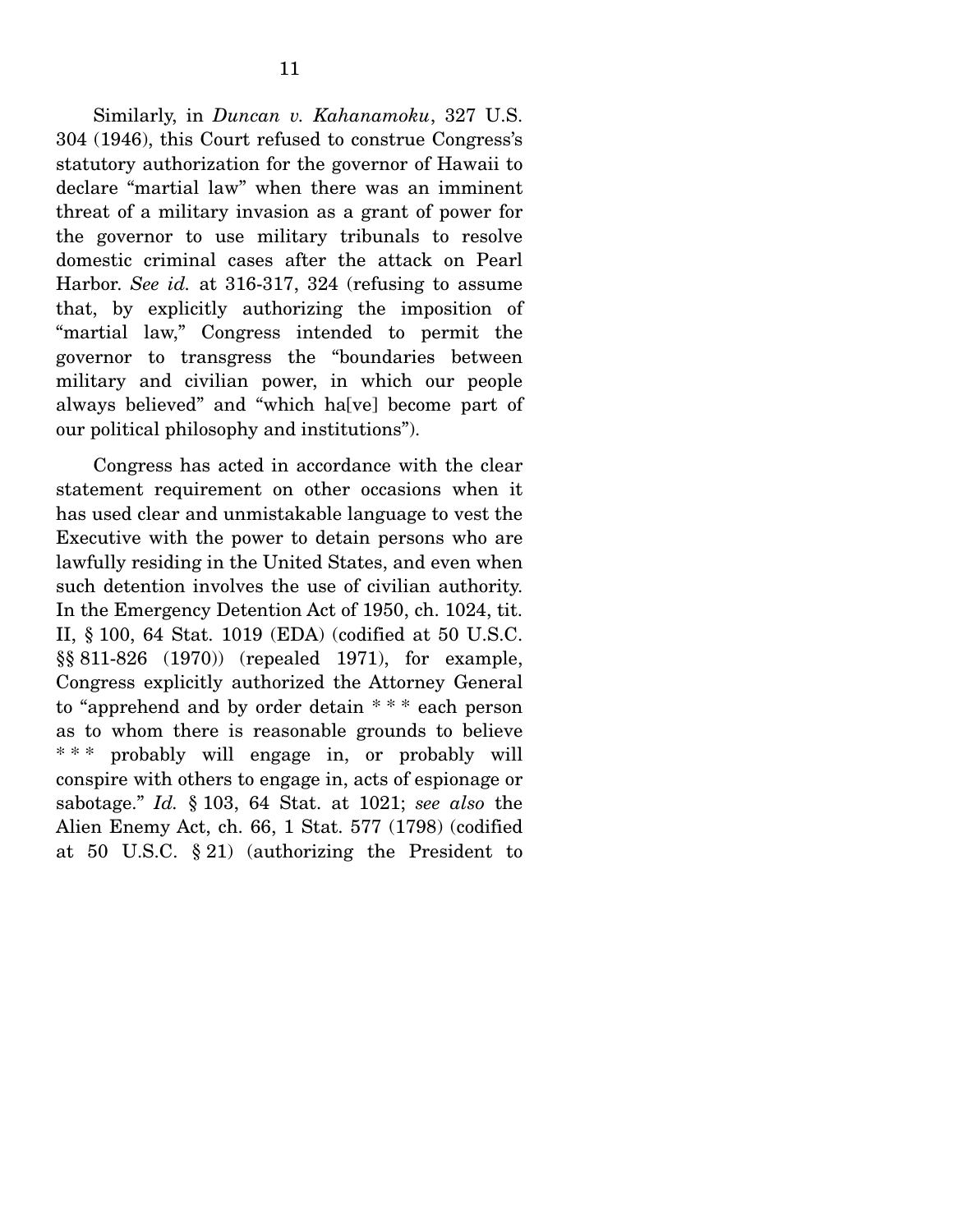Similarly, in *Duncan v. Kahanamoku*, 327 U.S. 304 (1946), this Court refused to construe Congress's statutory authorization for the governor of Hawaii to declare "martial law" when there was an imminent threat of a military invasion as a grant of power for the governor to use military tribunals to resolve domestic criminal cases after the attack on Pearl Harbor. *See id.* at 316-317, 324 (refusing to assume that, by explicitly authorizing the imposition of "martial law," Congress intended to permit the governor to transgress the "boundaries between military and civilian power, in which our people always believed" and "which ha[ve] become part of our political philosophy and institutions").

 Congress has acted in accordance with the clear statement requirement on other occasions when it has used clear and unmistakable language to vest the Executive with the power to detain persons who are lawfully residing in the United States, and even when such detention involves the use of civilian authority. In the Emergency Detention Act of 1950, ch. 1024, tit. II, § 100, 64 Stat. 1019 (EDA) (codified at 50 U.S.C. §§ 811-826 (1970)) (repealed 1971), for example, Congress explicitly authorized the Attorney General to "apprehend and by order detain \* \* \* each person as to whom there is reasonable grounds to believe \* \* \* probably will engage in, or probably will conspire with others to engage in, acts of espionage or sabotage." *Id.* § 103, 64 Stat. at 1021; *see also* the Alien Enemy Act, ch. 66, 1 Stat. 577 (1798) (codified at 50 U.S.C. § 21) (authorizing the President to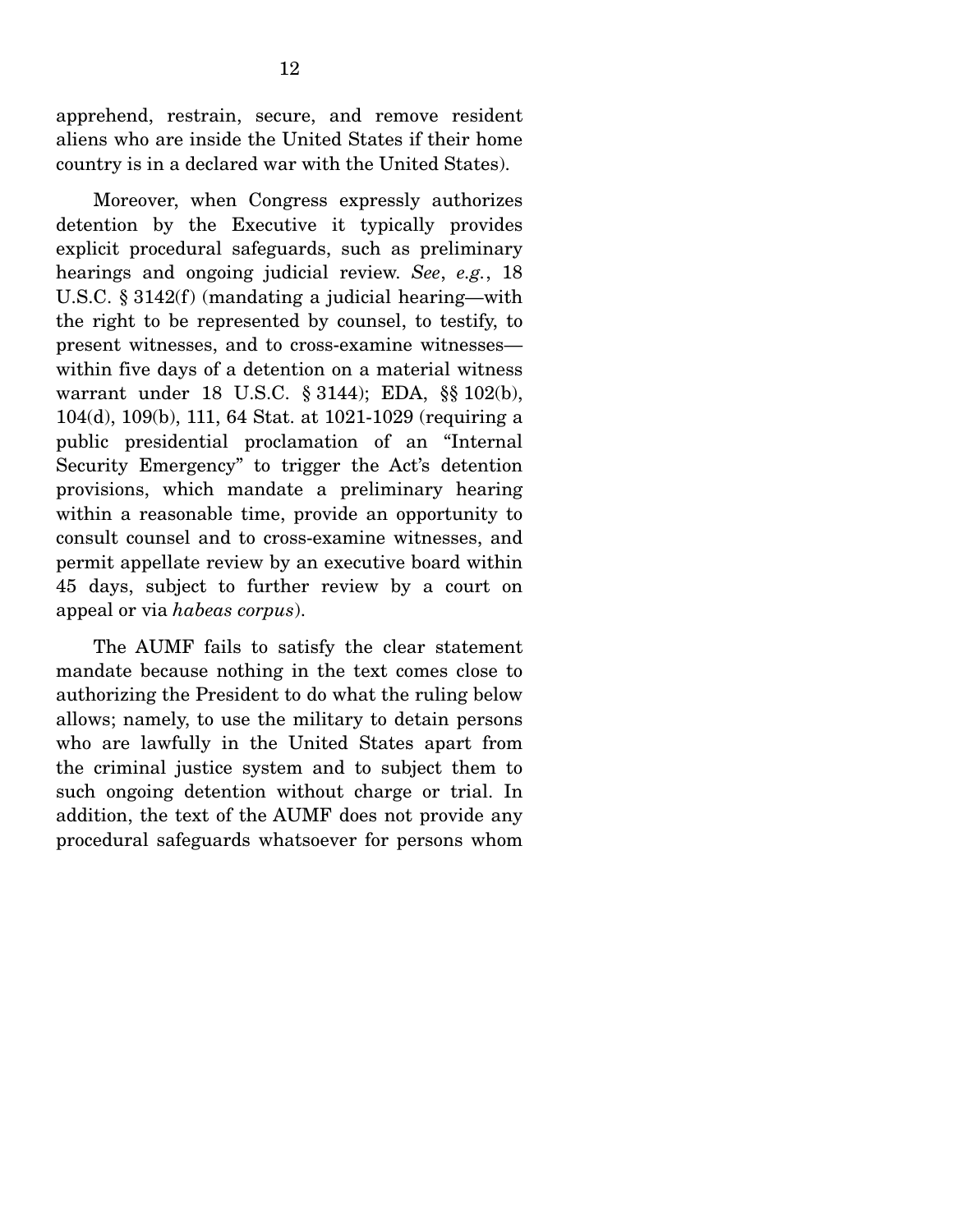apprehend, restrain, secure, and remove resident aliens who are inside the United States if their home country is in a declared war with the United States).

 Moreover, when Congress expressly authorizes detention by the Executive it typically provides explicit procedural safeguards, such as preliminary hearings and ongoing judicial review. *See*, *e.g.*, 18 U.S.C. § 3142(f) (mandating a judicial hearing—with the right to be represented by counsel, to testify, to present witnesses, and to cross-examine witnesses within five days of a detention on a material witness warrant under 18 U.S.C. § 3144); EDA, §§ 102(b), 104(d), 109(b), 111, 64 Stat. at 1021-1029 (requiring a public presidential proclamation of an "Internal Security Emergency" to trigger the Act's detention provisions, which mandate a preliminary hearing within a reasonable time, provide an opportunity to consult counsel and to cross-examine witnesses, and permit appellate review by an executive board within 45 days, subject to further review by a court on appeal or via *habeas corpus*).

 The AUMF fails to satisfy the clear statement mandate because nothing in the text comes close to authorizing the President to do what the ruling below allows; namely, to use the military to detain persons who are lawfully in the United States apart from the criminal justice system and to subject them to such ongoing detention without charge or trial. In addition, the text of the AUMF does not provide any procedural safeguards whatsoever for persons whom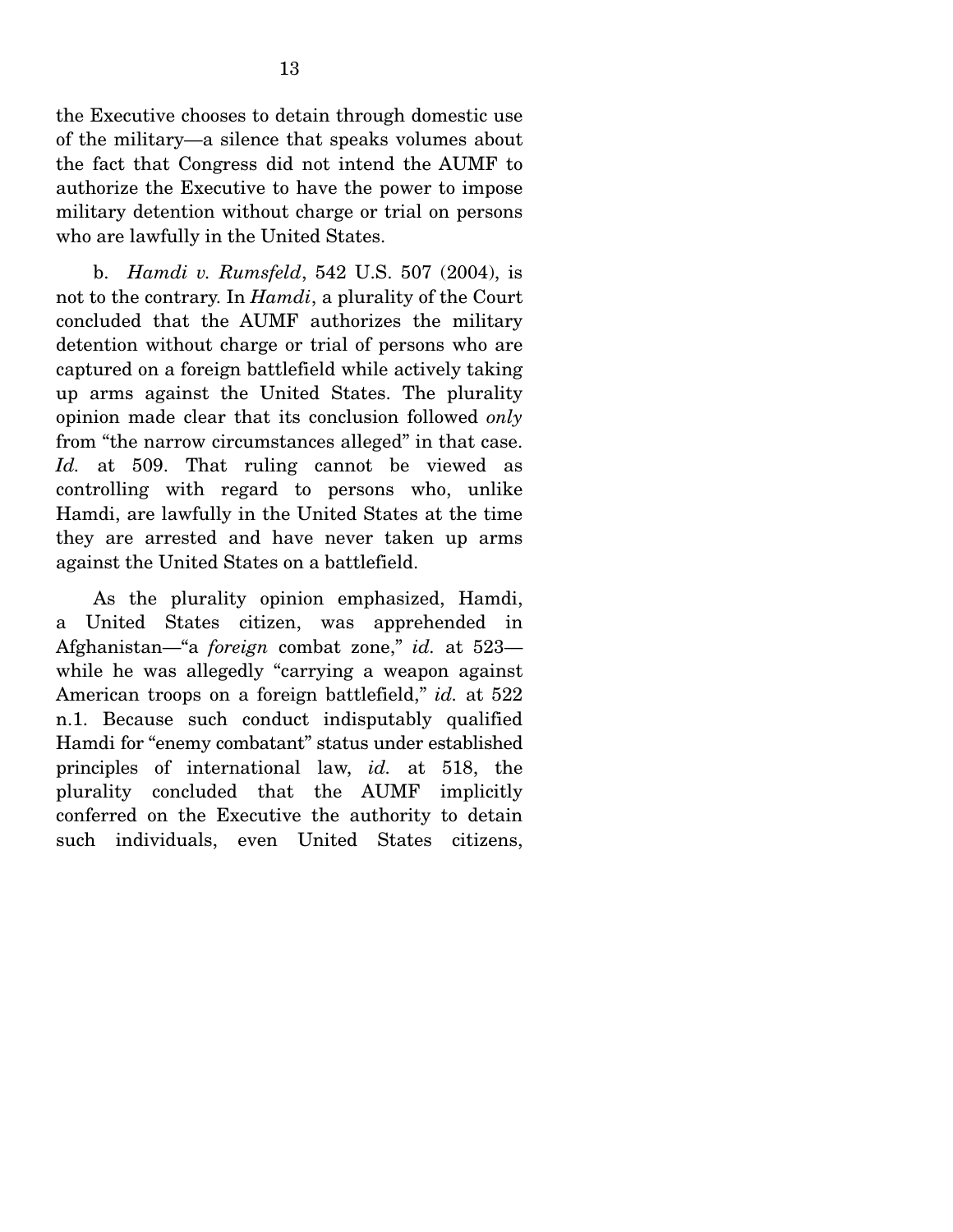the Executive chooses to detain through domestic use of the military—a silence that speaks volumes about the fact that Congress did not intend the AUMF to authorize the Executive to have the power to impose military detention without charge or trial on persons who are lawfully in the United States.

 b. *Hamdi v. Rumsfeld*, 542 U.S. 507 (2004), is not to the contrary. In *Hamdi*, a plurality of the Court concluded that the AUMF authorizes the military detention without charge or trial of persons who are captured on a foreign battlefield while actively taking up arms against the United States. The plurality opinion made clear that its conclusion followed *only* from "the narrow circumstances alleged" in that case. *Id.* at 509. That ruling cannot be viewed as controlling with regard to persons who, unlike Hamdi, are lawfully in the United States at the time they are arrested and have never taken up arms against the United States on a battlefield.

 As the plurality opinion emphasized, Hamdi, a United States citizen, was apprehended in Afghanistan—"a *foreign* combat zone," *id.* at 523 while he was allegedly "carrying a weapon against American troops on a foreign battlefield," *id.* at 522 n.1. Because such conduct indisputably qualified Hamdi for "enemy combatant" status under established principles of international law, *id.* at 518, the plurality concluded that the AUMF implicitly conferred on the Executive the authority to detain such individuals, even United States citizens,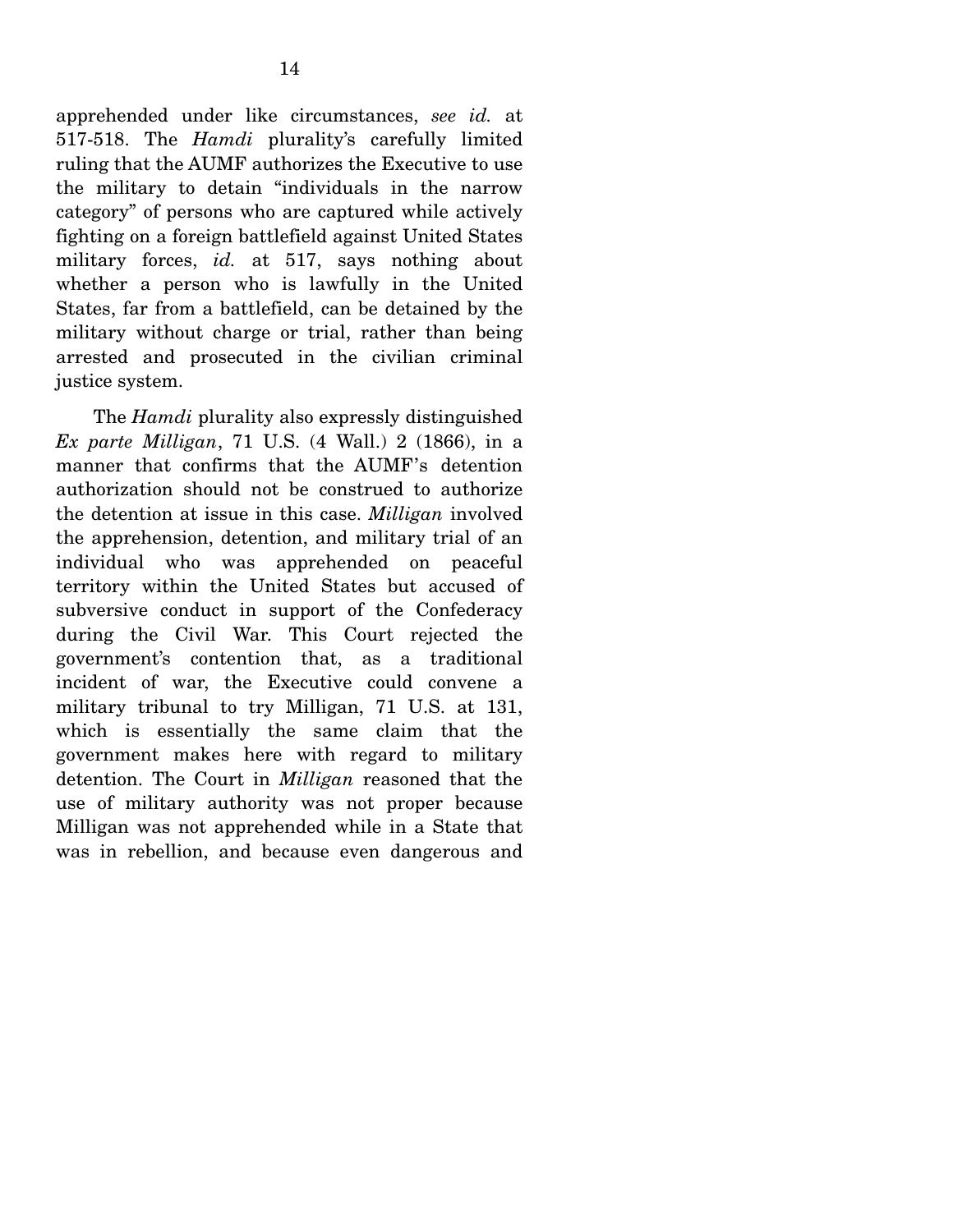apprehended under like circumstances, *see id.* at 517-518. The *Hamdi* plurality's carefully limited ruling that the AUMF authorizes the Executive to use the military to detain "individuals in the narrow category" of persons who are captured while actively fighting on a foreign battlefield against United States military forces, *id.* at 517, says nothing about whether a person who is lawfully in the United States, far from a battlefield, can be detained by the military without charge or trial, rather than being arrested and prosecuted in the civilian criminal justice system.

 The *Hamdi* plurality also expressly distinguished *Ex parte Milligan*, 71 U.S. (4 Wall.) 2 (1866), in a manner that confirms that the AUMF's detention authorization should not be construed to authorize the detention at issue in this case. *Milligan* involved the apprehension, detention, and military trial of an individual who was apprehended on peaceful territory within the United States but accused of subversive conduct in support of the Confederacy during the Civil War. This Court rejected the government's contention that, as a traditional incident of war, the Executive could convene a military tribunal to try Milligan, 71 U.S. at 131, which is essentially the same claim that the government makes here with regard to military detention. The Court in *Milligan* reasoned that the use of military authority was not proper because Milligan was not apprehended while in a State that was in rebellion, and because even dangerous and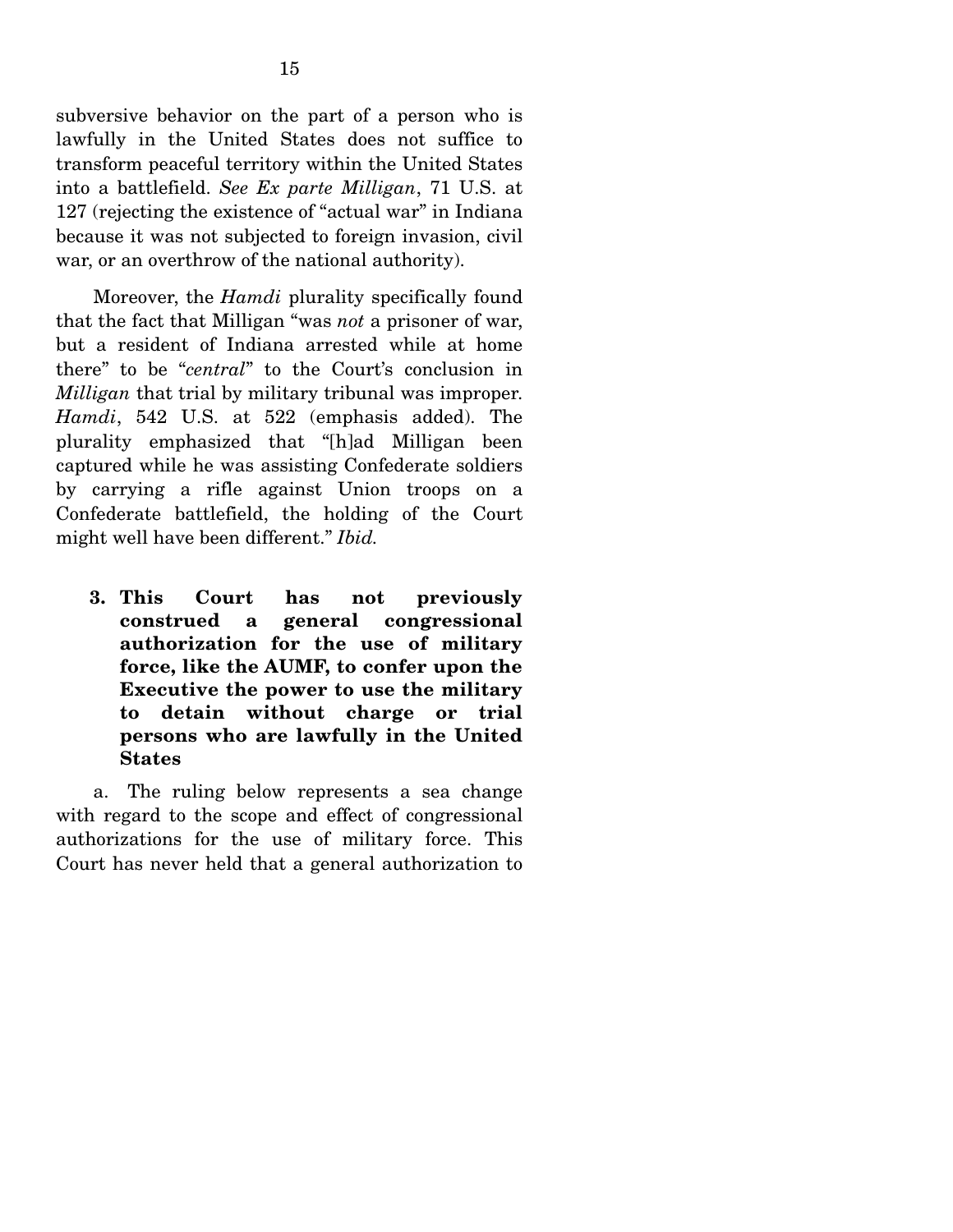subversive behavior on the part of a person who is lawfully in the United States does not suffice to transform peaceful territory within the United States into a battlefield. *See Ex parte Milligan*, 71 U.S. at 127 (rejecting the existence of "actual war" in Indiana because it was not subjected to foreign invasion, civil war, or an overthrow of the national authority).

 Moreover, the *Hamdi* plurality specifically found that the fact that Milligan "was *not* a prisoner of war, but a resident of Indiana arrested while at home there" to be "*central*" to the Court's conclusion in *Milligan* that trial by military tribunal was improper. *Hamdi*, 542 U.S. at 522 (emphasis added). The plurality emphasized that "[h]ad Milligan been captured while he was assisting Confederate soldiers by carrying a rifle against Union troops on a Confederate battlefield, the holding of the Court might well have been different." *Ibid.* 

**3. This Court has not previously construed a general congressional authorization for the use of military force, like the AUMF, to confer upon the Executive the power to use the military to detain without charge or trial persons who are lawfully in the United States** 

 a. The ruling below represents a sea change with regard to the scope and effect of congressional authorizations for the use of military force. This Court has never held that a general authorization to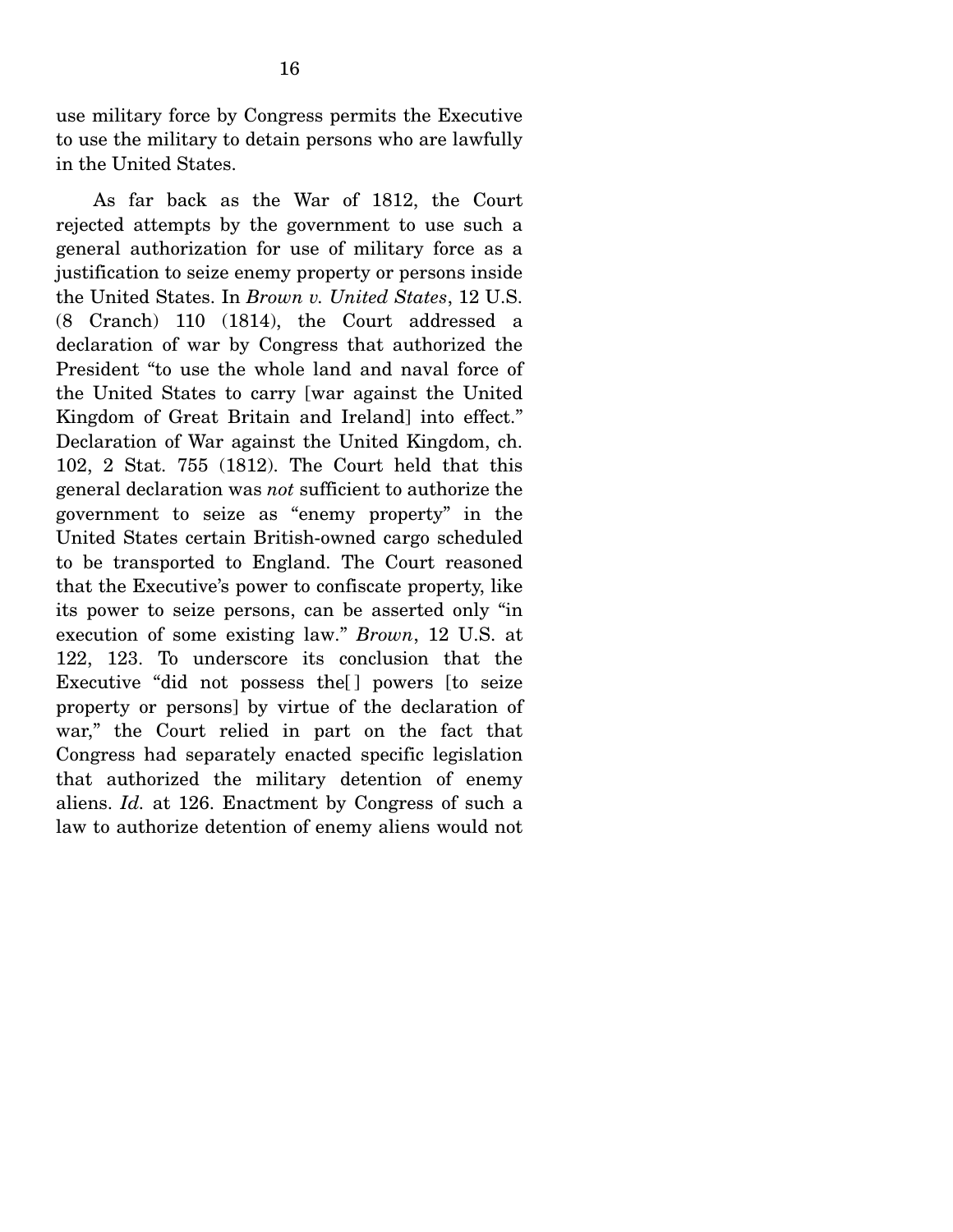use military force by Congress permits the Executive to use the military to detain persons who are lawfully in the United States.

 As far back as the War of 1812, the Court rejected attempts by the government to use such a general authorization for use of military force as a justification to seize enemy property or persons inside the United States. In *Brown v. United States*, 12 U.S. (8 Cranch) 110 (1814), the Court addressed a declaration of war by Congress that authorized the President "to use the whole land and naval force of the United States to carry [war against the United Kingdom of Great Britain and Ireland] into effect." Declaration of War against the United Kingdom, ch. 102, 2 Stat. 755 (1812). The Court held that this general declaration was *not* sufficient to authorize the government to seize as "enemy property" in the United States certain British-owned cargo scheduled to be transported to England. The Court reasoned that the Executive's power to confiscate property, like its power to seize persons, can be asserted only "in execution of some existing law." *Brown*, 12 U.S. at 122, 123. To underscore its conclusion that the Executive "did not possess the [] powers [to seize property or persons] by virtue of the declaration of war," the Court relied in part on the fact that Congress had separately enacted specific legislation that authorized the military detention of enemy aliens. *Id.* at 126. Enactment by Congress of such a law to authorize detention of enemy aliens would not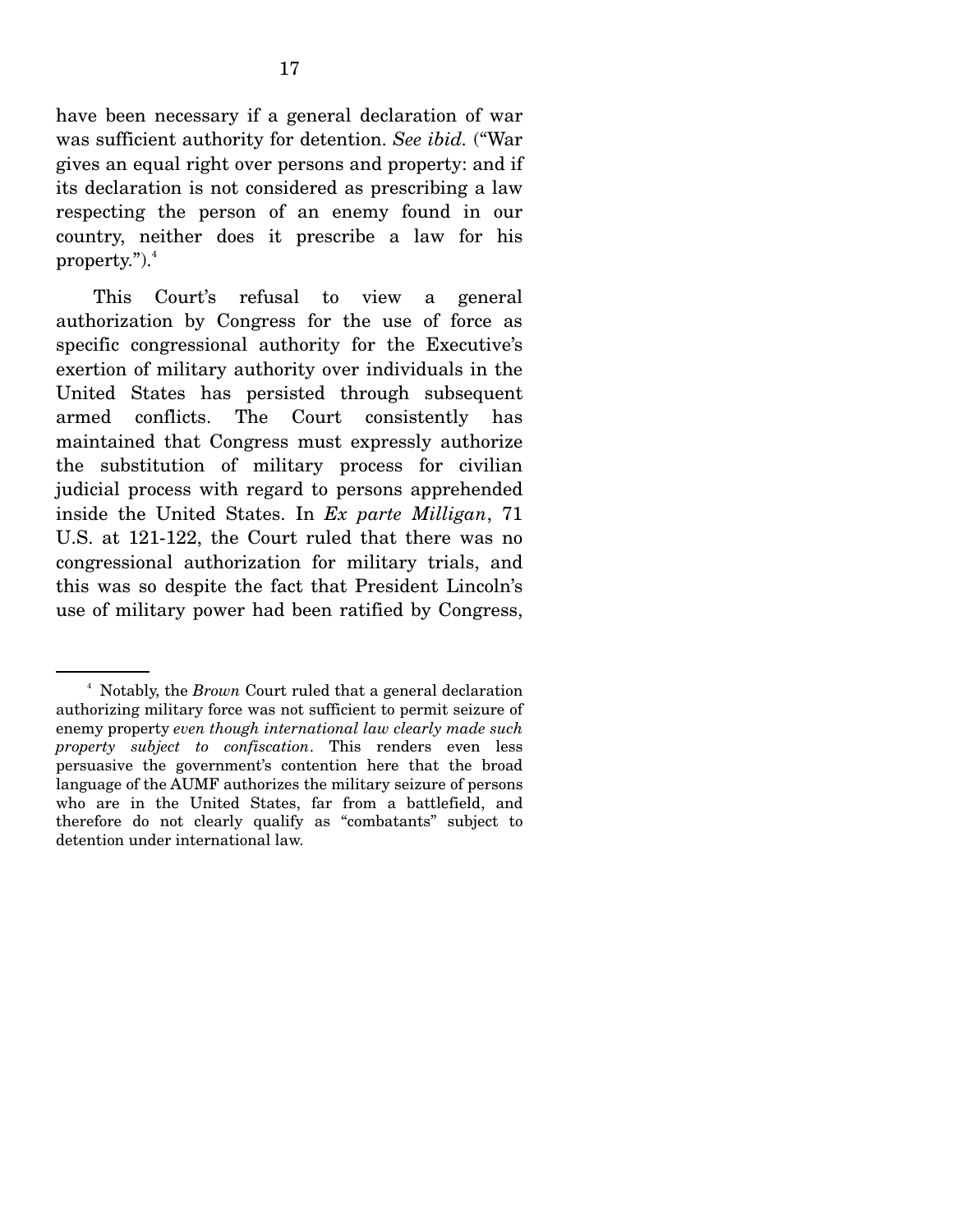have been necessary if a general declaration of war was sufficient authority for detention. *See ibid.* ("War gives an equal right over persons and property: and if its declaration is not considered as prescribing a law respecting the person of an enemy found in our country, neither does it prescribe a law for his property." $)^{4}$ 

 This Court's refusal to view a general authorization by Congress for the use of force as specific congressional authority for the Executive's exertion of military authority over individuals in the United States has persisted through subsequent armed conflicts. The Court consistently has maintained that Congress must expressly authorize the substitution of military process for civilian judicial process with regard to persons apprehended inside the United States. In *Ex parte Milligan*, 71 U.S. at 121-122, the Court ruled that there was no congressional authorization for military trials, and this was so despite the fact that President Lincoln's use of military power had been ratified by Congress,

<sup>&</sup>lt;sup>4</sup> Notably, the *Brown* Court ruled that a general declaration authorizing military force was not sufficient to permit seizure of enemy property *even though international law clearly made such property subject to confiscation*. This renders even less persuasive the government's contention here that the broad language of the AUMF authorizes the military seizure of persons who are in the United States, far from a battlefield, and therefore do not clearly qualify as "combatants" subject to detention under international law.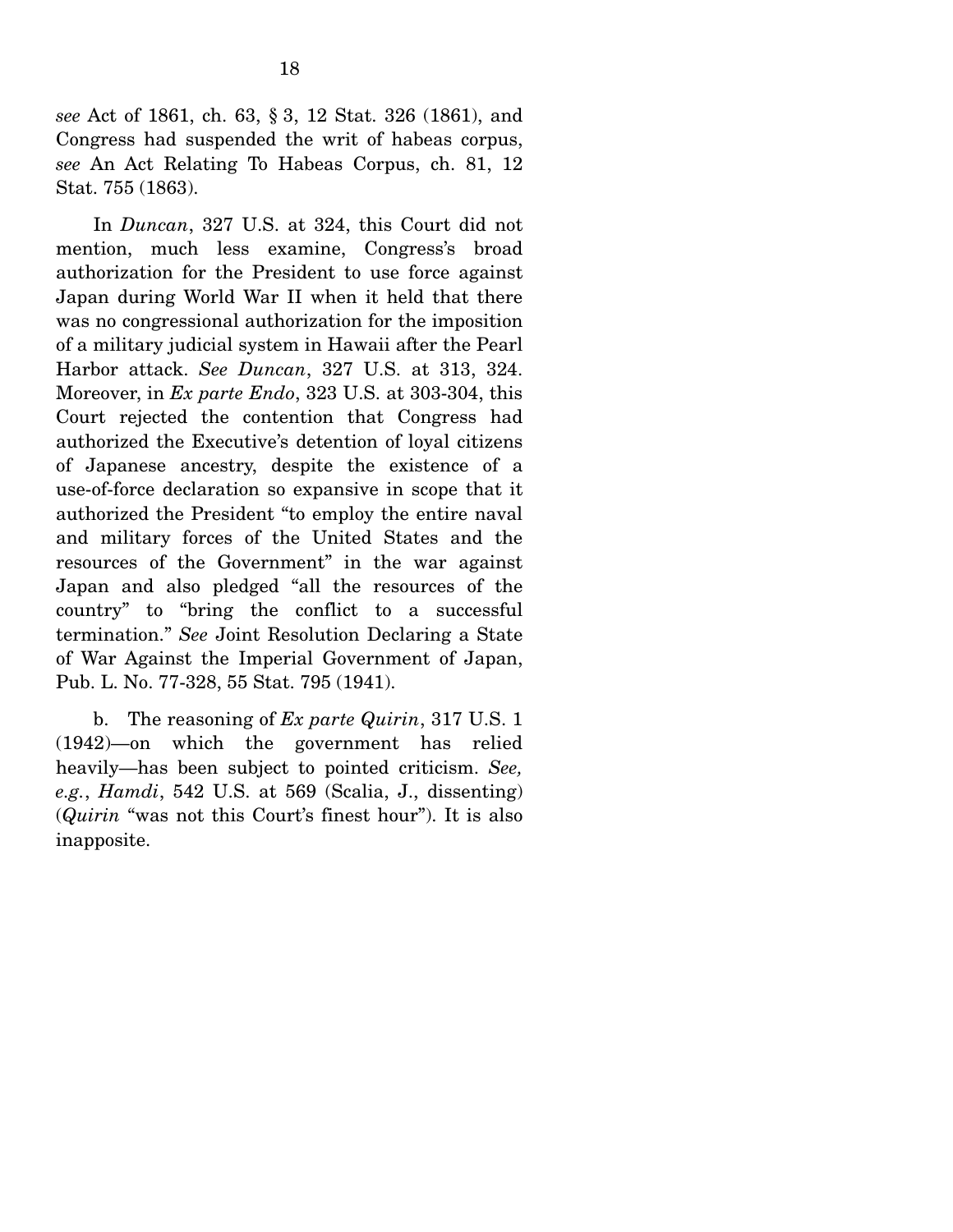*see* Act of 1861, ch. 63, § 3, 12 Stat. 326 (1861), and Congress had suspended the writ of habeas corpus, *see* An Act Relating To Habeas Corpus, ch. 81, 12 Stat. 755 (1863).

 In *Duncan*, 327 U.S. at 324, this Court did not mention, much less examine, Congress's broad authorization for the President to use force against Japan during World War II when it held that there was no congressional authorization for the imposition of a military judicial system in Hawaii after the Pearl Harbor attack. *See Duncan*, 327 U.S. at 313, 324. Moreover, in *Ex parte Endo*, 323 U.S. at 303-304, this Court rejected the contention that Congress had authorized the Executive's detention of loyal citizens of Japanese ancestry, despite the existence of a use-of-force declaration so expansive in scope that it authorized the President "to employ the entire naval and military forces of the United States and the resources of the Government" in the war against Japan and also pledged "all the resources of the country" to "bring the conflict to a successful termination." *See* Joint Resolution Declaring a State of War Against the Imperial Government of Japan, Pub. L. No. 77-328, 55 Stat. 795 (1941).

 b. The reasoning of *Ex parte Quirin*, 317 U.S. 1 (1942)—on which the government has relied heavily—has been subject to pointed criticism. *See, e.g.*, *Hamdi*, 542 U.S. at 569 (Scalia, J., dissenting) (*Quirin* "was not this Court's finest hour"). It is also inapposite.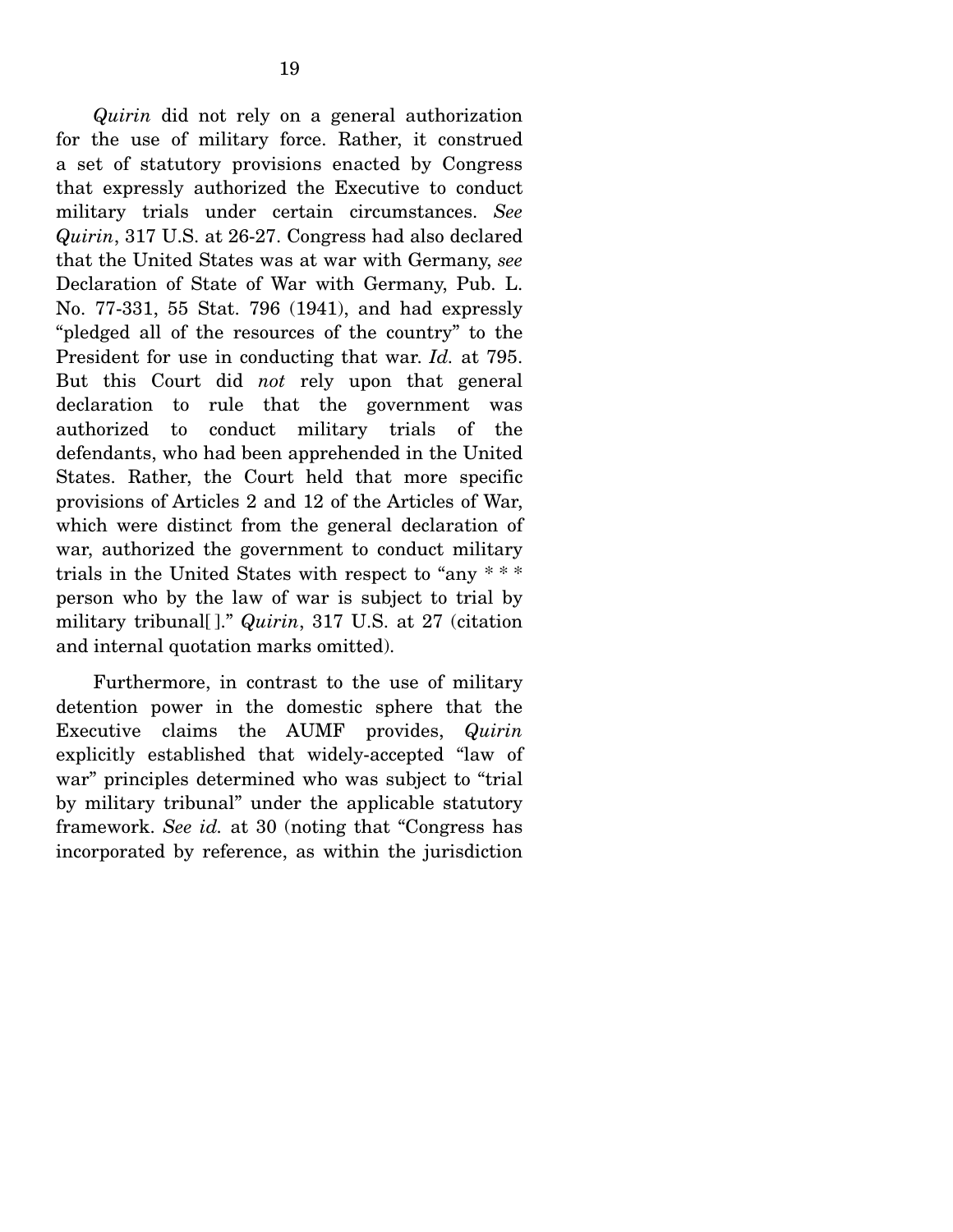*Quirin* did not rely on a general authorization for the use of military force. Rather, it construed a set of statutory provisions enacted by Congress that expressly authorized the Executive to conduct military trials under certain circumstances. *See Quirin*, 317 U.S. at 26-27. Congress had also declared that the United States was at war with Germany, *see* Declaration of State of War with Germany, Pub. L. No. 77-331, 55 Stat. 796 (1941), and had expressly "pledged all of the resources of the country" to the President for use in conducting that war. *Id.* at 795. But this Court did *not* rely upon that general declaration to rule that the government was authorized to conduct military trials of the defendants, who had been apprehended in the United States. Rather, the Court held that more specific provisions of Articles 2 and 12 of the Articles of War, which were distinct from the general declaration of war, authorized the government to conduct military trials in the United States with respect to "any \* \* \* person who by the law of war is subject to trial by military tribunal[ ]." *Quirin*, 317 U.S. at 27 (citation and internal quotation marks omitted).

 Furthermore, in contrast to the use of military detention power in the domestic sphere that the Executive claims the AUMF provides, *Quirin* explicitly established that widely-accepted "law of war" principles determined who was subject to "trial by military tribunal" under the applicable statutory framework. *See id.* at 30 (noting that "Congress has incorporated by reference, as within the jurisdiction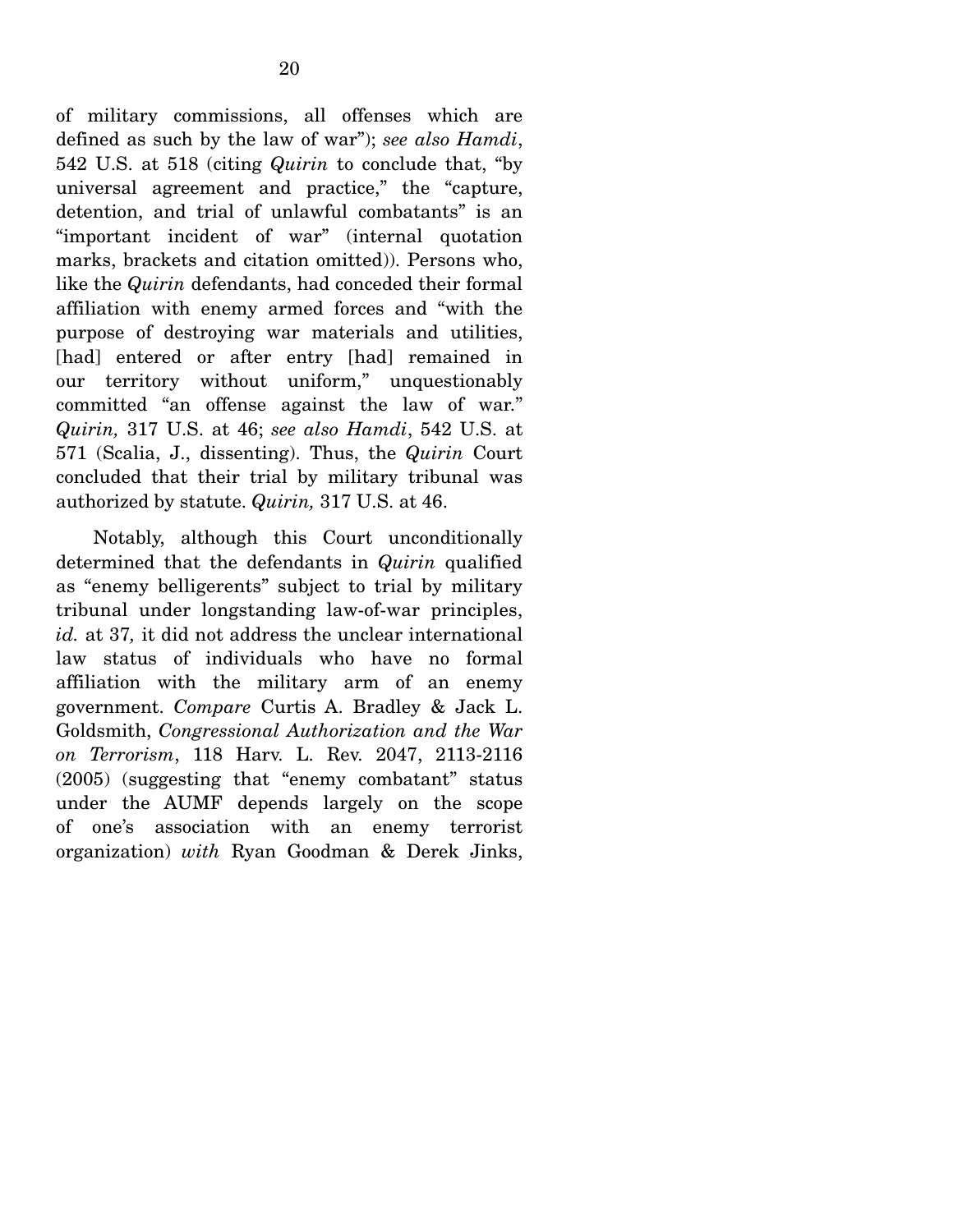of military commissions, all offenses which are defined as such by the law of war"); *see also Hamdi*, 542 U.S. at 518 (citing *Quirin* to conclude that, "by universal agreement and practice," the "capture, detention, and trial of unlawful combatants" is an "important incident of war" (internal quotation marks, brackets and citation omitted)). Persons who, like the *Quirin* defendants, had conceded their formal affiliation with enemy armed forces and "with the purpose of destroying war materials and utilities, [had] entered or after entry [had] remained in our territory without uniform," unquestionably committed "an offense against the law of war." *Quirin,* 317 U.S. at 46; *see also Hamdi*, 542 U.S. at 571 (Scalia, J., dissenting). Thus, the *Quirin* Court concluded that their trial by military tribunal was authorized by statute. *Quirin,* 317 U.S. at 46.

 Notably, although this Court unconditionally determined that the defendants in *Quirin* qualified as "enemy belligerents" subject to trial by military tribunal under longstanding law-of-war principles, *id.* at 37*,* it did not address the unclear international law status of individuals who have no formal affiliation with the military arm of an enemy government. *Compare* Curtis A. Bradley & Jack L. Goldsmith, *Congressional Authorization and the War on Terrorism*, 118 Harv. L. Rev. 2047, 2113-2116 (2005) (suggesting that "enemy combatant" status under the AUMF depends largely on the scope of one's association with an enemy terrorist organization) *with* Ryan Goodman & Derek Jinks,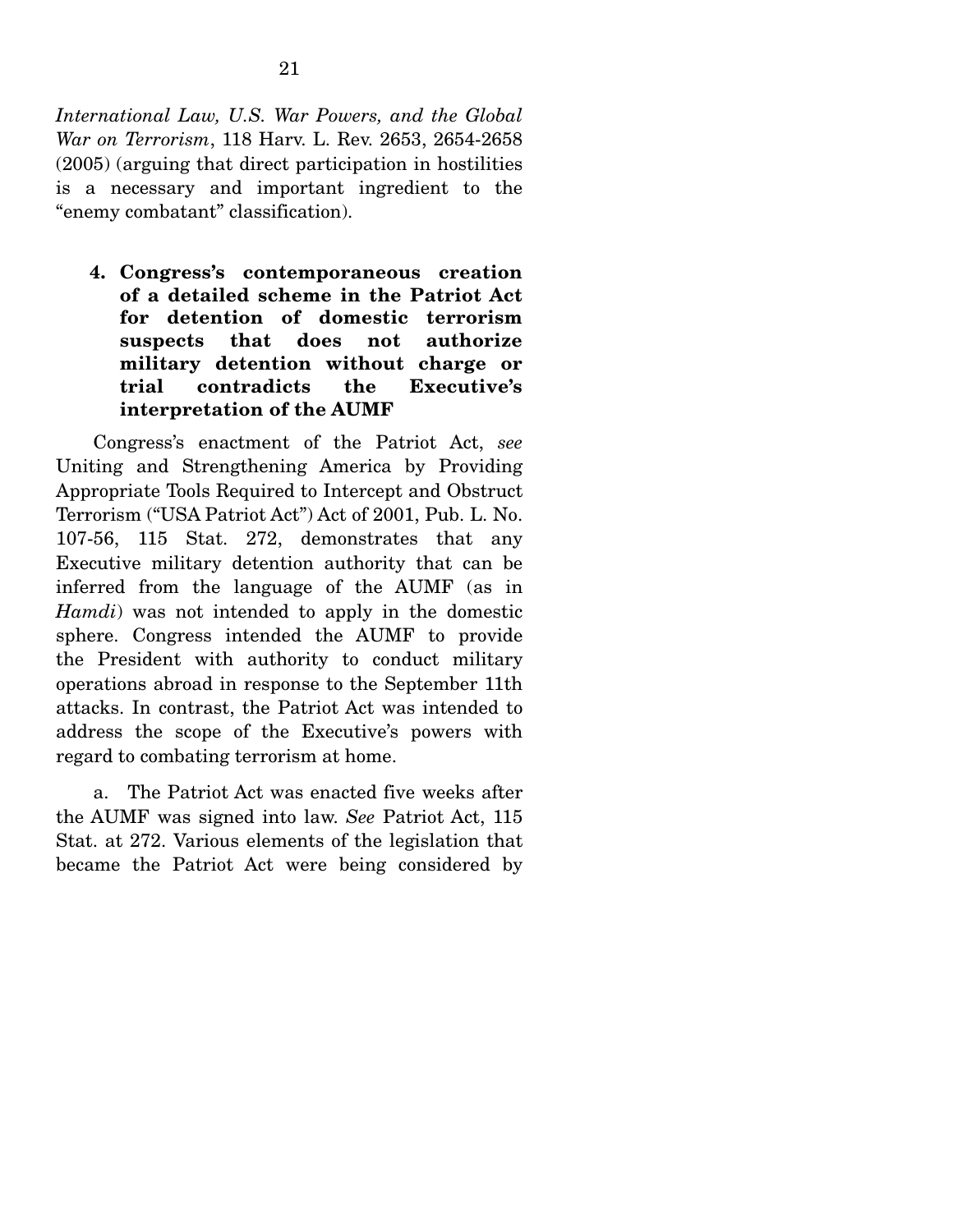*International Law, U.S. War Powers, and the Global War on Terrorism*, 118 Harv. L. Rev. 2653, 2654-2658 (2005) (arguing that direct participation in hostilities is a necessary and important ingredient to the "enemy combatant" classification).

**4. Congress's contemporaneous creation of a detailed scheme in the Patriot Act for detention of domestic terrorism suspects that does not authorize military detention without charge or trial contradicts the Executive's interpretation of the AUMF** 

 Congress's enactment of the Patriot Act, *see* Uniting and Strengthening America by Providing Appropriate Tools Required to Intercept and Obstruct Terrorism ("USA Patriot Act") Act of 2001, Pub. L. No. 107-56, 115 Stat. 272, demonstrates that any Executive military detention authority that can be inferred from the language of the AUMF (as in *Hamdi*) was not intended to apply in the domestic sphere. Congress intended the AUMF to provide the President with authority to conduct military operations abroad in response to the September 11th attacks. In contrast, the Patriot Act was intended to address the scope of the Executive's powers with regard to combating terrorism at home.

 a. The Patriot Act was enacted five weeks after the AUMF was signed into law. *See* Patriot Act, 115 Stat. at 272. Various elements of the legislation that became the Patriot Act were being considered by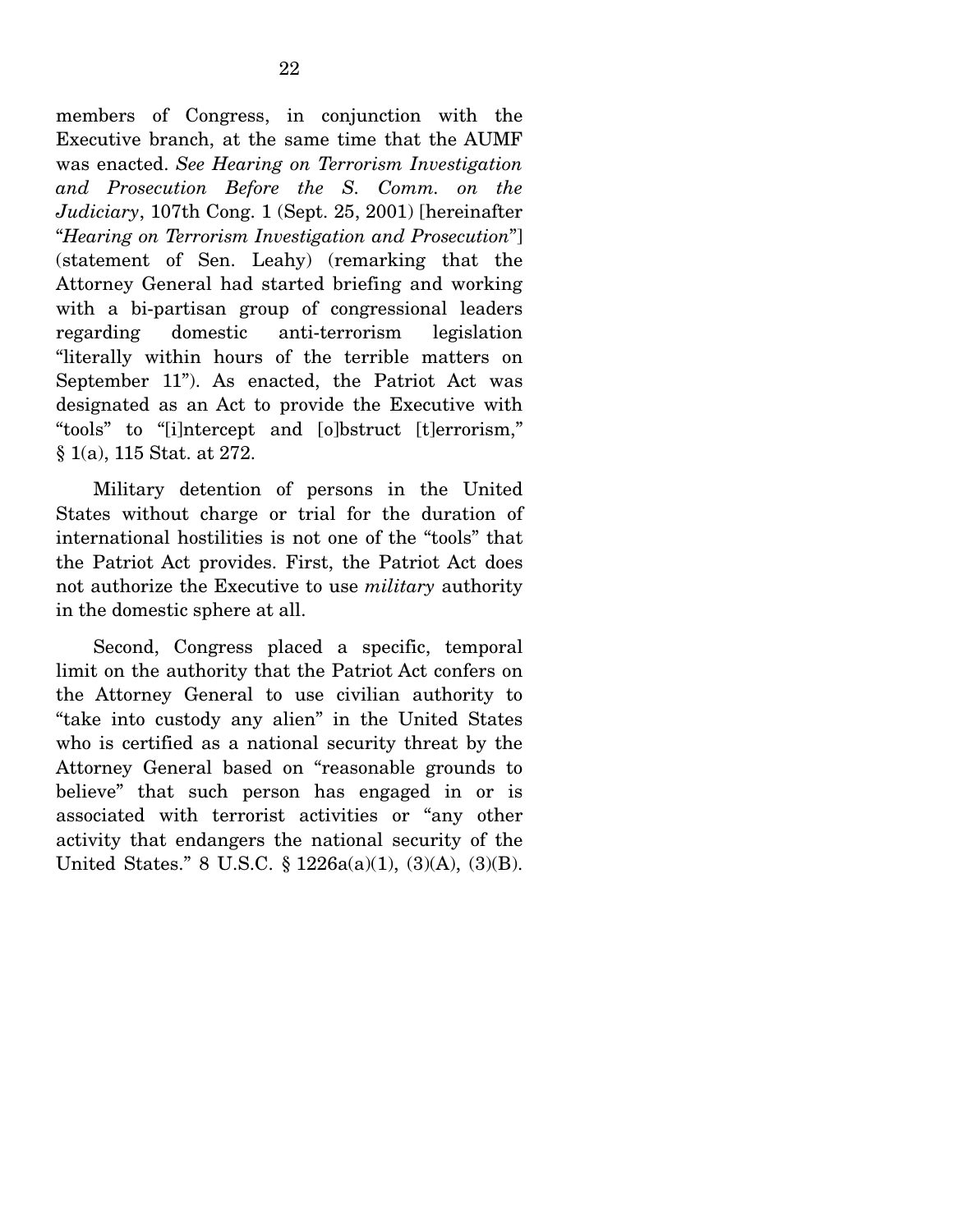members of Congress, in conjunction with the Executive branch, at the same time that the AUMF was enacted. *See Hearing on Terrorism Investigation and Prosecution Before the S. Comm. on the Judiciary*, 107th Cong. 1 (Sept. 25, 2001) [hereinafter "*Hearing on Terrorism Investigation and Prosecution*"] (statement of Sen. Leahy) (remarking that the Attorney General had started briefing and working with a bi-partisan group of congressional leaders regarding domestic anti-terrorism legislation "literally within hours of the terrible matters on September 11"). As enacted, the Patriot Act was designated as an Act to provide the Executive with "tools" to "[i]ntercept and [o]bstruct [t]errorism," § 1(a), 115 Stat. at 272.

 Military detention of persons in the United States without charge or trial for the duration of international hostilities is not one of the "tools" that the Patriot Act provides. First, the Patriot Act does not authorize the Executive to use *military* authority in the domestic sphere at all.

 Second, Congress placed a specific, temporal limit on the authority that the Patriot Act confers on the Attorney General to use civilian authority to "take into custody any alien" in the United States who is certified as a national security threat by the Attorney General based on "reasonable grounds to believe" that such person has engaged in or is associated with terrorist activities or "any other activity that endangers the national security of the United States." 8 U.S.C. § 1226a(a)(1), (3)(A), (3)(B).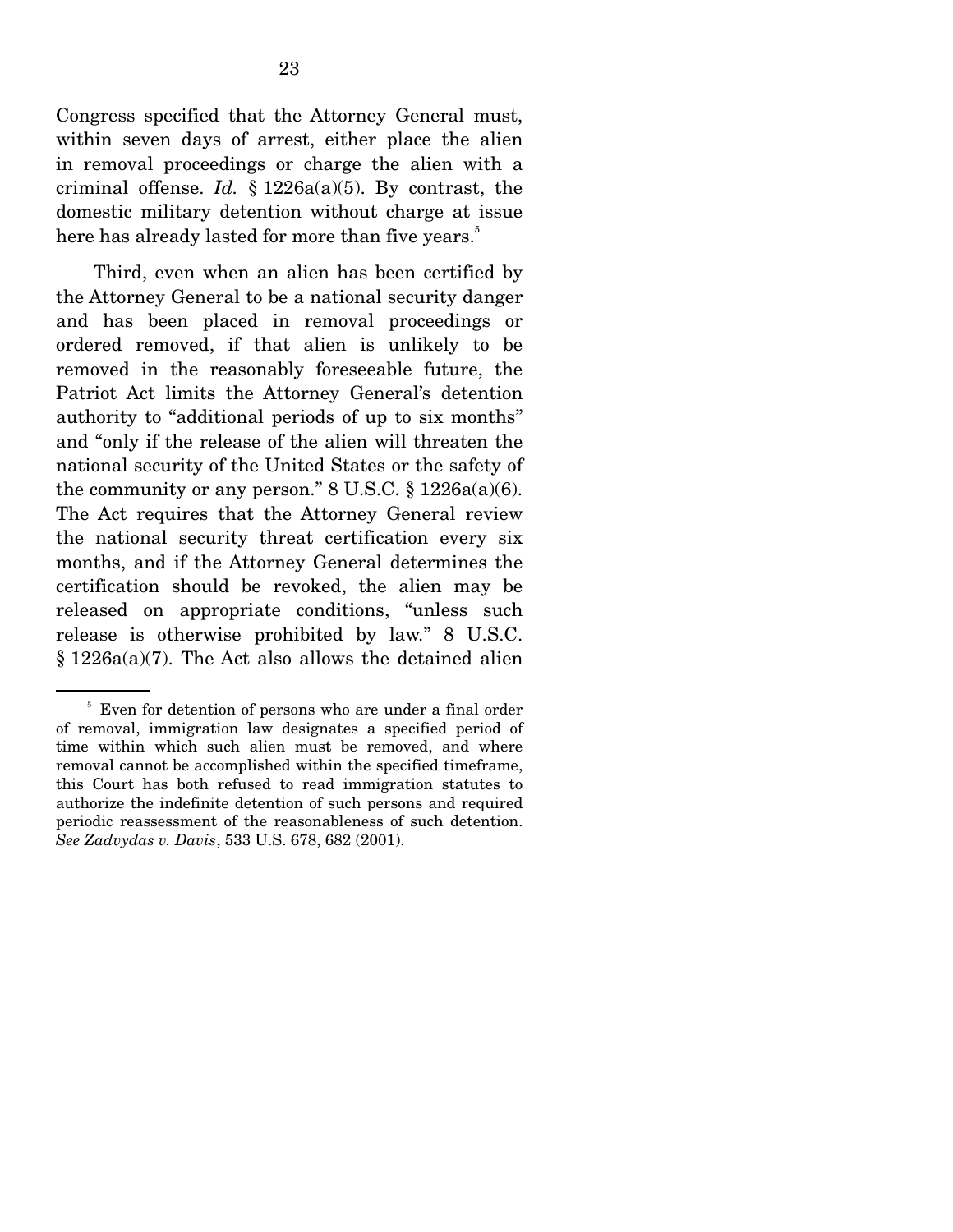Congress specified that the Attorney General must, within seven days of arrest, either place the alien in removal proceedings or charge the alien with a criminal offense. *Id.*  $\S$  1226a(a)(5). By contrast, the domestic military detention without charge at issue here has already lasted for more than five years.<sup>5</sup>

 Third, even when an alien has been certified by the Attorney General to be a national security danger and has been placed in removal proceedings or ordered removed, if that alien is unlikely to be removed in the reasonably foreseeable future, the Patriot Act limits the Attorney General's detention authority to "additional periods of up to six months" and "only if the release of the alien will threaten the national security of the United States or the safety of the community or any person."  $8 \text{ U.S.C.} \$   $1226a(a)(6)$ . The Act requires that the Attorney General review the national security threat certification every six months, and if the Attorney General determines the certification should be revoked, the alien may be released on appropriate conditions, "unless such release is otherwise prohibited by law." 8 U.S.C. § 1226a(a)(7). The Act also allows the detained alien

<sup>&</sup>lt;sup>5</sup> Even for detention of persons who are under a final order of removal, immigration law designates a specified period of time within which such alien must be removed, and where removal cannot be accomplished within the specified timeframe, this Court has both refused to read immigration statutes to authorize the indefinite detention of such persons and required periodic reassessment of the reasonableness of such detention. *See Zadvydas v. Davis*, 533 U.S. 678, 682 (2001).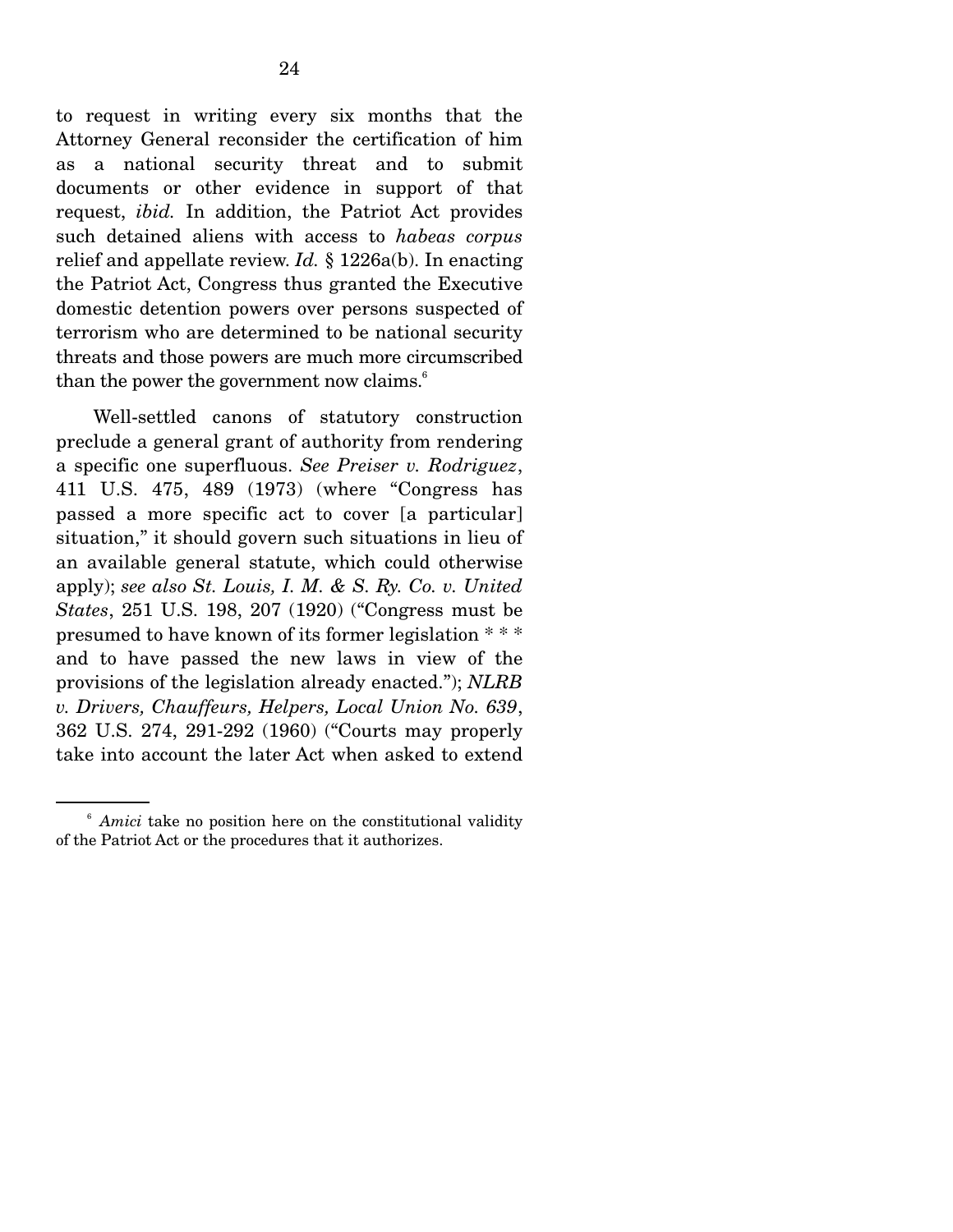to request in writing every six months that the Attorney General reconsider the certification of him as a national security threat and to submit documents or other evidence in support of that request, *ibid.* In addition, the Patriot Act provides such detained aliens with access to *habeas corpus* relief and appellate review. *Id.* § 1226a(b). In enacting the Patriot Act, Congress thus granted the Executive domestic detention powers over persons suspected of terrorism who are determined to be national security threats and those powers are much more circumscribed than the power the government now claims. $\delta$ 

 Well-settled canons of statutory construction preclude a general grant of authority from rendering a specific one superfluous. *See Preiser v. Rodriguez*, 411 U.S. 475, 489 (1973) (where "Congress has passed a more specific act to cover [a particular] situation," it should govern such situations in lieu of an available general statute, which could otherwise apply); *see also St. Louis, I. M. & S. Ry. Co. v. United States*, 251 U.S. 198, 207 (1920) ("Congress must be presumed to have known of its former legislation \* \* \* and to have passed the new laws in view of the provisions of the legislation already enacted."); *NLRB v. Drivers, Chauffeurs, Helpers, Local Union No. 639*, 362 U.S. 274, 291-292 (1960) ("Courts may properly take into account the later Act when asked to extend

<sup>&</sup>lt;sup>6</sup> *Amici* take no position here on the constitutional validity of the Patriot Act or the procedures that it authorizes.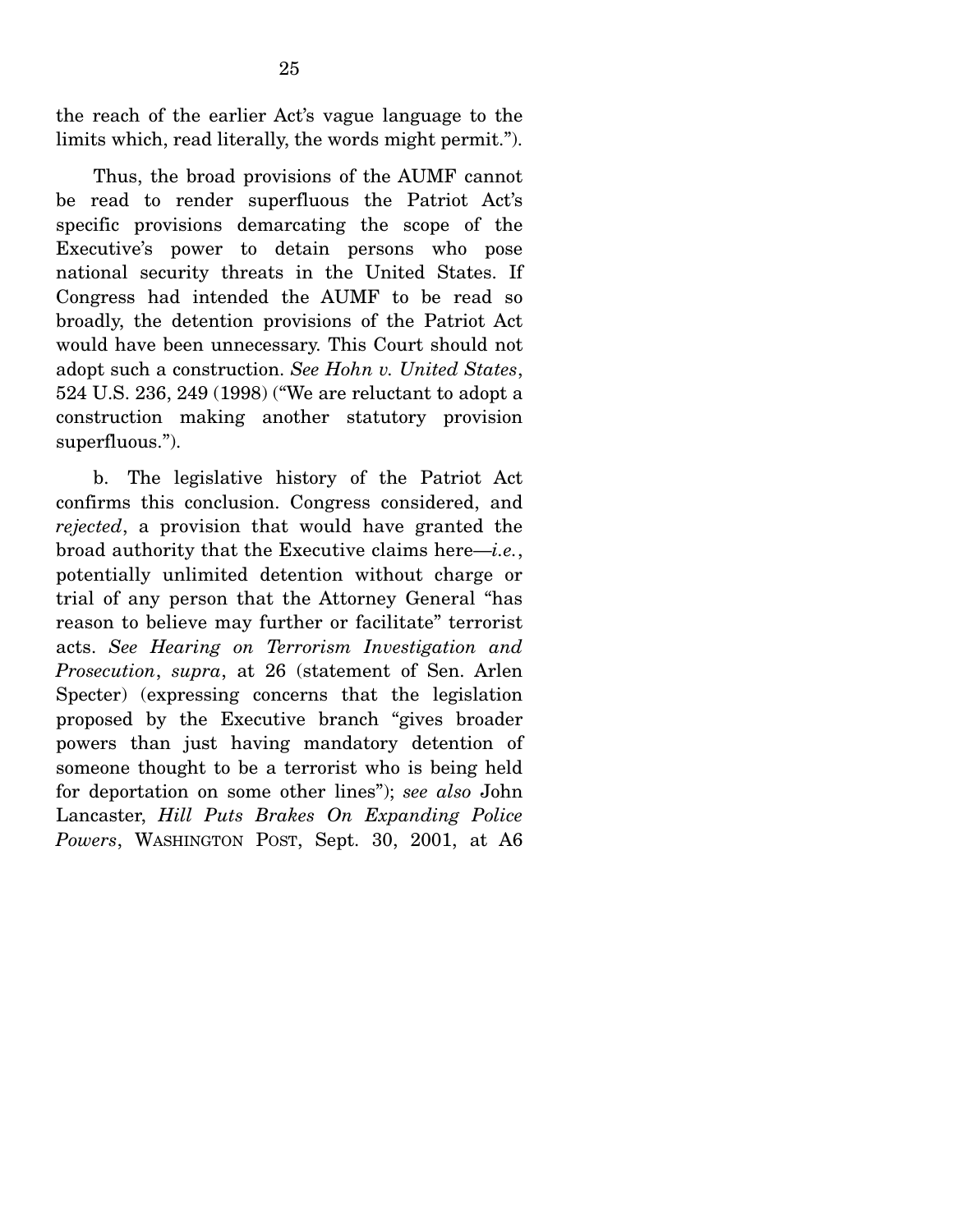the reach of the earlier Act's vague language to the limits which, read literally, the words might permit.").

 Thus, the broad provisions of the AUMF cannot be read to render superfluous the Patriot Act's specific provisions demarcating the scope of the Executive's power to detain persons who pose national security threats in the United States. If Congress had intended the AUMF to be read so broadly, the detention provisions of the Patriot Act would have been unnecessary. This Court should not adopt such a construction. *See Hohn v. United States*, 524 U.S. 236, 249 (1998) ("We are reluctant to adopt a construction making another statutory provision superfluous.").

 b. The legislative history of the Patriot Act confirms this conclusion. Congress considered, and *rejected*, a provision that would have granted the broad authority that the Executive claims here—*i.e.*, potentially unlimited detention without charge or trial of any person that the Attorney General "has reason to believe may further or facilitate" terrorist acts. *See Hearing on Terrorism Investigation and Prosecution*, *supra*, at 26 (statement of Sen. Arlen Specter) (expressing concerns that the legislation proposed by the Executive branch "gives broader powers than just having mandatory detention of someone thought to be a terrorist who is being held for deportation on some other lines"); *see also* John Lancaster, *Hill Puts Brakes On Expanding Police Powers*, WASHINGTON POST, Sept. 30, 2001, at A6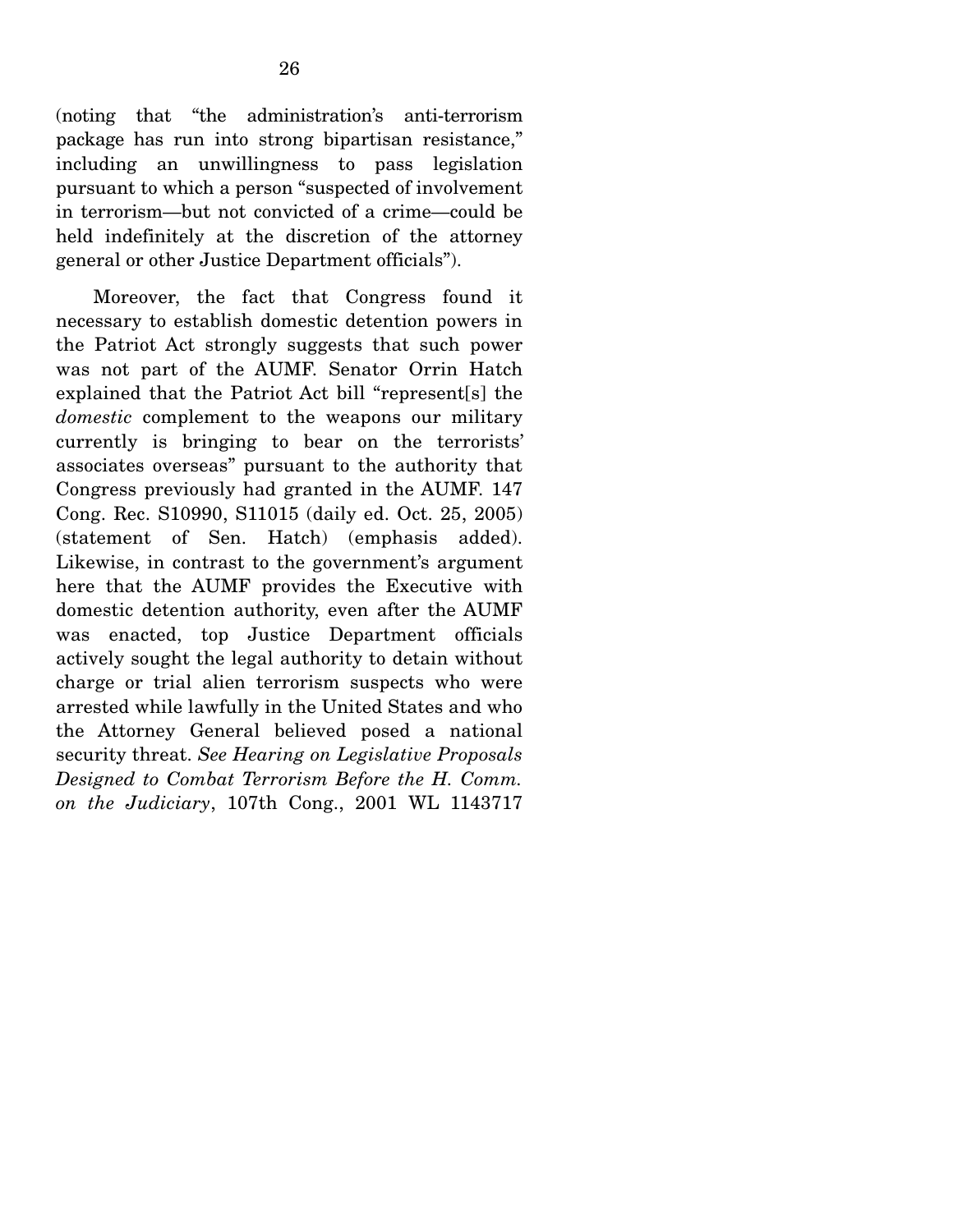(noting that "the administration's anti-terrorism package has run into strong bipartisan resistance," including an unwillingness to pass legislation pursuant to which a person "suspected of involvement in terrorism—but not convicted of a crime—could be held indefinitely at the discretion of the attorney general or other Justice Department officials").

 Moreover, the fact that Congress found it necessary to establish domestic detention powers in the Patriot Act strongly suggests that such power was not part of the AUMF. Senator Orrin Hatch explained that the Patriot Act bill "represent[s] the *domestic* complement to the weapons our military currently is bringing to bear on the terrorists' associates overseas" pursuant to the authority that Congress previously had granted in the AUMF. 147 Cong. Rec. S10990, S11015 (daily ed. Oct. 25, 2005) (statement of Sen. Hatch) (emphasis added). Likewise, in contrast to the government's argument here that the AUMF provides the Executive with domestic detention authority, even after the AUMF was enacted, top Justice Department officials actively sought the legal authority to detain without charge or trial alien terrorism suspects who were arrested while lawfully in the United States and who the Attorney General believed posed a national security threat. *See Hearing on Legislative Proposals Designed to Combat Terrorism Before the H. Comm. on the Judiciary*, 107th Cong., 2001 WL 1143717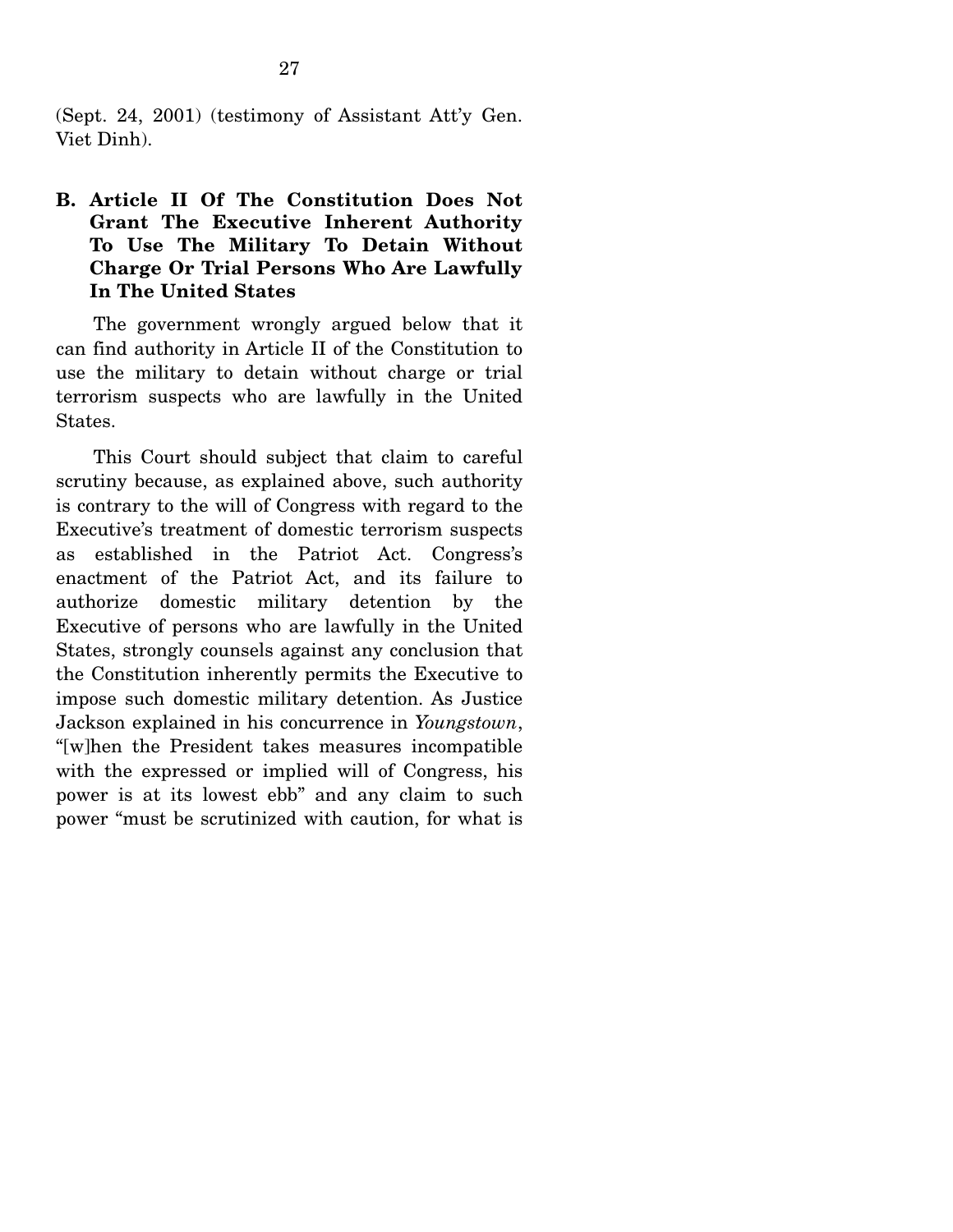(Sept. 24, 2001) (testimony of Assistant Att'y Gen. Viet Dinh).

### **B. Article II Of The Constitution Does Not Grant The Executive Inherent Authority To Use The Military To Detain Without Charge Or Trial Persons Who Are Lawfully In The United States**

 The government wrongly argued below that it can find authority in Article II of the Constitution to use the military to detain without charge or trial terrorism suspects who are lawfully in the United States.

 This Court should subject that claim to careful scrutiny because, as explained above, such authority is contrary to the will of Congress with regard to the Executive's treatment of domestic terrorism suspects as established in the Patriot Act. Congress's enactment of the Patriot Act, and its failure to authorize domestic military detention by the Executive of persons who are lawfully in the United States, strongly counsels against any conclusion that the Constitution inherently permits the Executive to impose such domestic military detention. As Justice Jackson explained in his concurrence in *Youngstown*, "[w]hen the President takes measures incompatible with the expressed or implied will of Congress, his power is at its lowest ebb" and any claim to such power "must be scrutinized with caution, for what is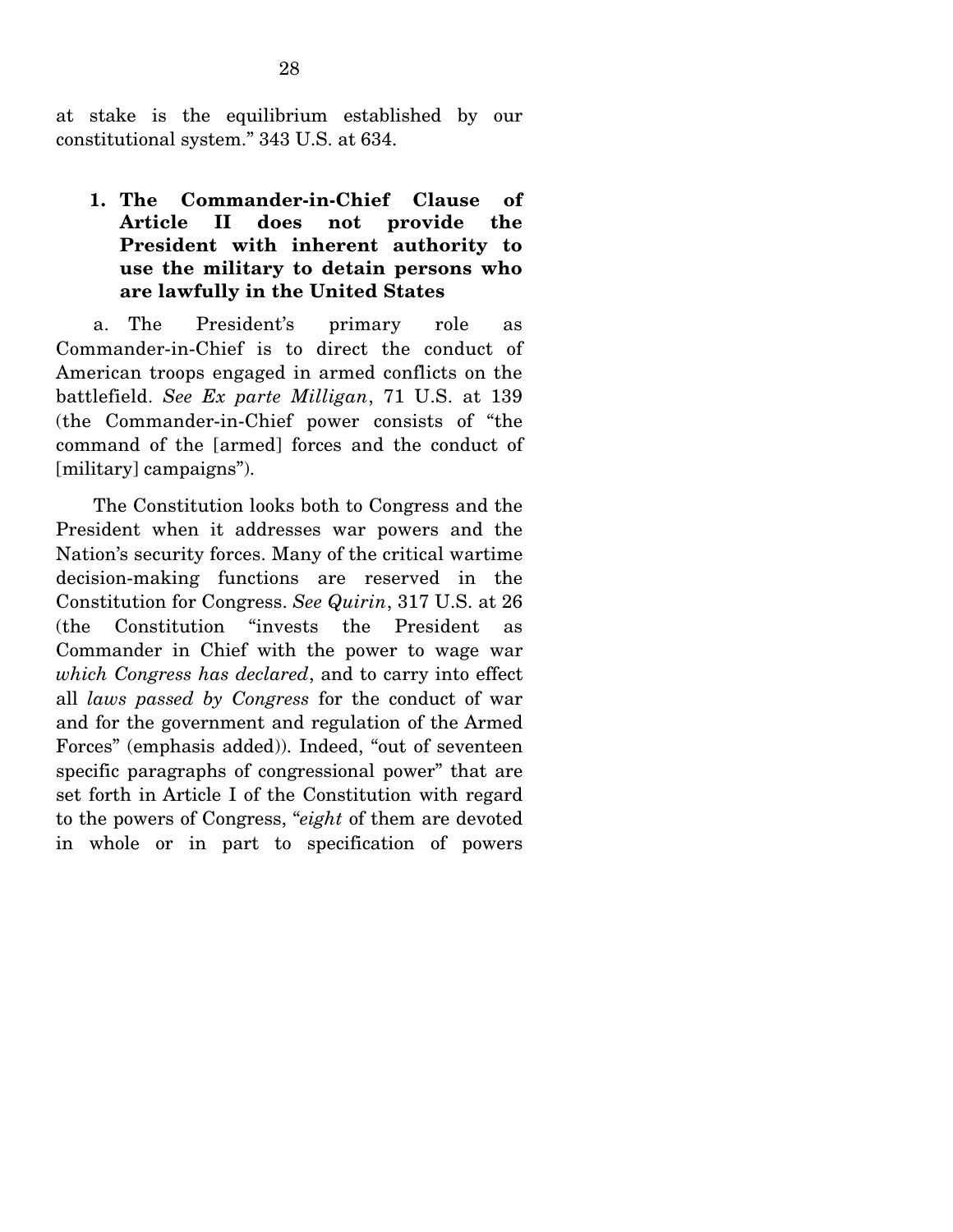at stake is the equilibrium established by our constitutional system." 343 U.S. at 634.

## **1. The Commander-in-Chief Clause of Article II does not provide the President with inherent authority to use the military to detain persons who are lawfully in the United States**

 a. The President's primary role as Commander-in-Chief is to direct the conduct of American troops engaged in armed conflicts on the battlefield. *See Ex parte Milligan*, 71 U.S. at 139 (the Commander-in-Chief power consists of "the command of the [armed] forces and the conduct of [military] campaigns").

 The Constitution looks both to Congress and the President when it addresses war powers and the Nation's security forces. Many of the critical wartime decision-making functions are reserved in the Constitution for Congress. *See Quirin*, 317 U.S. at 26 (the Constitution "invests the President as Commander in Chief with the power to wage war *which Congress has declared*, and to carry into effect all *laws passed by Congress* for the conduct of war and for the government and regulation of the Armed Forces" (emphasis added)). Indeed, "out of seventeen specific paragraphs of congressional power" that are set forth in Article I of the Constitution with regard to the powers of Congress, "*eight* of them are devoted in whole or in part to specification of powers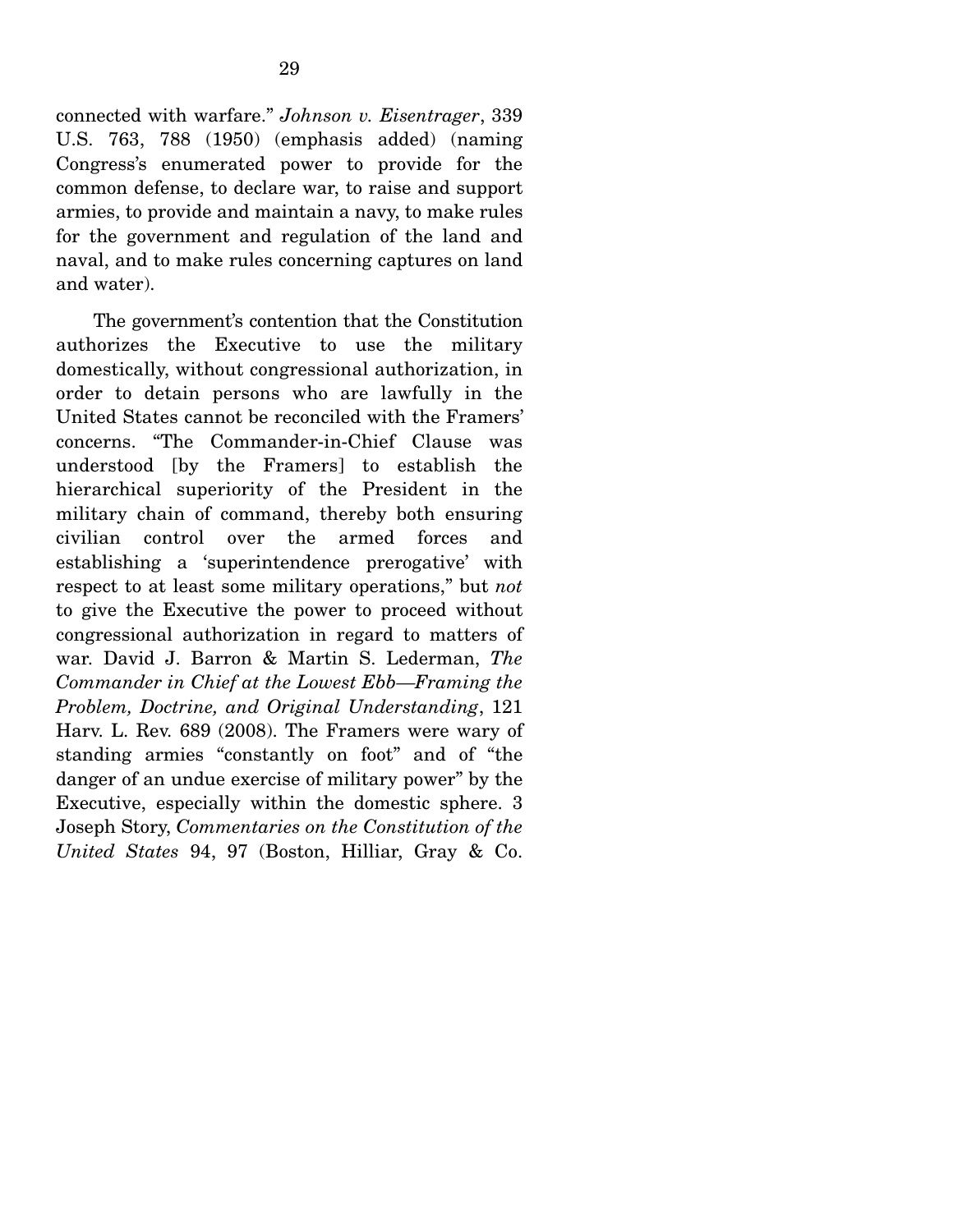connected with warfare." *Johnson v. Eisentrager*, 339 U.S. 763, 788 (1950) (emphasis added) (naming Congress's enumerated power to provide for the common defense, to declare war, to raise and support armies, to provide and maintain a navy, to make rules for the government and regulation of the land and naval, and to make rules concerning captures on land and water).

 The government's contention that the Constitution authorizes the Executive to use the military domestically, without congressional authorization, in order to detain persons who are lawfully in the United States cannot be reconciled with the Framers' concerns. "The Commander-in-Chief Clause was understood [by the Framers] to establish the hierarchical superiority of the President in the military chain of command, thereby both ensuring civilian control over the armed forces and establishing a 'superintendence prerogative' with respect to at least some military operations," but *not* to give the Executive the power to proceed without congressional authorization in regard to matters of war. David J. Barron & Martin S. Lederman, *The Commander in Chief at the Lowest Ebb—Framing the Problem, Doctrine, and Original Understanding*, 121 Harv. L. Rev. 689 (2008). The Framers were wary of standing armies "constantly on foot" and of "the danger of an undue exercise of military power" by the Executive, especially within the domestic sphere. 3 Joseph Story, *Commentaries on the Constitution of the United States* 94, 97 (Boston, Hilliar, Gray & Co.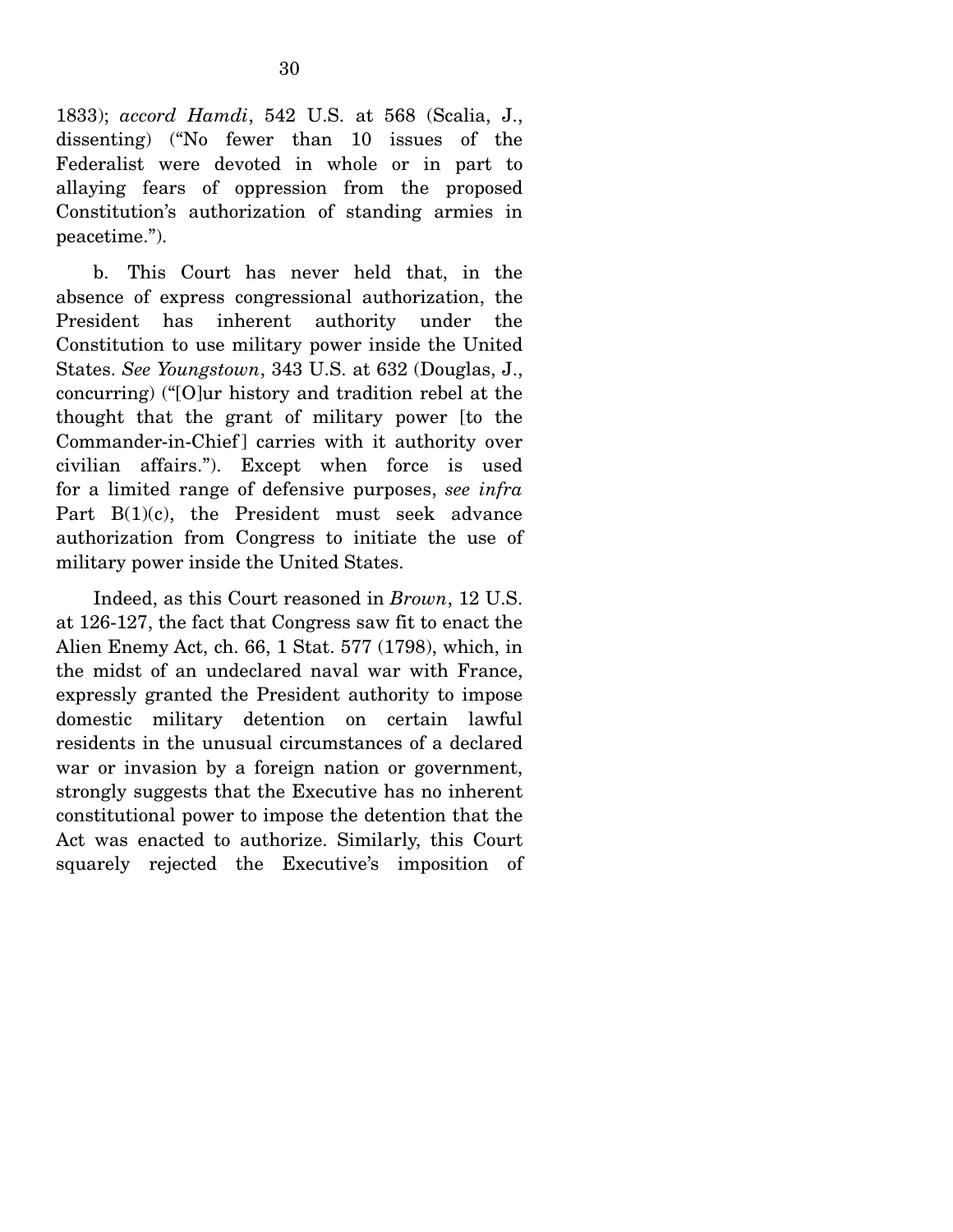1833); *accord Hamdi*, 542 U.S. at 568 (Scalia, J., dissenting) ("No fewer than 10 issues of the Federalist were devoted in whole or in part to allaying fears of oppression from the proposed Constitution's authorization of standing armies in peacetime.").

 b. This Court has never held that, in the absence of express congressional authorization, the President has inherent authority under the Constitution to use military power inside the United States. *See Youngstown*, 343 U.S. at 632 (Douglas, J., concurring) ("[O]ur history and tradition rebel at the thought that the grant of military power [to the Commander-in-Chief ] carries with it authority over civilian affairs."). Except when force is used for a limited range of defensive purposes, *see infra* Part B(1)(c), the President must seek advance authorization from Congress to initiate the use of military power inside the United States.

 Indeed, as this Court reasoned in *Brown*, 12 U.S. at 126-127, the fact that Congress saw fit to enact the Alien Enemy Act, ch. 66, 1 Stat. 577 (1798), which, in the midst of an undeclared naval war with France, expressly granted the President authority to impose domestic military detention on certain lawful residents in the unusual circumstances of a declared war or invasion by a foreign nation or government, strongly suggests that the Executive has no inherent constitutional power to impose the detention that the Act was enacted to authorize. Similarly, this Court squarely rejected the Executive's imposition of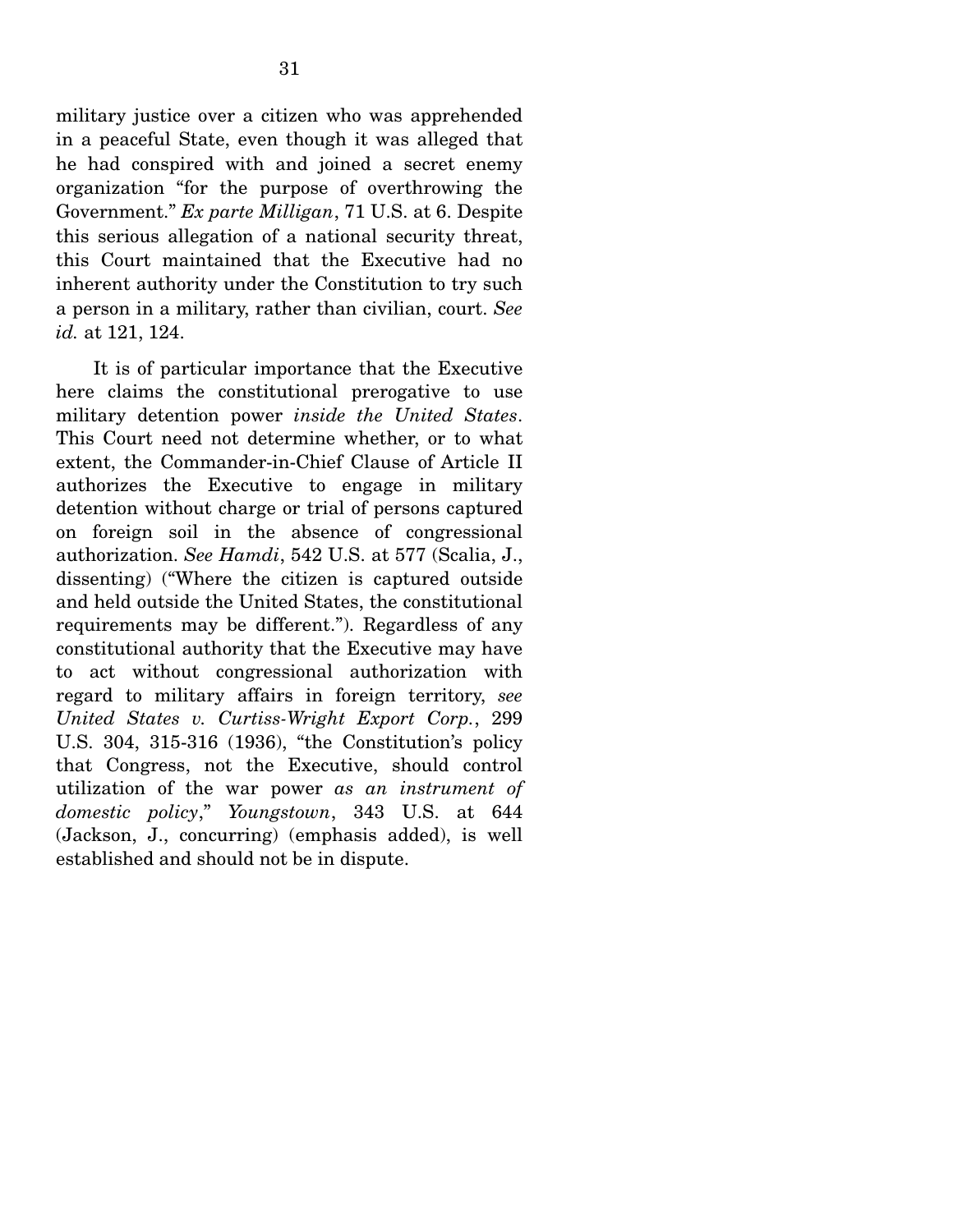military justice over a citizen who was apprehended in a peaceful State, even though it was alleged that he had conspired with and joined a secret enemy organization "for the purpose of overthrowing the Government." *Ex parte Milligan*, 71 U.S. at 6. Despite this serious allegation of a national security threat, this Court maintained that the Executive had no inherent authority under the Constitution to try such a person in a military, rather than civilian, court. *See id.* at 121, 124.

 It is of particular importance that the Executive here claims the constitutional prerogative to use military detention power *inside the United States*. This Court need not determine whether, or to what extent, the Commander-in-Chief Clause of Article II authorizes the Executive to engage in military detention without charge or trial of persons captured on foreign soil in the absence of congressional authorization. *See Hamdi*, 542 U.S. at 577 (Scalia, J., dissenting) ("Where the citizen is captured outside and held outside the United States, the constitutional requirements may be different."). Regardless of any constitutional authority that the Executive may have to act without congressional authorization with regard to military affairs in foreign territory, *see United States v. Curtiss-Wright Export Corp.*, 299 U.S. 304, 315-316 (1936), "the Constitution's policy that Congress, not the Executive, should control utilization of the war power *as an instrument of domestic policy*," *Youngstown*, 343 U.S. at 644 (Jackson, J., concurring) (emphasis added), is well established and should not be in dispute.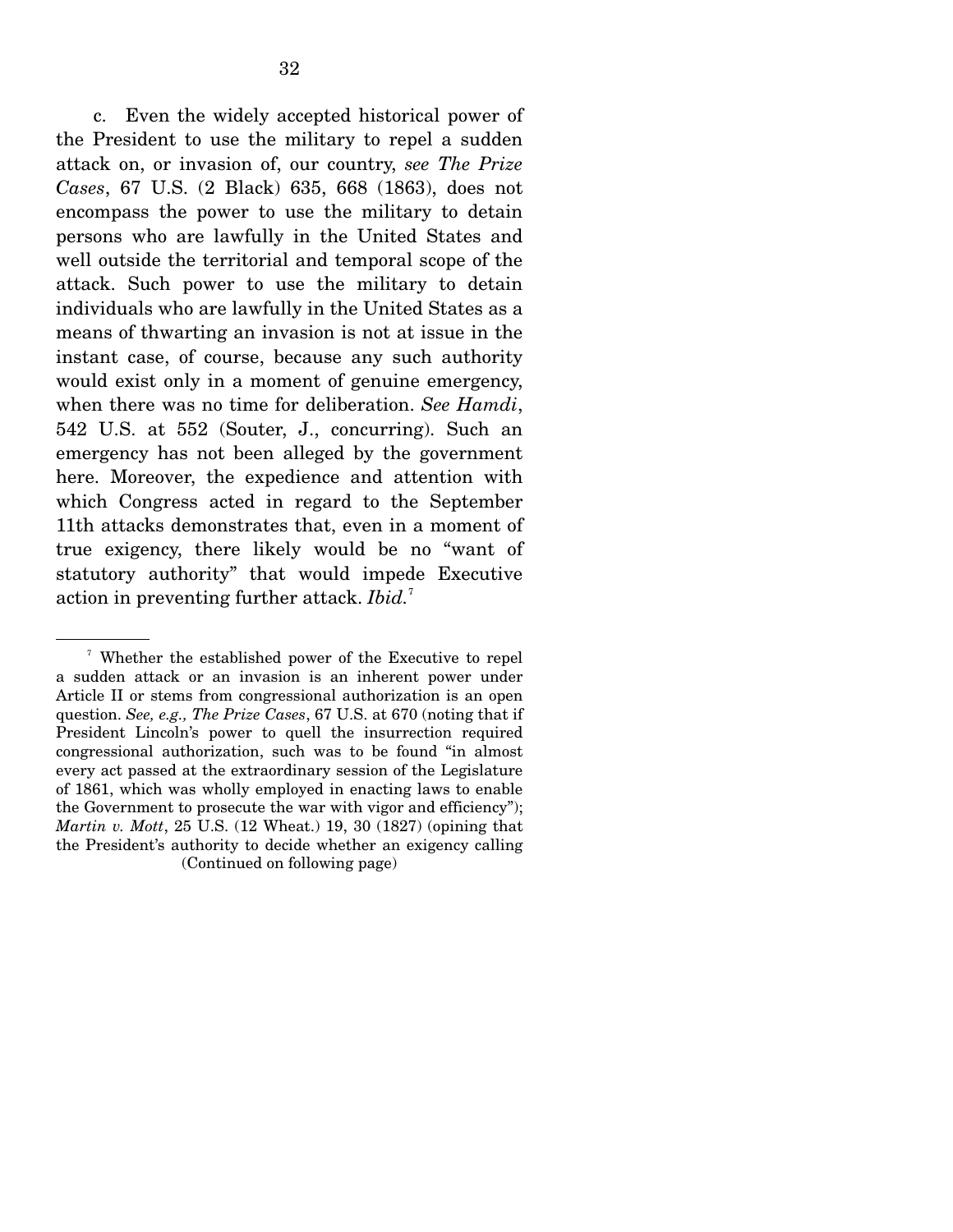c. Even the widely accepted historical power of the President to use the military to repel a sudden attack on, or invasion of, our country, *see The Prize Cases*, 67 U.S. (2 Black) 635, 668 (1863), does not encompass the power to use the military to detain persons who are lawfully in the United States and well outside the territorial and temporal scope of the attack. Such power to use the military to detain individuals who are lawfully in the United States as a means of thwarting an invasion is not at issue in the instant case, of course, because any such authority would exist only in a moment of genuine emergency, when there was no time for deliberation. *See Hamdi*, 542 U.S. at 552 (Souter, J., concurring). Such an emergency has not been alleged by the government here. Moreover, the expedience and attention with which Congress acted in regard to the September 11th attacks demonstrates that, even in a moment of true exigency, there likely would be no "want of statutory authority" that would impede Executive action in preventing further attack. *Ibid.*<sup>7</sup>

<sup>7</sup> Whether the established power of the Executive to repel a sudden attack or an invasion is an inherent power under Article II or stems from congressional authorization is an open question. *See, e.g., The Prize Cases*, 67 U.S. at 670 (noting that if President Lincoln's power to quell the insurrection required congressional authorization, such was to be found "in almost every act passed at the extraordinary session of the Legislature of 1861, which was wholly employed in enacting laws to enable the Government to prosecute the war with vigor and efficiency"); *Martin v. Mott*, 25 U.S. (12 Wheat.) 19, 30 (1827) (opining that the President's authority to decide whether an exigency calling (Continued on following page)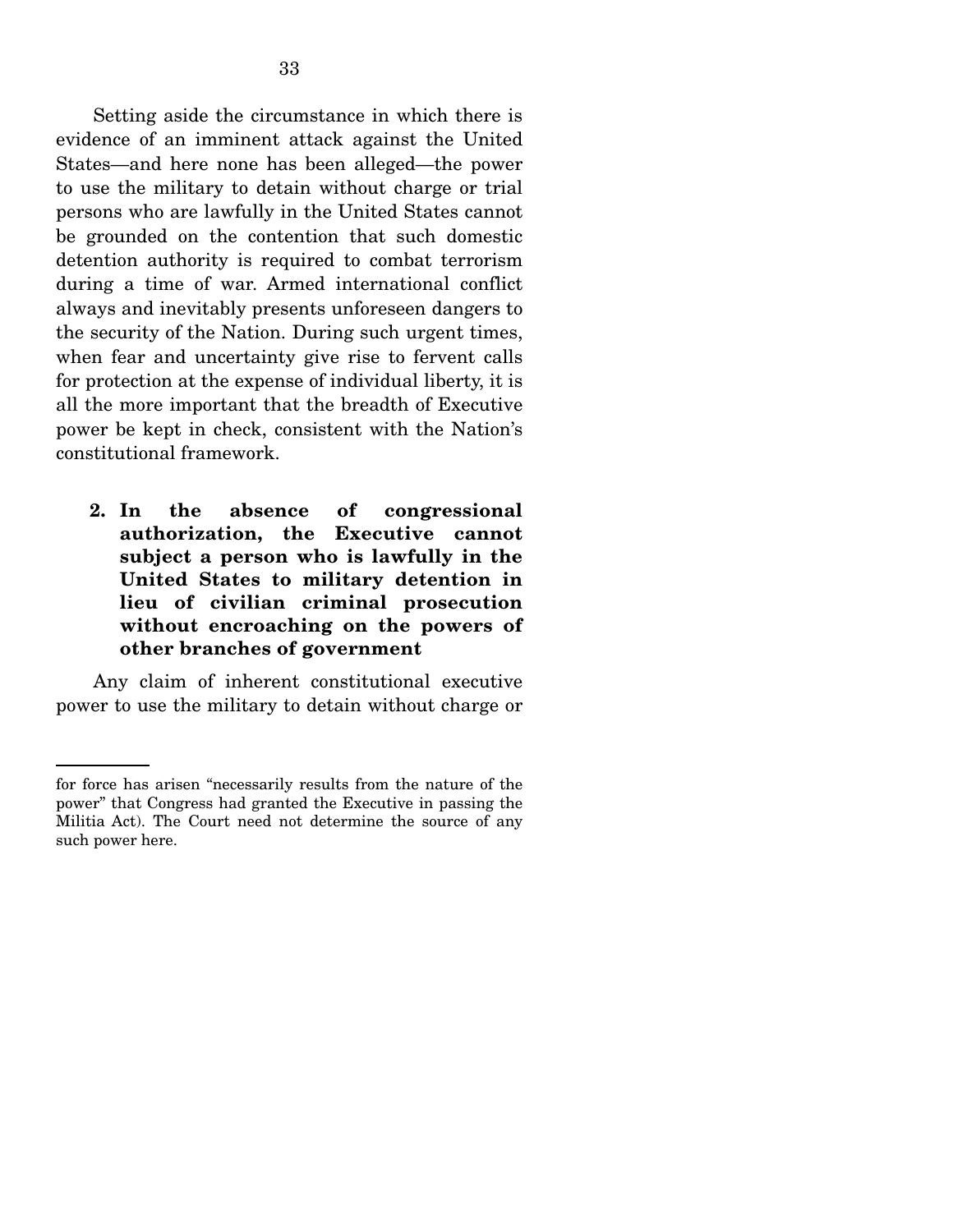Setting aside the circumstance in which there is evidence of an imminent attack against the United States—and here none has been alleged—the power to use the military to detain without charge or trial persons who are lawfully in the United States cannot be grounded on the contention that such domestic detention authority is required to combat terrorism during a time of war. Armed international conflict always and inevitably presents unforeseen dangers to the security of the Nation. During such urgent times, when fear and uncertainty give rise to fervent calls for protection at the expense of individual liberty, it is all the more important that the breadth of Executive power be kept in check, consistent with the Nation's constitutional framework.

**2. In the absence of congressional authorization, the Executive cannot subject a person who is lawfully in the United States to military detention in lieu of civilian criminal prosecution without encroaching on the powers of other branches of government** 

 Any claim of inherent constitutional executive power to use the military to detain without charge or

for force has arisen "necessarily results from the nature of the power" that Congress had granted the Executive in passing the Militia Act). The Court need not determine the source of any such power here.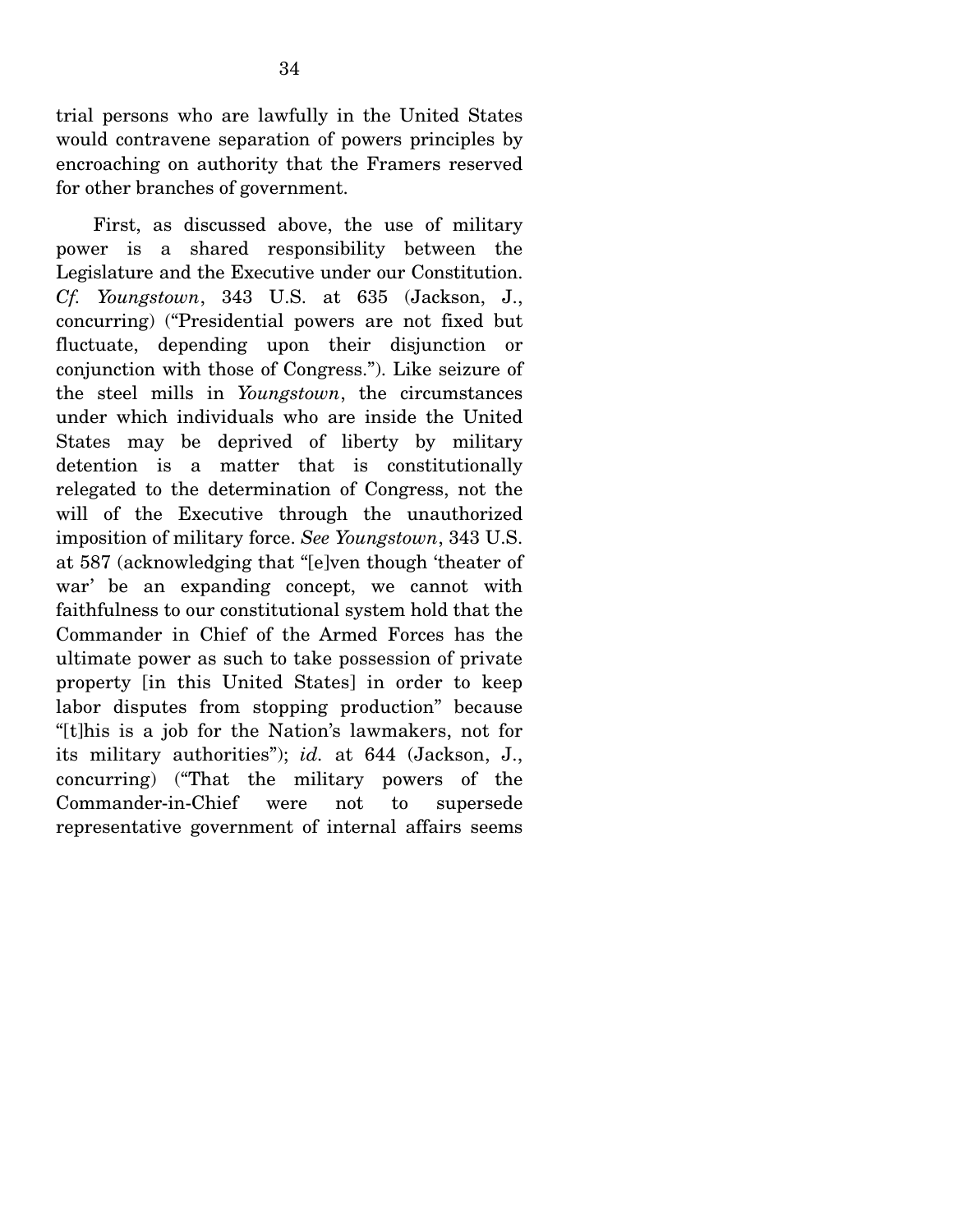trial persons who are lawfully in the United States would contravene separation of powers principles by encroaching on authority that the Framers reserved for other branches of government.

 First, as discussed above, the use of military power is a shared responsibility between the Legislature and the Executive under our Constitution. *Cf. Youngstown*, 343 U.S. at 635 (Jackson, J., concurring) ("Presidential powers are not fixed but fluctuate, depending upon their disjunction or conjunction with those of Congress."). Like seizure of the steel mills in *Youngstown*, the circumstances under which individuals who are inside the United States may be deprived of liberty by military detention is a matter that is constitutionally relegated to the determination of Congress, not the will of the Executive through the unauthorized imposition of military force. *See Youngstown*, 343 U.S. at 587 (acknowledging that "[e]ven though 'theater of war' be an expanding concept, we cannot with faithfulness to our constitutional system hold that the Commander in Chief of the Armed Forces has the ultimate power as such to take possession of private property [in this United States] in order to keep labor disputes from stopping production" because "[t]his is a job for the Nation's lawmakers, not for its military authorities"); *id.* at 644 (Jackson, J., concurring) ("That the military powers of the Commander-in-Chief were not to supersede representative government of internal affairs seems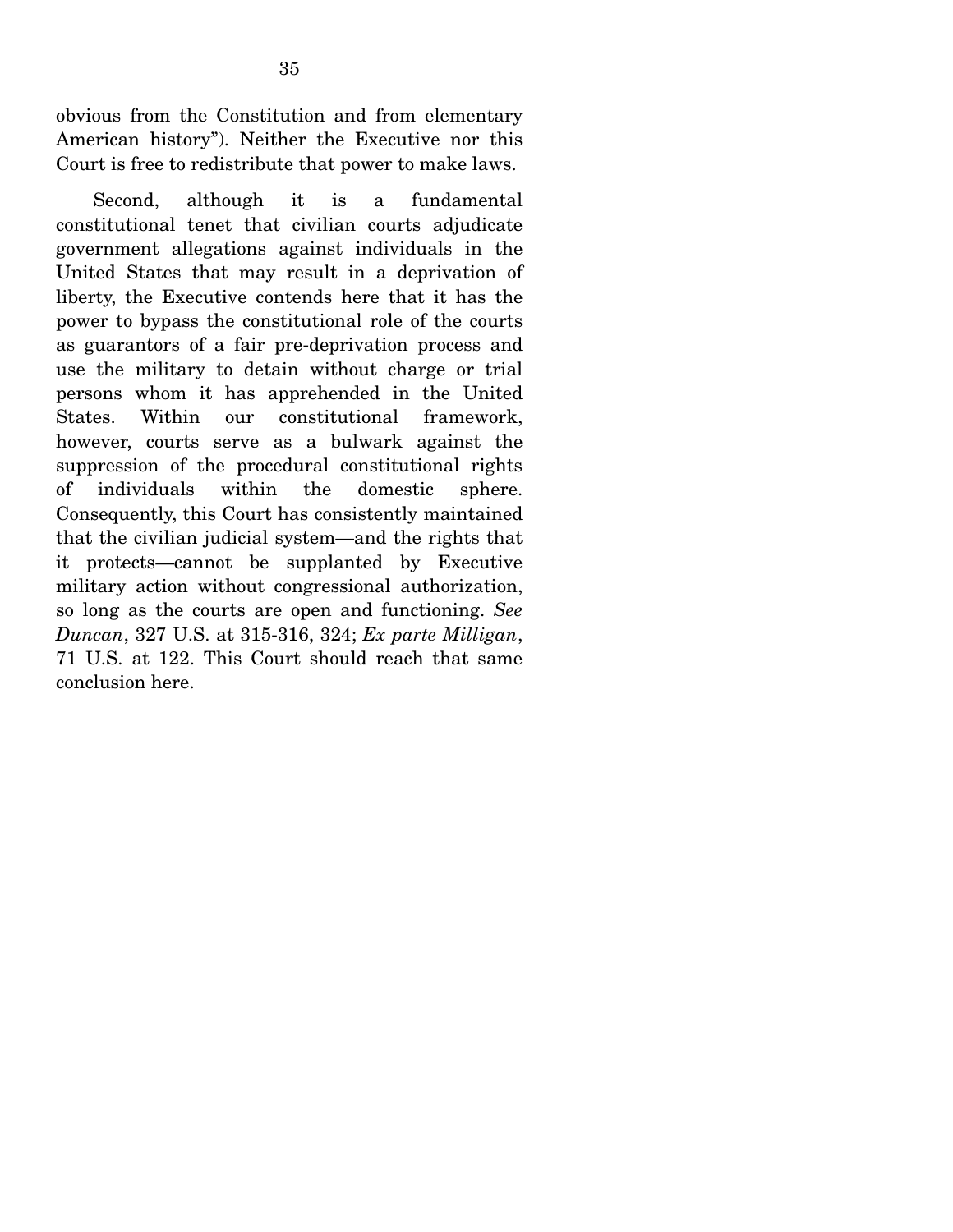obvious from the Constitution and from elementary American history"). Neither the Executive nor this Court is free to redistribute that power to make laws.

 Second, although it is a fundamental constitutional tenet that civilian courts adjudicate government allegations against individuals in the United States that may result in a deprivation of liberty, the Executive contends here that it has the power to bypass the constitutional role of the courts as guarantors of a fair pre-deprivation process and use the military to detain without charge or trial persons whom it has apprehended in the United States. Within our constitutional framework, however, courts serve as a bulwark against the suppression of the procedural constitutional rights of individuals within the domestic sphere. Consequently, this Court has consistently maintained that the civilian judicial system—and the rights that it protects—cannot be supplanted by Executive military action without congressional authorization, so long as the courts are open and functioning. *See Duncan*, 327 U.S. at 315-316, 324; *Ex parte Milligan*, 71 U.S. at 122. This Court should reach that same conclusion here.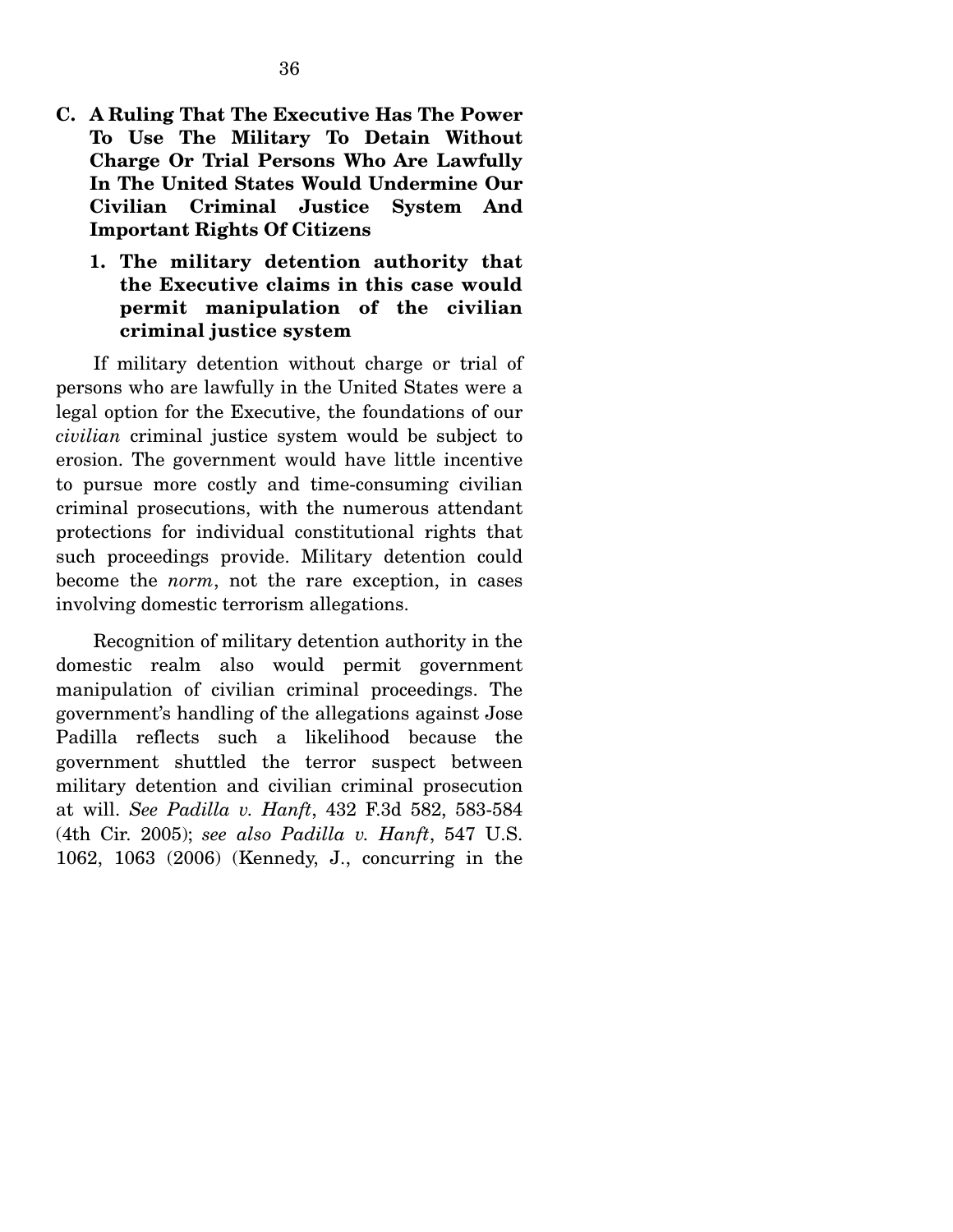- **C. A Ruling That The Executive Has The Power To Use The Military To Detain Without Charge Or Trial Persons Who Are Lawfully In The United States Would Undermine Our Civilian Criminal Justice System And Important Rights Of Citizens** 
	- **1. The military detention authority that the Executive claims in this case would permit manipulation of the civilian criminal justice system**

 If military detention without charge or trial of persons who are lawfully in the United States were a legal option for the Executive, the foundations of our *civilian* criminal justice system would be subject to erosion. The government would have little incentive to pursue more costly and time-consuming civilian criminal prosecutions, with the numerous attendant protections for individual constitutional rights that such proceedings provide. Military detention could become the *norm*, not the rare exception, in cases involving domestic terrorism allegations.

 Recognition of military detention authority in the domestic realm also would permit government manipulation of civilian criminal proceedings. The government's handling of the allegations against Jose Padilla reflects such a likelihood because the government shuttled the terror suspect between military detention and civilian criminal prosecution at will. *See Padilla v. Hanft*, 432 F.3d 582, 583-584 (4th Cir. 2005); *see also Padilla v. Hanft*, 547 U.S. 1062, 1063 (2006) (Kennedy, J., concurring in the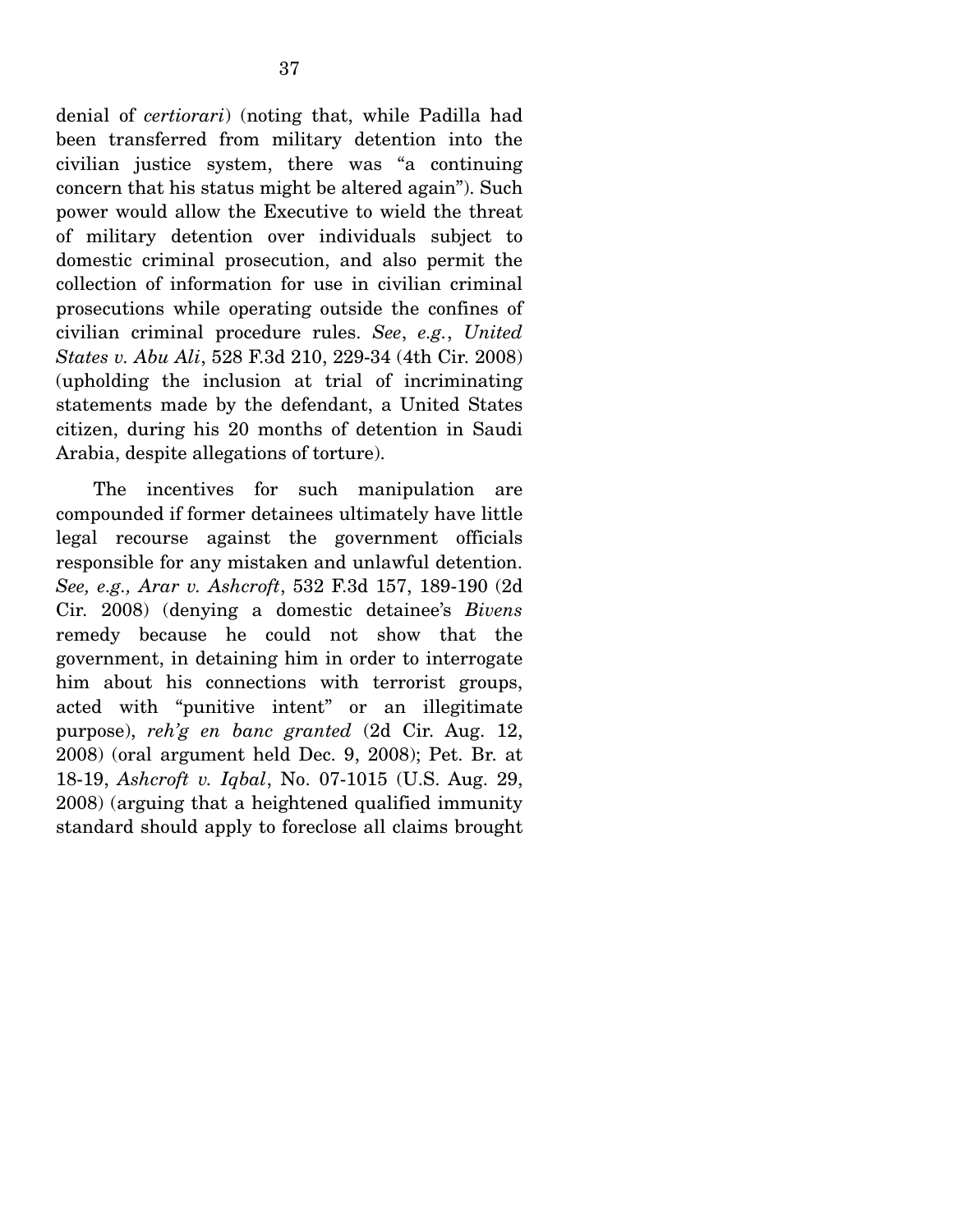denial of *certiorari*) (noting that, while Padilla had been transferred from military detention into the civilian justice system, there was "a continuing concern that his status might be altered again"). Such power would allow the Executive to wield the threat of military detention over individuals subject to domestic criminal prosecution, and also permit the collection of information for use in civilian criminal prosecutions while operating outside the confines of civilian criminal procedure rules. *See*, *e.g.*, *United States v. Abu Ali*, 528 F.3d 210, 229-34 (4th Cir. 2008) (upholding the inclusion at trial of incriminating statements made by the defendant, a United States citizen, during his 20 months of detention in Saudi Arabia, despite allegations of torture).

 The incentives for such manipulation are compounded if former detainees ultimately have little legal recourse against the government officials responsible for any mistaken and unlawful detention. *See, e.g., Arar v. Ashcroft*, 532 F.3d 157, 189-190 (2d Cir. 2008) (denying a domestic detainee's *Bivens* remedy because he could not show that the government, in detaining him in order to interrogate him about his connections with terrorist groups, acted with "punitive intent" or an illegitimate purpose), *reh'g en banc granted* (2d Cir. Aug. 12, 2008) (oral argument held Dec. 9, 2008); Pet. Br. at 18-19, *Ashcroft v. Iqbal*, No. 07-1015 (U.S. Aug. 29, 2008) (arguing that a heightened qualified immunity standard should apply to foreclose all claims brought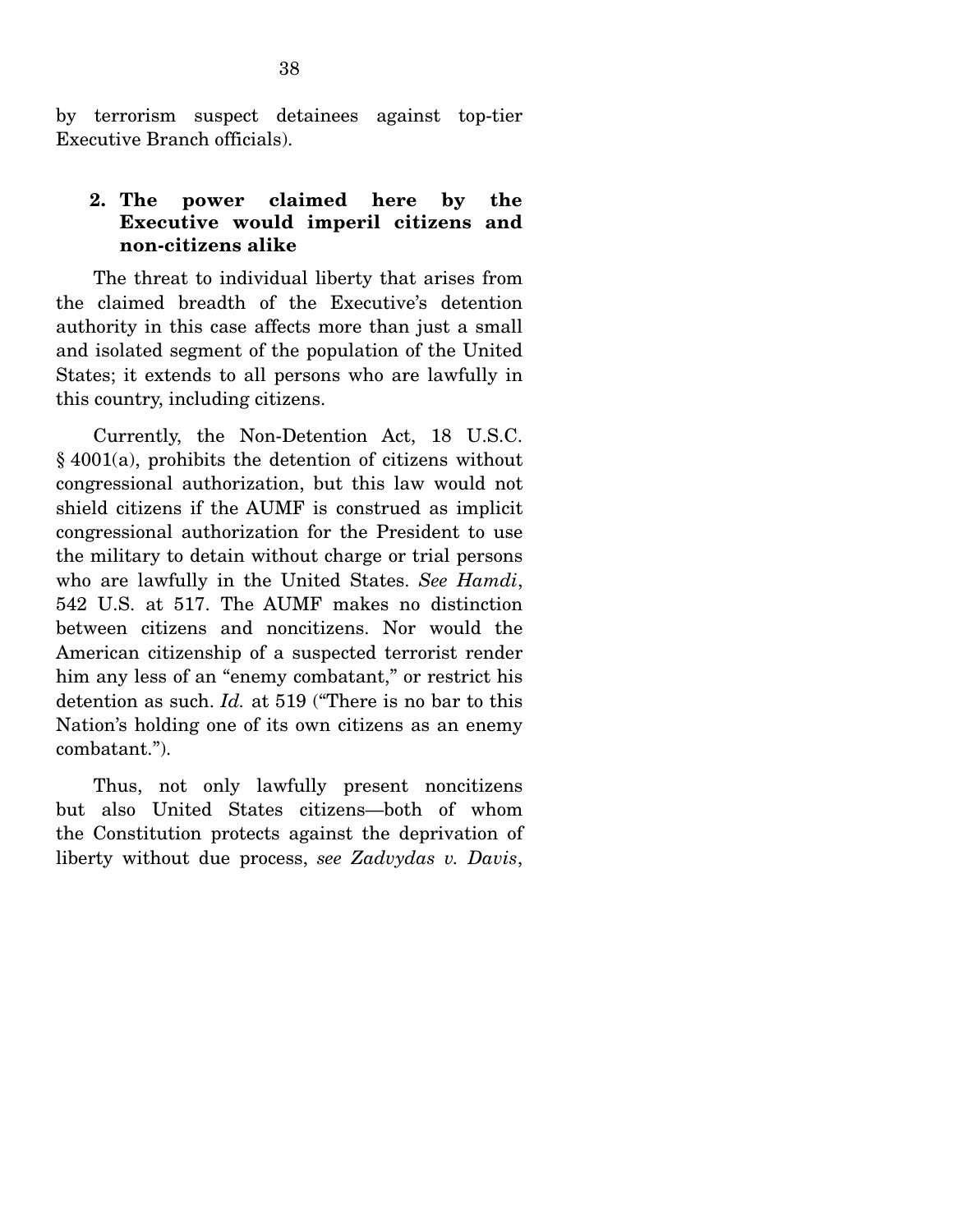by terrorism suspect detainees against top-tier Executive Branch officials).

### **2. The power claimed here by the Executive would imperil citizens and non-citizens alike**

 The threat to individual liberty that arises from the claimed breadth of the Executive's detention authority in this case affects more than just a small and isolated segment of the population of the United States; it extends to all persons who are lawfully in this country, including citizens.

 Currently, the Non-Detention Act, 18 U.S.C. § 4001(a), prohibits the detention of citizens without congressional authorization, but this law would not shield citizens if the AUMF is construed as implicit congressional authorization for the President to use the military to detain without charge or trial persons who are lawfully in the United States. *See Hamdi*, 542 U.S. at 517. The AUMF makes no distinction between citizens and noncitizens. Nor would the American citizenship of a suspected terrorist render him any less of an "enemy combatant," or restrict his detention as such. *Id.* at 519 ("There is no bar to this Nation's holding one of its own citizens as an enemy combatant.").

 Thus, not only lawfully present noncitizens but also United States citizens—both of whom the Constitution protects against the deprivation of liberty without due process, *see Zadvydas v. Davis*,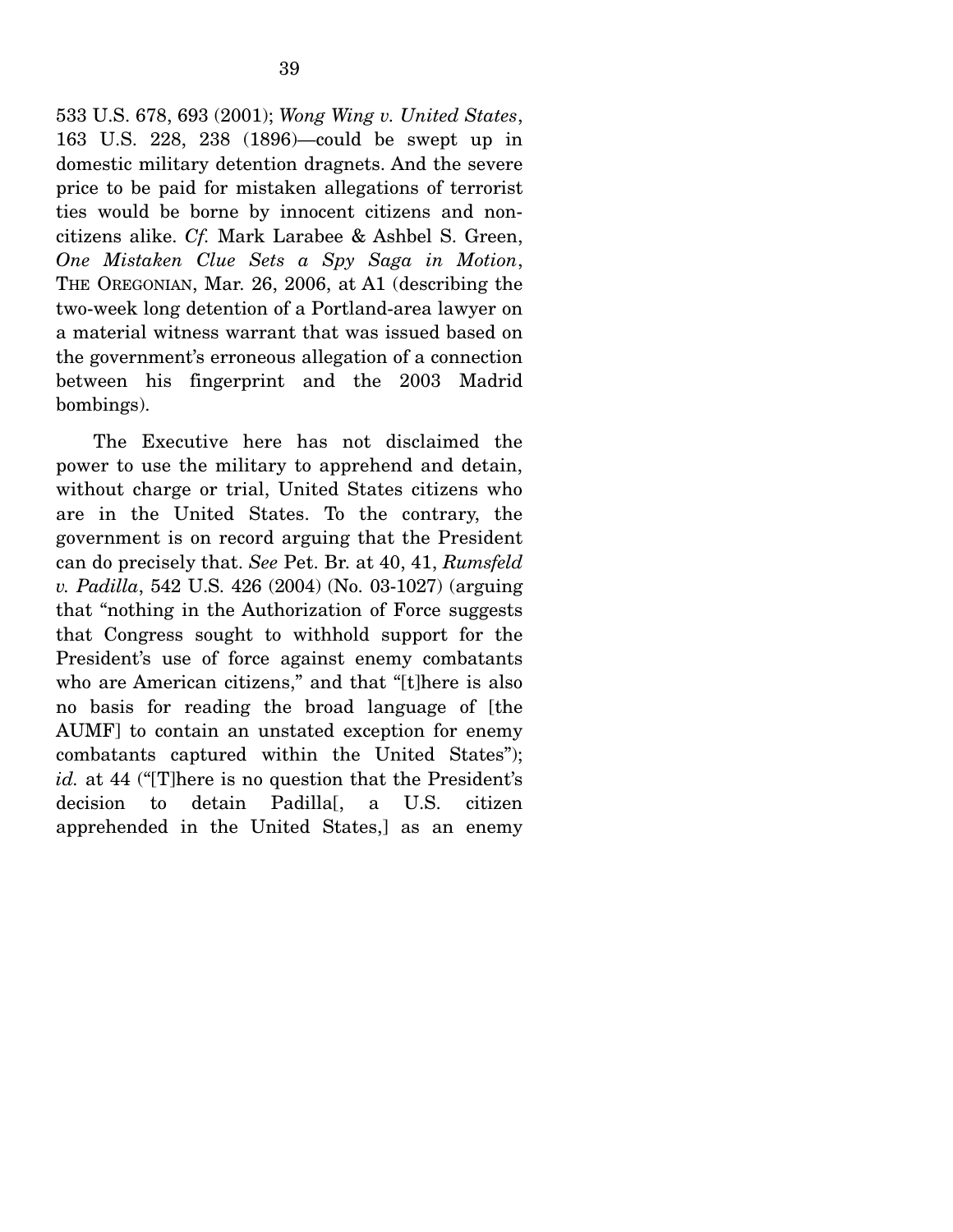533 U.S. 678, 693 (2001); *Wong Wing v. United States*, 163 U.S. 228, 238 (1896)—could be swept up in domestic military detention dragnets. And the severe price to be paid for mistaken allegations of terrorist ties would be borne by innocent citizens and noncitizens alike. *Cf.* Mark Larabee & Ashbel S. Green, *One Mistaken Clue Sets a Spy Saga in Motion*, THE OREGONIAN, Mar. 26, 2006, at A1 (describing the two-week long detention of a Portland-area lawyer on a material witness warrant that was issued based on the government's erroneous allegation of a connection between his fingerprint and the 2003 Madrid bombings).

 The Executive here has not disclaimed the power to use the military to apprehend and detain, without charge or trial, United States citizens who are in the United States. To the contrary, the government is on record arguing that the President can do precisely that. *See* Pet. Br. at 40, 41, *Rumsfeld v. Padilla*, 542 U.S. 426 (2004) (No. 03-1027) (arguing that "nothing in the Authorization of Force suggests that Congress sought to withhold support for the President's use of force against enemy combatants who are American citizens," and that "[t]here is also no basis for reading the broad language of [the AUMF] to contain an unstated exception for enemy combatants captured within the United States"); *id.* at 44 ("[T]here is no question that the President's decision to detain Padilla<sup>[, a U.S.</sup> citizen apprehended in the United States,] as an enemy